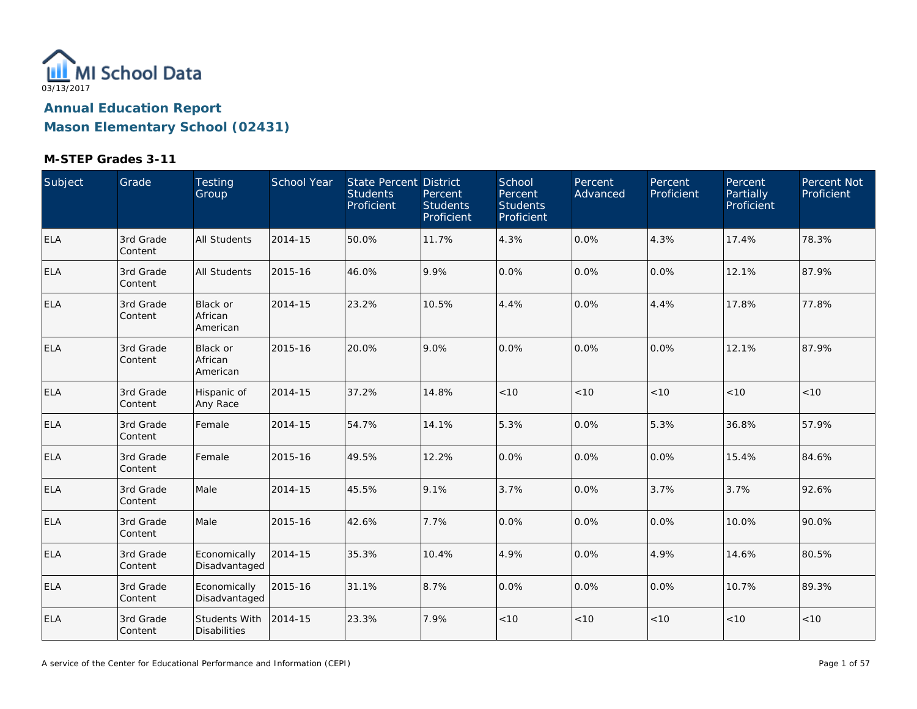

| Subject    | Grade                | Testing<br>Group                     | School Year | State Percent District<br><b>Students</b><br>Proficient | Percent<br><b>Students</b><br>Proficient | School<br>Percent<br><b>Students</b><br>Proficient | <b>Percent</b><br>Advanced | Percent<br>Proficient | Percent<br>Partially<br>Proficient | Percent Not<br>Proficient |
|------------|----------------------|--------------------------------------|-------------|---------------------------------------------------------|------------------------------------------|----------------------------------------------------|----------------------------|-----------------------|------------------------------------|---------------------------|
| <b>ELA</b> | 3rd Grade<br>Content | <b>All Students</b>                  | 2014-15     | 50.0%                                                   | 11.7%                                    | 4.3%                                               | 0.0%                       | 4.3%                  | 17.4%                              | 78.3%                     |
| <b>ELA</b> | 3rd Grade<br>Content | All Students                         | 2015-16     | 46.0%                                                   | 9.9%                                     | 0.0%                                               | 0.0%                       | 0.0%                  | 12.1%                              | 87.9%                     |
| ELA        | 3rd Grade<br>Content | Black or<br>African<br>American      | 2014-15     | 23.2%                                                   | 10.5%                                    | 4.4%                                               | 0.0%                       | 4.4%                  | 17.8%                              | 77.8%                     |
| ELA        | 3rd Grade<br>Content | Black or<br>African<br>American      | 2015-16     | 20.0%                                                   | 9.0%                                     | 0.0%                                               | 0.0%                       | $0.0\%$               | 12.1%                              | 87.9%                     |
| <b>ELA</b> | 3rd Grade<br>Content | Hispanic of<br>Any Race              | 2014-15     | 37.2%                                                   | 14.8%                                    | < 10                                               | < 10                       | < 10                  | < 10                               | < 10                      |
| <b>ELA</b> | 3rd Grade<br>Content | Female                               | 2014-15     | 54.7%                                                   | 14.1%                                    | 5.3%                                               | 0.0%                       | 5.3%                  | 36.8%                              | 57.9%                     |
| <b>ELA</b> | 3rd Grade<br>Content | Female                               | 2015-16     | 49.5%                                                   | 12.2%                                    | 0.0%                                               | 0.0%                       | 0.0%                  | 15.4%                              | 84.6%                     |
| <b>ELA</b> | 3rd Grade<br>Content | Male                                 | 2014-15     | 45.5%                                                   | 9.1%                                     | 3.7%                                               | 0.0%                       | 3.7%                  | 3.7%                               | 92.6%                     |
| <b>ELA</b> | 3rd Grade<br>Content | Male                                 | 2015-16     | 42.6%                                                   | 7.7%                                     | 0.0%                                               | 0.0%                       | 0.0%                  | 10.0%                              | 90.0%                     |
| ELA        | 3rd Grade<br>Content | Economically<br>Disadvantaged        | 2014-15     | 35.3%                                                   | 10.4%                                    | 4.9%                                               | 0.0%                       | 4.9%                  | 14.6%                              | 80.5%                     |
| <b>ELA</b> | 3rd Grade<br>Content | Economically<br>Disadvantaged        | 2015-16     | 31.1%                                                   | 8.7%                                     | 0.0%                                               | 0.0%                       | 0.0%                  | 10.7%                              | 89.3%                     |
| <b>ELA</b> | 3rd Grade<br>Content | Students With<br><b>Disabilities</b> | 2014-15     | 23.3%                                                   | 7.9%                                     | < 10                                               | $<10$                      | < 10                  | < 10                               | < 10                      |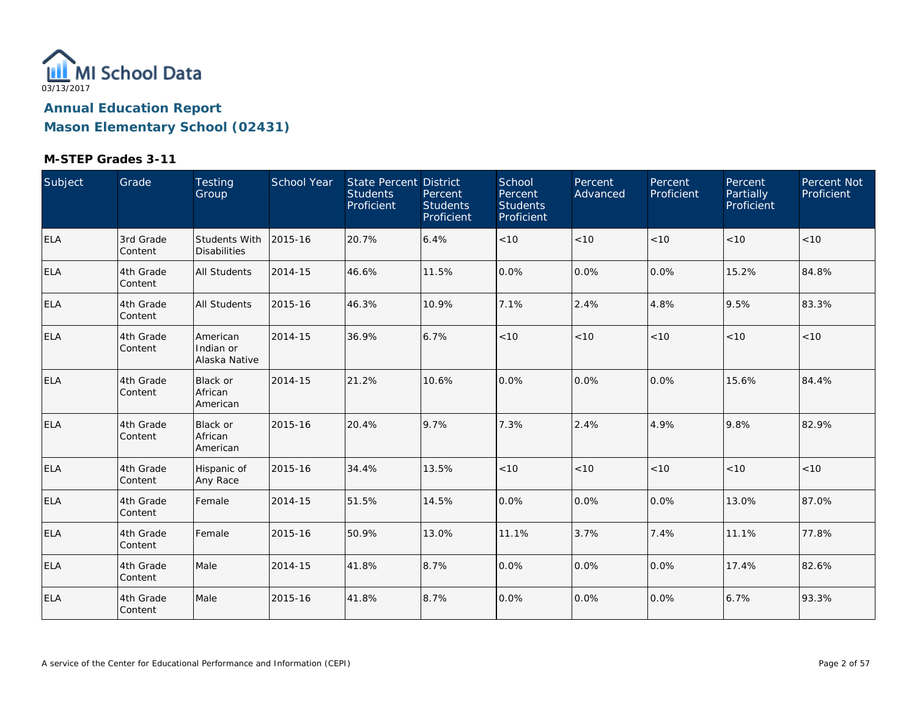

| Subject    | Grade                 | Testing<br>Group                       | School Year | State Percent District<br><b>Students</b><br>Proficient | Percent<br><b>Students</b><br>Proficient | School<br>Percent<br><b>Students</b><br>Proficient | Percent<br>Advanced | Percent<br>Proficient | Percent<br><b>Partially</b><br>Proficient | Percent Not<br>Proficient |
|------------|-----------------------|----------------------------------------|-------------|---------------------------------------------------------|------------------------------------------|----------------------------------------------------|---------------------|-----------------------|-------------------------------------------|---------------------------|
| <b>ELA</b> | 3rd Grade<br>Content  | Students With<br><b>Disabilities</b>   | 2015-16     | 20.7%                                                   | 6.4%                                     | $<10$                                              | < 10                | < 10                  | < 10                                      | < 10                      |
| <b>ELA</b> | 4th Grade<br>Content  | <b>All Students</b>                    | 2014-15     | 46.6%                                                   | 11.5%                                    | 0.0%                                               | 0.0%                | 0.0%                  | 15.2%                                     | 84.8%                     |
| <b>ELA</b> | 4th Grade<br>Content  | All Students                           | 2015-16     | 46.3%                                                   | 10.9%                                    | 7.1%                                               | 2.4%                | 4.8%                  | 9.5%                                      | 83.3%                     |
| <b>ELA</b> | 4th Grade<br>Content  | American<br>Indian or<br>Alaska Native | 2014-15     | 36.9%                                                   | 6.7%                                     | < 10                                               | < 10                | < 10                  | < 10                                      | < 10                      |
| ELA        | 4th Grade<br>Content  | Black or<br>African<br>American        | 2014-15     | 21.2%                                                   | 10.6%                                    | 0.0%                                               | 0.0%                | 0.0%                  | 15.6%                                     | 84.4%                     |
| <b>ELA</b> | 4th Grade<br> Content | Black or<br>African<br>American        | 2015-16     | 20.4%                                                   | 9.7%                                     | 7.3%                                               | 2.4%                | 4.9%                  | 9.8%                                      | 82.9%                     |
| <b>ELA</b> | 4th Grade<br>Content  | Hispanic of<br>Any Race                | 2015-16     | 34.4%                                                   | 13.5%                                    | $<10$                                              | $<10$               | $<10$                 | < 10                                      | < 10                      |
| <b>ELA</b> | 4th Grade<br>Content  | Female                                 | 2014-15     | 51.5%                                                   | 14.5%                                    | 0.0%                                               | 0.0%                | 0.0%                  | 13.0%                                     | 87.0%                     |
| <b>ELA</b> | 4th Grade<br>Content  | Female                                 | 2015-16     | 50.9%                                                   | 13.0%                                    | 11.1%                                              | 3.7%                | 7.4%                  | 11.1%                                     | 77.8%                     |
| <b>ELA</b> | 4th Grade<br>Content  | Male                                   | 2014-15     | 41.8%                                                   | 8.7%                                     | 0.0%                                               | 0.0%                | $0.0\%$               | 17.4%                                     | 82.6%                     |
| <b>ELA</b> | 4th Grade<br>Content  | Male                                   | 2015-16     | 41.8%                                                   | 8.7%                                     | 0.0%                                               | 0.0%                | 0.0%                  | 6.7%                                      | 93.3%                     |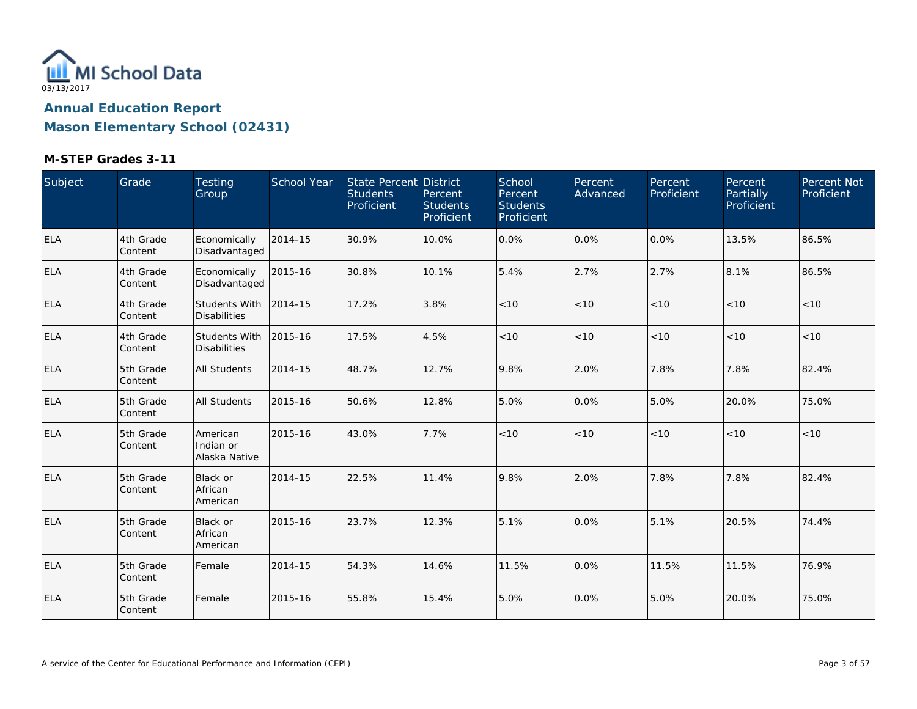

| Subject    | Grade                 | Testing<br>Group                            | School Year | <b>State Percent District</b><br><b>Students</b><br>Proficient | Percent<br><b>Students</b><br>Proficient | School<br>Percent<br><b>Students</b><br>Proficient | Percent<br>Advanced | Percent<br>Proficient | Percent<br>Partially<br>Proficient | Percent Not<br>Proficient |
|------------|-----------------------|---------------------------------------------|-------------|----------------------------------------------------------------|------------------------------------------|----------------------------------------------------|---------------------|-----------------------|------------------------------------|---------------------------|
| <b>ELA</b> | 4th Grade<br>Content  | Economically<br>Disadvantaged               | 2014-15     | 30.9%                                                          | 10.0%                                    | 0.0%                                               | 0.0%                | 0.0%                  | 13.5%                              | 86.5%                     |
| <b>ELA</b> | 4th Grade<br>Content  | Economically<br>Disadvantaged               | 2015-16     | 30.8%                                                          | 10.1%                                    | 5.4%                                               | 2.7%                | 2.7%                  | 8.1%                               | 86.5%                     |
| <b>ELA</b> | 4th Grade<br>Content  | <b>Students With</b><br><b>Disabilities</b> | 2014-15     | 17.2%                                                          | 3.8%                                     | < 10                                               | < 10                | < 10                  | < 10                               | < 10                      |
| ELA        | 4th Grade<br>Content  | <b>Students With</b><br><b>Disabilities</b> | 2015-16     | 17.5%                                                          | 4.5%                                     | < 10                                               | < 10                | < 10                  | < 10                               | < 10                      |
| ELA        | 5th Grade<br>Content  | All Students                                | 2014-15     | 48.7%                                                          | 12.7%                                    | 9.8%                                               | 2.0%                | 7.8%                  | 7.8%                               | 82.4%                     |
| <b>ELA</b> | 5th Grade<br> Content | <b>All Students</b>                         | 2015-16     | 50.6%                                                          | 12.8%                                    | 5.0%                                               | 0.0%                | 5.0%                  | 20.0%                              | 75.0%                     |
| <b>ELA</b> | 5th Grade<br>Content  | American<br>Indian or<br>Alaska Native      | 2015-16     | 43.0%                                                          | 7.7%                                     | < 10                                               | < 10                | < 10                  | < 10                               | <10                       |
| <b>ELA</b> | 5th Grade<br>Content  | Black or<br>African<br>American             | 2014-15     | 22.5%                                                          | 11.4%                                    | 9.8%                                               | 2.0%                | 7.8%                  | 7.8%                               | 82.4%                     |
| <b>ELA</b> | 5th Grade<br>Content  | <b>Black or</b><br>African<br>American      | 2015-16     | 23.7%                                                          | 12.3%                                    | 5.1%                                               | 0.0%                | 5.1%                  | 20.5%                              | 74.4%                     |
| <b>ELA</b> | 5th Grade<br>Content  | Female                                      | 2014-15     | 54.3%                                                          | 14.6%                                    | 11.5%                                              | 0.0%                | 11.5%                 | 11.5%                              | 76.9%                     |
| <b>ELA</b> | 5th Grade<br>Content  | Female                                      | 2015-16     | 55.8%                                                          | 15.4%                                    | 5.0%                                               | 0.0%                | 5.0%                  | 20.0%                              | 75.0%                     |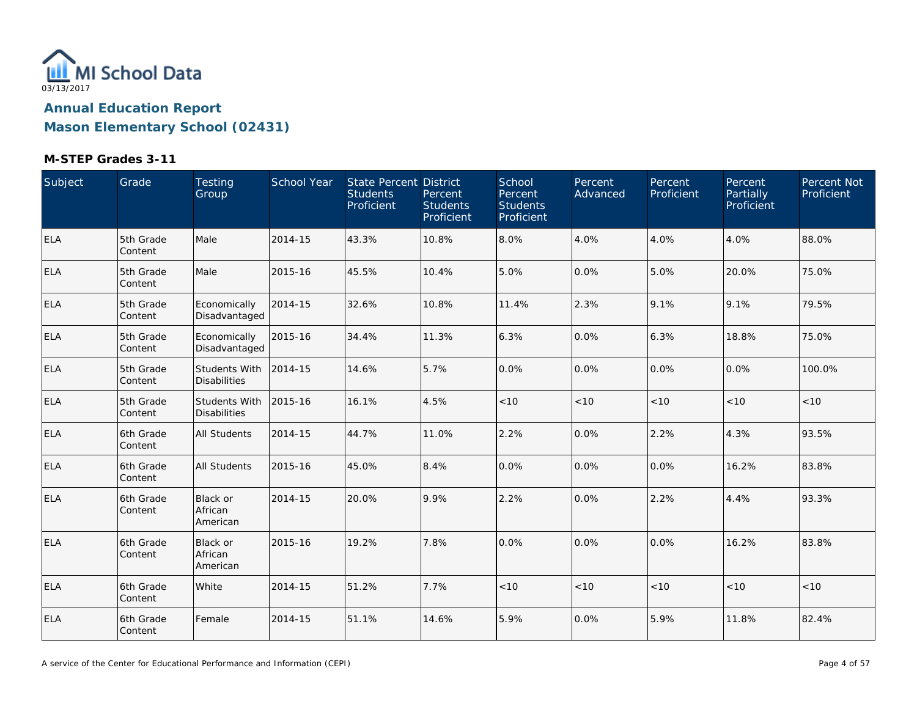

| Subject    | Grade                | Testing<br>Group                       | School Year | State Percent District<br><b>Students</b><br>Proficient | Percent<br><b>Students</b><br>Proficient | School<br>Percent<br><b>Students</b><br>Proficient | Percent<br>Advanced | Percent<br>Proficient | Percent<br>Partially<br>Proficient | Percent Not<br>Proficient |
|------------|----------------------|----------------------------------------|-------------|---------------------------------------------------------|------------------------------------------|----------------------------------------------------|---------------------|-----------------------|------------------------------------|---------------------------|
| ELA        | 5th Grade<br>Content | Male                                   | 2014-15     | 43.3%                                                   | 10.8%                                    | 8.0%                                               | 4.0%                | 4.0%                  | 4.0%                               | 88.0%                     |
| <b>ELA</b> | 5th Grade<br>Content | Male                                   | 2015-16     | 45.5%                                                   | 10.4%                                    | 5.0%                                               | 0.0%                | 5.0%                  | 20.0%                              | 75.0%                     |
| <b>ELA</b> | 5th Grade<br>Content | Economically<br>Disadvantaged          | 2014-15     | 32.6%                                                   | 10.8%                                    | 11.4%                                              | 2.3%                | 9.1%                  | 9.1%                               | 79.5%                     |
| <b>ELA</b> | 5th Grade<br>Content | Economically<br>Disadvantaged          | 2015-16     | 34.4%                                                   | 11.3%                                    | 6.3%                                               | 0.0%                | 6.3%                  | 18.8%                              | 75.0%                     |
| ELA        | 5th Grade<br>Content | Students With<br><b>Disabilities</b>   | 2014-15     | 14.6%                                                   | 5.7%                                     | 0.0%                                               | 0.0%                | 0.0%                  | 0.0%                               | 100.0%                    |
| ELA        | 5th Grade<br>Content | Students With<br><b>Disabilities</b>   | 2015-16     | 16.1%                                                   | 4.5%                                     | < 10                                               | < 10                | < 10                  | < 10                               | < 10                      |
| <b>ELA</b> | 6th Grade<br>Content | All Students                           | 2014-15     | 44.7%                                                   | 11.0%                                    | 2.2%                                               | 0.0%                | 2.2%                  | 4.3%                               | 93.5%                     |
| <b>ELA</b> | 6th Grade<br>Content | <b>All Students</b>                    | 2015-16     | 45.0%                                                   | 8.4%                                     | 0.0%                                               | 0.0%                | 0.0%                  | 16.2%                              | 83.8%                     |
| <b>ELA</b> | 6th Grade<br>Content | <b>Black or</b><br>African<br>American | 2014-15     | 20.0%                                                   | 9.9%                                     | 2.2%                                               | 0.0%                | 2.2%                  | 4.4%                               | 93.3%                     |
| <b>ELA</b> | 6th Grade<br>Content | Black or<br>African<br>American        | 2015-16     | 19.2%                                                   | 7.8%                                     | 0.0%                                               | 0.0%                | 0.0%                  | 16.2%                              | 83.8%                     |
| <b>ELA</b> | 6th Grade<br>Content | White                                  | 2014-15     | 51.2%                                                   | 7.7%                                     | $<10$                                              | < 10                | < 10                  | < 10                               | < 10                      |
| <b>ELA</b> | 6th Grade<br>Content | Female                                 | 2014-15     | 51.1%                                                   | 14.6%                                    | 5.9%                                               | 0.0%                | 5.9%                  | 11.8%                              | 82.4%                     |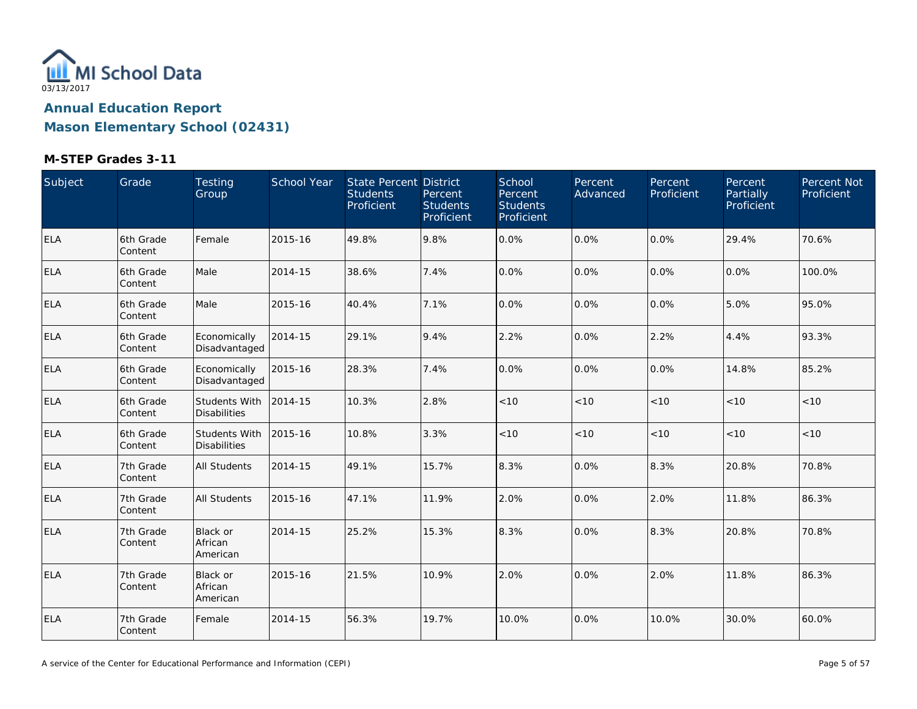

| Subject    | Grade                | Testing<br>Group                            | School Year | State Percent District<br><b>Students</b><br>Proficient | Percent<br><b>Students</b><br>Proficient | School<br>Percent<br><b>Students</b><br>Proficient | <b>Percent</b><br>Advanced | Percent<br>Proficient | Percent<br>Partially<br>Proficient | Percent Not<br>Proficient |
|------------|----------------------|---------------------------------------------|-------------|---------------------------------------------------------|------------------------------------------|----------------------------------------------------|----------------------------|-----------------------|------------------------------------|---------------------------|
| <b>ELA</b> | 6th Grade<br>Content | Female                                      | 2015-16     | 49.8%                                                   | 9.8%                                     | 0.0%                                               | 0.0%                       | 0.0%                  | 29.4%                              | 70.6%                     |
| <b>ELA</b> | 6th Grade<br>Content | Male                                        | 2014-15     | 38.6%                                                   | 7.4%                                     | 0.0%                                               | 0.0%                       | 0.0%                  | 0.0%                               | 100.0%                    |
| <b>ELA</b> | 6th Grade<br>Content | Male                                        | 2015-16     | 40.4%                                                   | 7.1%                                     | 0.0%                                               | 0.0%                       | 0.0%                  | 5.0%                               | 95.0%                     |
| <b>ELA</b> | 6th Grade<br>Content | Economically<br>Disadvantaged               | 2014-15     | 29.1%                                                   | 9.4%                                     | 2.2%                                               | 0.0%                       | 2.2%                  | 4.4%                               | 93.3%                     |
| <b>ELA</b> | 6th Grade<br>Content | Economically<br>Disadvantaged               | 2015-16     | 28.3%                                                   | 7.4%                                     | 0.0%                                               | 0.0%                       | 0.0%                  | 14.8%                              | 85.2%                     |
| <b>ELA</b> | 6th Grade<br>Content | Students With<br><b>Disabilities</b>        | 2014-15     | 10.3%                                                   | 2.8%                                     | < 10                                               | < 10                       | < 10                  | < 10                               | < 10                      |
| <b>ELA</b> | 6th Grade<br>Content | <b>Students With</b><br><b>Disabilities</b> | 2015-16     | 10.8%                                                   | 3.3%                                     | $<10$                                              | < 10                       | < 10                  | < 10                               | < 10                      |
| <b>ELA</b> | 7th Grade<br>Content | <b>All Students</b>                         | 2014-15     | 49.1%                                                   | 15.7%                                    | 8.3%                                               | 0.0%                       | 8.3%                  | 20.8%                              | 70.8%                     |
| <b>ELA</b> | 7th Grade<br>Content | <b>All Students</b>                         | 2015-16     | 47.1%                                                   | 11.9%                                    | 2.0%                                               | 0.0%                       | 2.0%                  | 11.8%                              | 86.3%                     |
| ELA        | 7th Grade<br>Content | <b>Black or</b><br>African<br>American      | 2014-15     | 25.2%                                                   | 15.3%                                    | 8.3%                                               | 0.0%                       | 8.3%                  | 20.8%                              | 70.8%                     |
| <b>ELA</b> | 7th Grade<br>Content | <b>Black or</b><br>African<br>American      | 2015-16     | 21.5%                                                   | 10.9%                                    | 2.0%                                               | 0.0%                       | 2.0%                  | 11.8%                              | 86.3%                     |
| ELA        | 7th Grade<br>Content | Female                                      | 2014-15     | 56.3%                                                   | 19.7%                                    | 10.0%                                              | 0.0%                       | 10.0%                 | 30.0%                              | 60.0%                     |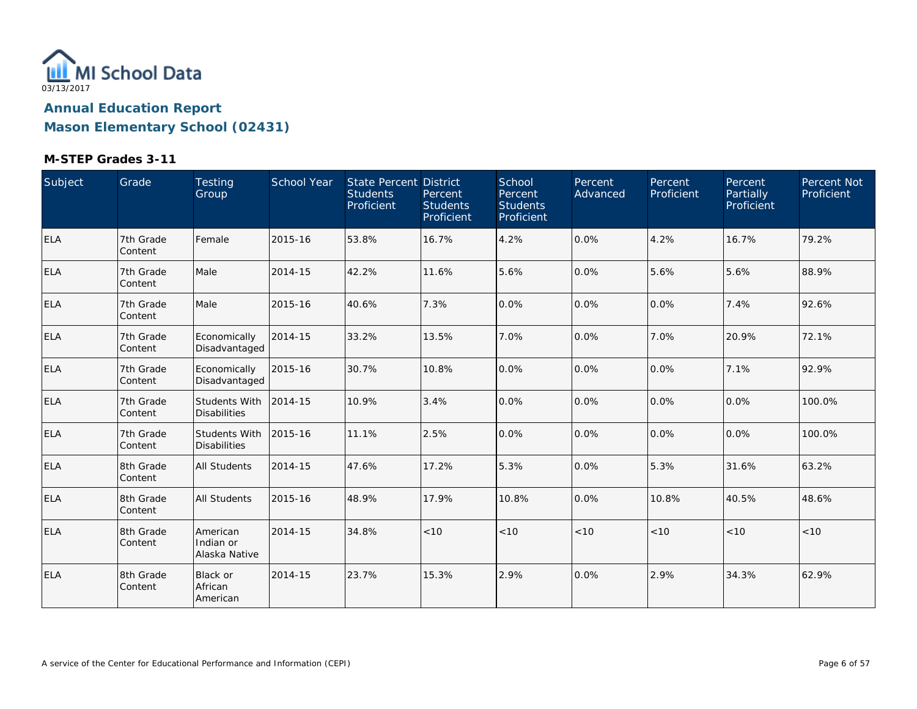

| Subject    | Grade                | Testing<br>Group                       | <b>School Year</b> | State Percent District<br><b>Students</b><br>Proficient | Percent<br><b>Students</b><br>Proficient | School<br>Percent<br><b>Students</b><br>Proficient | Percent<br>Advanced | Percent<br>Proficient | Percent<br>Partially<br>Proficient | Percent Not<br>Proficient |
|------------|----------------------|----------------------------------------|--------------------|---------------------------------------------------------|------------------------------------------|----------------------------------------------------|---------------------|-----------------------|------------------------------------|---------------------------|
| <b>ELA</b> | 7th Grade<br>Content | Female                                 | 2015-16            | 53.8%                                                   | 16.7%                                    | 4.2%                                               | 0.0%                | 4.2%                  | 16.7%                              | 79.2%                     |
| <b>ELA</b> | 7th Grade<br>Content | Male                                   | 2014-15            | 42.2%                                                   | 11.6%                                    | 5.6%                                               | 0.0%                | 5.6%                  | 5.6%                               | 88.9%                     |
| <b>ELA</b> | 7th Grade<br>Content | Male                                   | 2015-16            | 40.6%                                                   | 7.3%                                     | 0.0%                                               | 0.0%                | 0.0%                  | 7.4%                               | 92.6%                     |
| <b>ELA</b> | 7th Grade<br>Content | Economically<br>Disadvantaged          | 2014-15            | 33.2%                                                   | 13.5%                                    | 7.0%                                               | 0.0%                | 7.0%                  | 20.9%                              | 72.1%                     |
| <b>ELA</b> | 7th Grade<br>Content | Economically<br>Disadvantaged          | 2015-16            | 30.7%                                                   | 10.8%                                    | 0.0%                                               | 0.0%                | 0.0%                  | 7.1%                               | 92.9%                     |
| <b>ELA</b> | 7th Grade<br>Content | Students With<br><b>Disabilities</b>   | 2014-15            | 10.9%                                                   | 3.4%                                     | 0.0%                                               | 0.0%                | 0.0%                  | 0.0%                               | 100.0%                    |
| <b>ELA</b> | 7th Grade<br>Content | Students With<br><b>Disabilities</b>   | 2015-16            | 11.1%                                                   | 2.5%                                     | 0.0%                                               | 0.0%                | 0.0%                  | 0.0%                               | 100.0%                    |
| <b>ELA</b> | 8th Grade<br>Content | All Students                           | 2014-15            | 47.6%                                                   | 17.2%                                    | 5.3%                                               | 0.0%                | 5.3%                  | 31.6%                              | 63.2%                     |
| <b>ELA</b> | 8th Grade<br>Content | <b>All Students</b>                    | 2015-16            | 48.9%                                                   | 17.9%                                    | 10.8%                                              | 0.0%                | 10.8%                 | 40.5%                              | 48.6%                     |
| <b>ELA</b> | 8th Grade<br>Content | American<br>Indian or<br>Alaska Native | 2014-15            | 34.8%                                                   | < 10                                     | < 10                                               | < 10                | < 10                  | < 10                               | < 10                      |
| <b>ELA</b> | 8th Grade<br>Content | Black or<br>African<br>American        | 2014-15            | 23.7%                                                   | 15.3%                                    | 2.9%                                               | 0.0%                | 2.9%                  | 34.3%                              | 62.9%                     |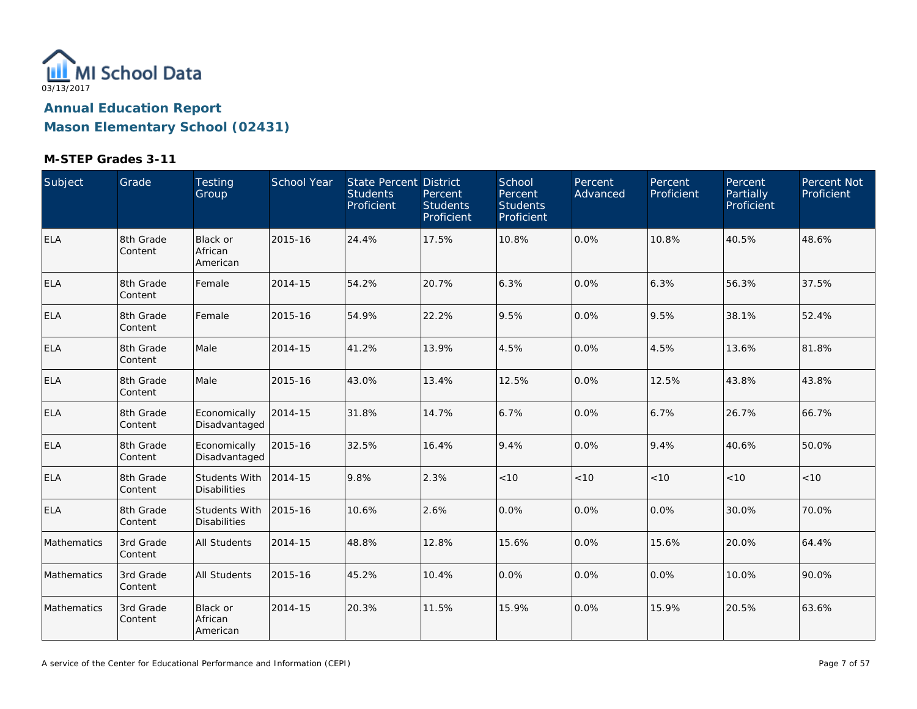

| Subject     | Grade                | Testing<br>Group                            | School Year | State Percent District<br><b>Students</b><br>Proficient | Percent<br><b>Students</b><br>Proficient | School<br>Percent<br><b>Students</b><br>Proficient | Percent<br>Advanced | Percent<br>Proficient | Percent<br>Partially<br>Proficient | Percent Not<br>Proficient |
|-------------|----------------------|---------------------------------------------|-------------|---------------------------------------------------------|------------------------------------------|----------------------------------------------------|---------------------|-----------------------|------------------------------------|---------------------------|
| <b>ELA</b>  | 8th Grade<br>Content | Black or<br>African<br>American             | 2015-16     | 24.4%                                                   | 17.5%                                    | 10.8%                                              | 0.0%                | 10.8%                 | 40.5%                              | 48.6%                     |
| <b>ELA</b>  | 8th Grade<br>Content | Female                                      | 2014-15     | 54.2%                                                   | 20.7%                                    | 6.3%                                               | 0.0%                | 6.3%                  | 56.3%                              | 37.5%                     |
| <b>ELA</b>  | 8th Grade<br>Content | Female                                      | 2015-16     | 54.9%                                                   | 22.2%                                    | 9.5%                                               | 0.0%                | 9.5%                  | 38.1%                              | 52.4%                     |
| <b>ELA</b>  | 8th Grade<br>Content | Male                                        | 2014-15     | 41.2%                                                   | 13.9%                                    | 4.5%                                               | 0.0%                | 4.5%                  | 13.6%                              | 81.8%                     |
| <b>ELA</b>  | 8th Grade<br>Content | Male                                        | 2015-16     | 43.0%                                                   | 13.4%                                    | 12.5%                                              | 0.0%                | 12.5%                 | 43.8%                              | 43.8%                     |
| <b>ELA</b>  | 8th Grade<br>Content | Economically<br>Disadvantaged               | 2014-15     | 31.8%                                                   | 14.7%                                    | 6.7%                                               | 0.0%                | 6.7%                  | 26.7%                              | 66.7%                     |
| <b>ELA</b>  | 8th Grade<br>Content | Economically<br>Disadvantaged               | 2015-16     | 32.5%                                                   | 16.4%                                    | 9.4%                                               | 0.0%                | 9.4%                  | 40.6%                              | 50.0%                     |
| <b>ELA</b>  | 8th Grade<br>Content | <b>Students With</b><br><b>Disabilities</b> | 2014-15     | 9.8%                                                    | 2.3%                                     | < 10                                               | < 10                | < 10                  | < 10                               | <10                       |
| <b>ELA</b>  | 8th Grade<br>Content | Students With<br><b>Disabilities</b>        | 2015-16     | 10.6%                                                   | 2.6%                                     | 0.0%                                               | 0.0%                | $0.0\%$               | 30.0%                              | 70.0%                     |
| Mathematics | 3rd Grade<br>Content | All Students                                | 2014-15     | 48.8%                                                   | 12.8%                                    | 15.6%                                              | 0.0%                | 15.6%                 | 20.0%                              | 64.4%                     |
| Mathematics | 3rd Grade<br>Content | <b>All Students</b>                         | 2015-16     | 45.2%                                                   | 10.4%                                    | 0.0%                                               | 0.0%                | 0.0%                  | 10.0%                              | 90.0%                     |
| Mathematics | 3rd Grade<br>Content | <b>Black or</b><br>African<br>American      | 2014-15     | 20.3%                                                   | 11.5%                                    | 15.9%                                              | 0.0%                | 15.9%                 | 20.5%                              | 63.6%                     |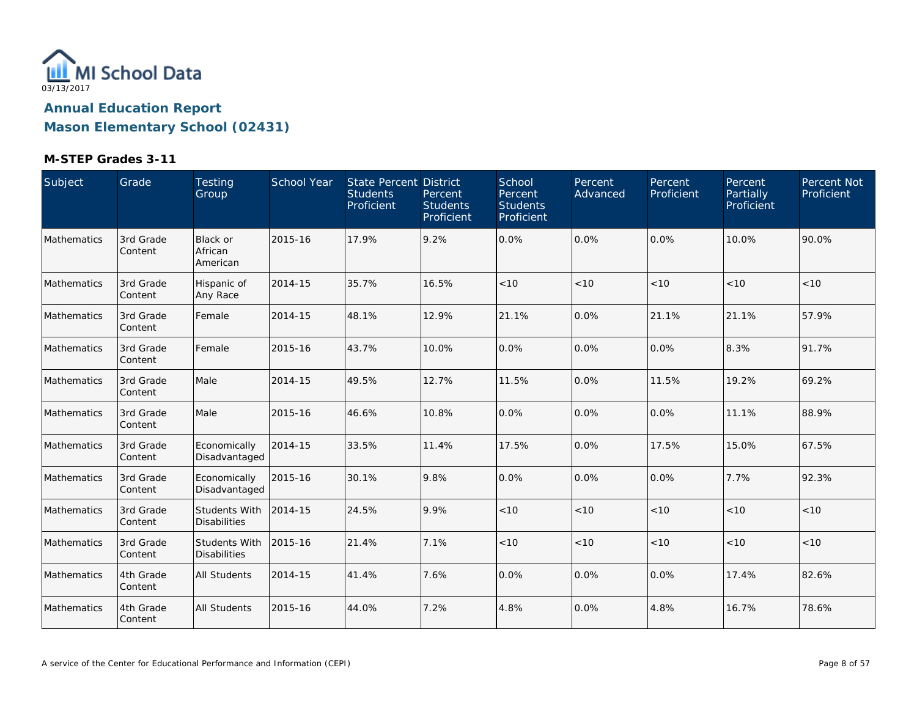

| Subject     | Grade                | Testing<br>Group                            | School Year | State Percent District<br><b>Students</b><br>Proficient | Percent<br><b>Students</b><br>Proficient | School<br>Percent<br><b>Students</b><br>Proficient | Percent<br>Advanced | Percent<br>Proficient | Percent<br>Partially<br>Proficient | Percent Not<br>Proficient |
|-------------|----------------------|---------------------------------------------|-------------|---------------------------------------------------------|------------------------------------------|----------------------------------------------------|---------------------|-----------------------|------------------------------------|---------------------------|
| Mathematics | 3rd Grade<br>Content | Black or<br>African<br>American             | 2015-16     | 17.9%                                                   | 9.2%                                     | 0.0%                                               | 0.0%                | $0.0\%$               | 10.0%                              | 90.0%                     |
| Mathematics | 3rd Grade<br>Content | Hispanic of<br>Any Race                     | 2014-15     | 35.7%                                                   | 16.5%                                    | < 10                                               | < 10                | < 10                  | < 10                               | < 10                      |
| Mathematics | 3rd Grade<br>Content | Female                                      | 2014-15     | 48.1%                                                   | 12.9%                                    | 21.1%                                              | 0.0%                | 21.1%                 | 21.1%                              | 57.9%                     |
| Mathematics | 3rd Grade<br>Content | Female                                      | 2015-16     | 43.7%                                                   | 10.0%                                    | 0.0%                                               | 0.0%                | $0.0\%$               | 8.3%                               | 91.7%                     |
| Mathematics | 3rd Grade<br>Content | Male                                        | 2014-15     | 49.5%                                                   | 12.7%                                    | 11.5%                                              | 0.0%                | 11.5%                 | 19.2%                              | 69.2%                     |
| Mathematics | 3rd Grade<br>Content | Male                                        | 2015-16     | 46.6%                                                   | 10.8%                                    | 0.0%                                               | 0.0%                | 0.0%                  | 11.1%                              | 88.9%                     |
| Mathematics | 3rd Grade<br>Content | Economically<br>Disadvantaged               | 2014-15     | 33.5%                                                   | 11.4%                                    | 17.5%                                              | 0.0%                | 17.5%                 | 15.0%                              | 67.5%                     |
| Mathematics | 3rd Grade<br>Content | Economically<br>Disadvantaged               | 2015-16     | 30.1%                                                   | 9.8%                                     | 0.0%                                               | 0.0%                | 0.0%                  | 7.7%                               | 92.3%                     |
| Mathematics | 3rd Grade<br>Content | <b>Students With</b><br><b>Disabilities</b> | 2014-15     | 24.5%                                                   | 9.9%                                     | < 10                                               | < 10                | < 10                  | < 10                               | < 10                      |
| Mathematics | 3rd Grade<br>Content | <b>Students With</b><br><b>Disabilities</b> | 2015-16     | 21.4%                                                   | 7.1%                                     | < 10                                               | < 10                | < 10                  | < 10                               | < 10                      |
| Mathematics | 4th Grade<br>Content | All Students                                | 2014-15     | 41.4%                                                   | 7.6%                                     | 0.0%                                               | 0.0%                | 0.0%                  | 17.4%                              | 82.6%                     |
| Mathematics | 4th Grade<br>Content | All Students                                | 2015-16     | 44.0%                                                   | 7.2%                                     | 4.8%                                               | 0.0%                | 4.8%                  | 16.7%                              | 78.6%                     |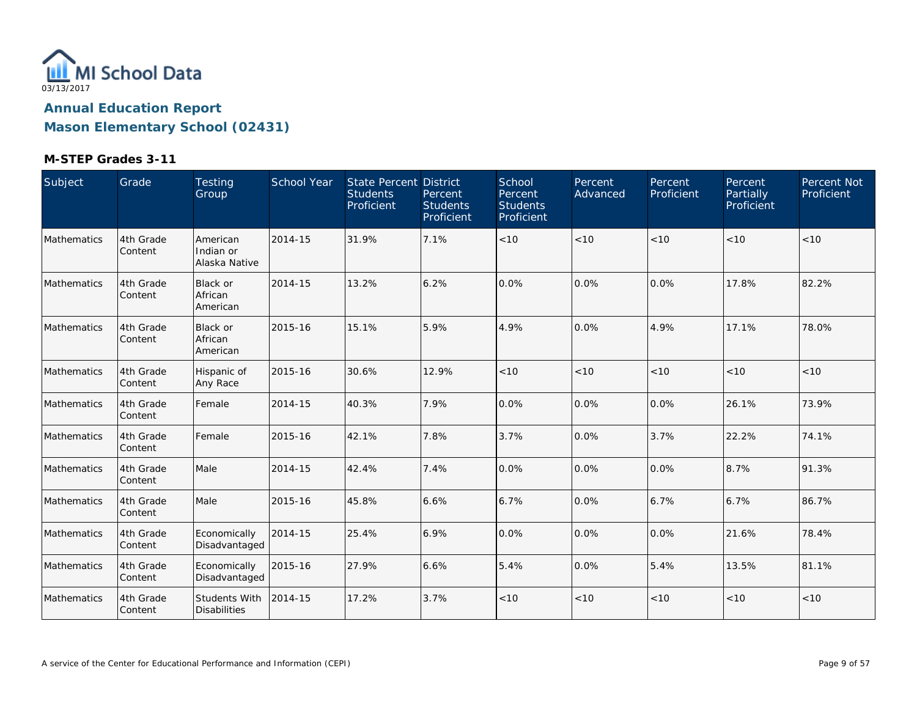

| Subject     | Grade                | Testing<br>Group                       | School Year | State Percent District<br><b>Students</b><br>Proficient | Percent<br><b>Students</b><br>Proficient | School<br>Percent<br><b>Students</b><br>Proficient | Percent<br>Advanced | Percent<br>Proficient | Percent<br>Partially<br>Proficient | Percent Not<br>Proficient |
|-------------|----------------------|----------------------------------------|-------------|---------------------------------------------------------|------------------------------------------|----------------------------------------------------|---------------------|-----------------------|------------------------------------|---------------------------|
| Mathematics | 4th Grade<br>Content | American<br>Indian or<br>Alaska Native | 2014-15     | 31.9%                                                   | 7.1%                                     | < 10                                               | < 10                | < 10                  | < 10                               | < 10                      |
| Mathematics | 4th Grade<br>Content | <b>Black or</b><br>African<br>American | 2014-15     | 13.2%                                                   | 6.2%                                     | 0.0%                                               | 0.0%                | $0.0\%$               | 17.8%                              | 82.2%                     |
| Mathematics | 4th Grade<br>Content | <b>Black or</b><br>African<br>American | 2015-16     | 15.1%                                                   | 5.9%                                     | 4.9%                                               | 0.0%                | 4.9%                  | 17.1%                              | 78.0%                     |
| Mathematics | 4th Grade<br>Content | Hispanic of<br>Any Race                | 2015-16     | 30.6%                                                   | 12.9%                                    | < 10                                               | < 10                | < 10                  | < 10                               | < 10                      |
| Mathematics | 4th Grade<br>Content | Female                                 | 2014-15     | 40.3%                                                   | 7.9%                                     | 0.0%                                               | 0.0%                | 0.0%                  | 26.1%                              | 73.9%                     |
| Mathematics | 4th Grade<br>Content | Female                                 | 2015-16     | 42.1%                                                   | 7.8%                                     | 3.7%                                               | 0.0%                | 3.7%                  | 22.2%                              | 74.1%                     |
| Mathematics | 4th Grade<br>Content | Male                                   | 2014-15     | 42.4%                                                   | 7.4%                                     | 0.0%                                               | 0.0%                | 0.0%                  | 8.7%                               | 91.3%                     |
| Mathematics | 4th Grade<br>Content | Male                                   | 2015-16     | 45.8%                                                   | 6.6%                                     | 6.7%                                               | 0.0%                | 6.7%                  | 6.7%                               | 86.7%                     |
| Mathematics | 4th Grade<br>Content | Economically<br>Disadvantaged          | 2014-15     | 25.4%                                                   | 6.9%                                     | 0.0%                                               | 0.0%                | 0.0%                  | 21.6%                              | 78.4%                     |
| Mathematics | 4th Grade<br>Content | Economically<br>Disadvantaged          | 2015-16     | 27.9%                                                   | 6.6%                                     | 5.4%                                               | 0.0%                | 5.4%                  | 13.5%                              | 81.1%                     |
| Mathematics | 4th Grade<br>Content | Students With<br><b>Disabilities</b>   | 2014-15     | 17.2%                                                   | 3.7%                                     | < 10                                               | < 10                | < 10                  | < 10                               | < 10                      |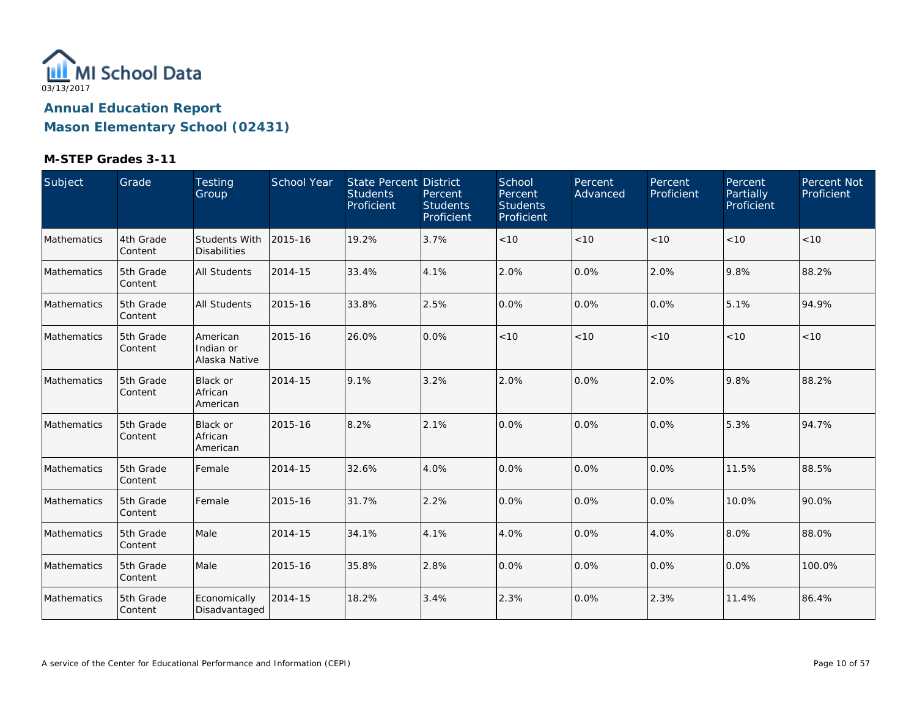

| Subject            | Grade                 | Testing<br>Group                       | School Year | <b>State Percent District</b><br><b>Students</b><br>Proficient | Percent<br><b>Students</b><br>Proficient | School<br>Percent<br><b>Students</b><br>Proficient | Percent<br>Advanced | Percent<br>Proficient | Percent<br>Partially<br>Proficient | Percent Not<br>Proficient |
|--------------------|-----------------------|----------------------------------------|-------------|----------------------------------------------------------------|------------------------------------------|----------------------------------------------------|---------------------|-----------------------|------------------------------------|---------------------------|
| <b>Mathematics</b> | 4th Grade<br>Content  | Students With<br><b>Disabilities</b>   | 2015-16     | 19.2%                                                          | 3.7%                                     | $<10$                                              | < 10                | < 10                  | < 10                               | < 10                      |
| Mathematics        | 5th Grade<br>Content  | <b>All Students</b>                    | 2014-15     | 33.4%                                                          | 4.1%                                     | 2.0%                                               | 0.0%                | 2.0%                  | 9.8%                               | 88.2%                     |
| Mathematics        | 5th Grade<br>Content  | <b>All Students</b>                    | 2015-16     | 33.8%                                                          | 2.5%                                     | 0.0%                                               | 0.0%                | 0.0%                  | 5.1%                               | 94.9%                     |
| Mathematics        | 5th Grade<br>Content  | American<br>Indian or<br>Alaska Native | 2015-16     | 26.0%                                                          | 0.0%                                     | $<10$                                              | < 10                | $<10$                 | < 10                               | < 10                      |
| Mathematics        | 5th Grade<br>Content  | Black or<br>African<br>American        | 2014-15     | 9.1%                                                           | 3.2%                                     | 2.0%                                               | 0.0%                | 2.0%                  | 9.8%                               | 88.2%                     |
| Mathematics        | 5th Grade<br>Content  | Black or<br>African<br>American        | 2015-16     | 8.2%                                                           | 2.1%                                     | 0.0%                                               | 0.0%                | 0.0%                  | 5.3%                               | 94.7%                     |
| Mathematics        | 5th Grade<br>Content  | Female                                 | 2014-15     | 32.6%                                                          | 4.0%                                     | 0.0%                                               | 0.0%                | 0.0%                  | 11.5%                              | 88.5%                     |
| Mathematics        | 5th Grade<br>Content  | Female                                 | 2015-16     | 31.7%                                                          | 2.2%                                     | 0.0%                                               | 0.0%                | 0.0%                  | 10.0%                              | 90.0%                     |
| Mathematics        | 5th Grade<br>Content  | Male                                   | 2014-15     | 34.1%                                                          | 4.1%                                     | 4.0%                                               | 0.0%                | 4.0%                  | 8.0%                               | 88.0%                     |
| Mathematics        | 5th Grade<br>Content  | Male                                   | 2015-16     | 35.8%                                                          | 2.8%                                     | 0.0%                                               | 0.0%                | 0.0%                  | 0.0%                               | 100.0%                    |
| Mathematics        | 5th Grade<br> Content | Economically<br>Disadvantaged          | 2014-15     | 18.2%                                                          | 3.4%                                     | 2.3%                                               | 0.0%                | 2.3%                  | 11.4%                              | 86.4%                     |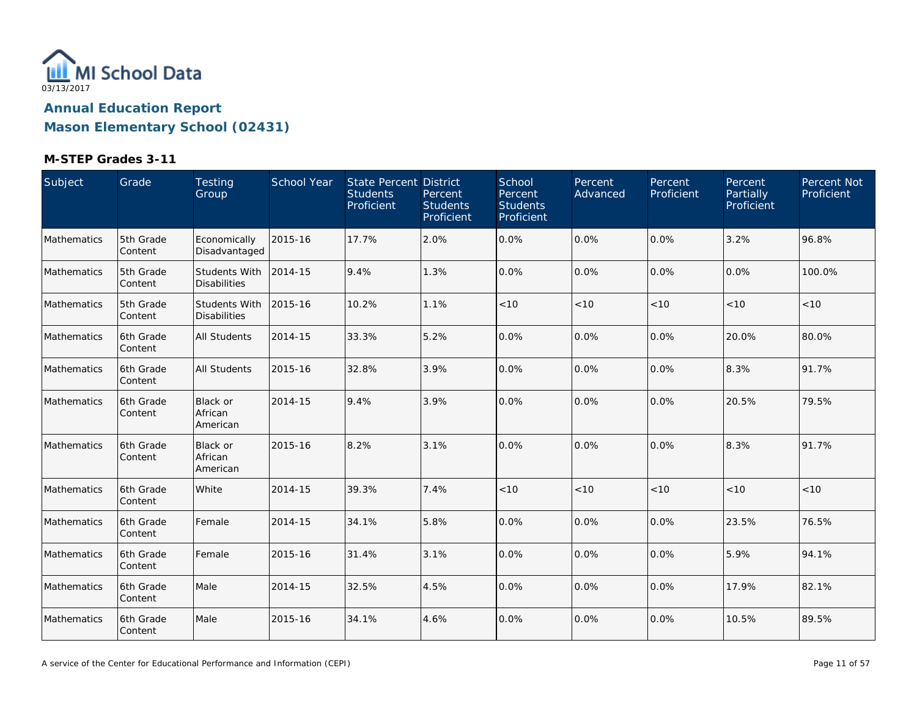

| Subject            | Grade                 | Testing<br>Group                       | School Year | State Percent District<br><b>Students</b><br>Proficient | Percent<br><b>Students</b><br>Proficient | School<br>Percent<br><b>Students</b><br>Proficient | Percent<br>Advanced | Percent<br>Proficient | Percent<br><b>Partially</b><br>Proficient | Percent Not<br>Proficient |
|--------------------|-----------------------|----------------------------------------|-------------|---------------------------------------------------------|------------------------------------------|----------------------------------------------------|---------------------|-----------------------|-------------------------------------------|---------------------------|
| Mathematics        | 5th Grade<br>Content  | Economically<br>Disadvantaged          | 2015-16     | 17.7%                                                   | 2.0%                                     | 0.0%                                               | 0.0%                | 0.0%                  | 3.2%                                      | 96.8%                     |
| Mathematics        | 5th Grade<br>Content  | Students With<br><b>Disabilities</b>   | 2014-15     | 9.4%                                                    | 1.3%                                     | 0.0%                                               | 0.0%                | $0.0\%$               | 0.0%                                      | 100.0%                    |
| Mathematics        | 5th Grade<br>Content  | Students With<br><b>Disabilities</b>   | 2015-16     | 10.2%                                                   | 1.1%                                     | < 10                                               | < 10                | < 10                  | < 10                                      | < 10                      |
| Mathematics        | 6th Grade<br>Content  | <b>All Students</b>                    | 2014-15     | 33.3%                                                   | 5.2%                                     | 0.0%                                               | 0.0%                | $0.0\%$               | 20.0%                                     | 80.0%                     |
| Mathematics        | 6th Grade<br>Content  | <b>All Students</b>                    | 2015-16     | 32.8%                                                   | 3.9%                                     | 0.0%                                               | 0.0%                | $0.0\%$               | 8.3%                                      | 91.7%                     |
| Mathematics        | l6th Grade<br>Content | <b>Black or</b><br>African<br>American | 2014-15     | 9.4%                                                    | 3.9%                                     | 0.0%                                               | 0.0%                | 0.0%                  | 20.5%                                     | 79.5%                     |
| Mathematics        | 6th Grade<br>Content  | <b>Black or</b><br>African<br>American | 2015-16     | 8.2%                                                    | 3.1%                                     | 0.0%                                               | 0.0%                | 0.0%                  | 8.3%                                      | 91.7%                     |
| Mathematics        | 6th Grade<br>Content  | White                                  | 2014-15     | 39.3%                                                   | 7.4%                                     | < 10                                               | < 10                | < 10                  | < 10                                      | < 10                      |
| <b>Mathematics</b> | 6th Grade<br>Content  | Female                                 | 2014-15     | 34.1%                                                   | 5.8%                                     | 0.0%                                               | 0.0%                | 0.0%                  | 23.5%                                     | 76.5%                     |
| Mathematics        | 6th Grade<br>Content  | Female                                 | 2015-16     | 31.4%                                                   | 3.1%                                     | 0.0%                                               | 0.0%                | 0.0%                  | 5.9%                                      | 94.1%                     |
| Mathematics        | 6th Grade<br>Content  | Male                                   | 2014-15     | 32.5%                                                   | 4.5%                                     | 0.0%                                               | 0.0%                | 0.0%                  | 17.9%                                     | 82.1%                     |
| Mathematics        | 6th Grade<br>Content  | Male                                   | 2015-16     | 34.1%                                                   | 4.6%                                     | 0.0%                                               | 0.0%                | 0.0%                  | 10.5%                                     | 89.5%                     |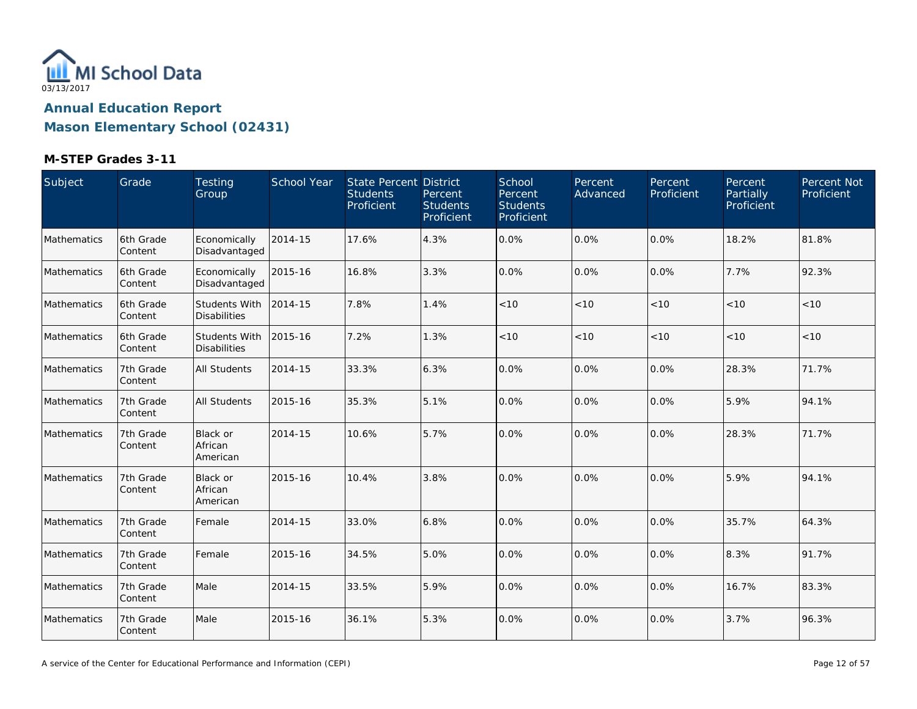

| Subject     | Grade                | Testing<br>Group                            | School Year | State Percent District<br><b>Students</b><br>Proficient | Percent<br><b>Students</b><br>Proficient | School<br>Percent<br><b>Students</b><br>Proficient | Percent<br>Advanced | Percent<br>Proficient | Percent,<br>Partially<br>Proficient | Percent Not<br>Proficient |
|-------------|----------------------|---------------------------------------------|-------------|---------------------------------------------------------|------------------------------------------|----------------------------------------------------|---------------------|-----------------------|-------------------------------------|---------------------------|
| Mathematics | 6th Grade<br>Content | Economically<br>Disadvantaged               | 2014-15     | 17.6%                                                   | 4.3%                                     | 0.0%                                               | 0.0%                | 0.0%                  | 18.2%                               | 81.8%                     |
| Mathematics | 6th Grade<br>Content | Economically<br>Disadvantaged               | 2015-16     | 16.8%                                                   | 3.3%                                     | 0.0%                                               | 0.0%                | $0.0\%$               | 7.7%                                | 92.3%                     |
| Mathematics | 6th Grade<br>Content | <b>Students With</b><br><b>Disabilities</b> | 2014-15     | 7.8%                                                    | 1.4%                                     | $<10$                                              | $<10$               | < 10                  | < 10                                | < 10                      |
| Mathematics | 6th Grade<br>Content | <b>Students With</b><br><b>Disabilities</b> | 2015-16     | 7.2%                                                    | 1.3%                                     | < 10                                               | < 10                | < 10                  | < 10                                | < 10                      |
| Mathematics | 7th Grade<br>Content | All Students                                | 2014-15     | 33.3%                                                   | 6.3%                                     | 0.0%                                               | 0.0%                | 0.0%                  | 28.3%                               | 71.7%                     |
| Mathematics | 7th Grade<br>Content | <b>All Students</b>                         | 2015-16     | 35.3%                                                   | 5.1%                                     | 0.0%                                               | 0.0%                | 0.0%                  | 5.9%                                | 94.1%                     |
| Mathematics | 7th Grade<br>Content | Black or<br>African<br>American             | 2014-15     | 10.6%                                                   | 5.7%                                     | 0.0%                                               | 0.0%                | $0.0\%$               | 28.3%                               | 71.7%                     |
| Mathematics | 7th Grade<br>Content | Black or<br>African<br>American             | 2015-16     | 10.4%                                                   | 3.8%                                     | 0.0%                                               | 0.0%                | 0.0%                  | 5.9%                                | 94.1%                     |
| Mathematics | 7th Grade<br>Content | Female                                      | 2014-15     | 33.0%                                                   | 6.8%                                     | 0.0%                                               | 0.0%                | 0.0%                  | 35.7%                               | 64.3%                     |
| Mathematics | 7th Grade<br>Content | Female                                      | 2015-16     | 34.5%                                                   | 5.0%                                     | 0.0%                                               | 0.0%                | 0.0%                  | 8.3%                                | 91.7%                     |
| Mathematics | 7th Grade<br>Content | Male                                        | 2014-15     | 33.5%                                                   | 5.9%                                     | 0.0%                                               | 0.0%                | $0.0\%$               | 16.7%                               | 83.3%                     |
| Mathematics | 7th Grade<br>Content | Male                                        | 2015-16     | 36.1%                                                   | 5.3%                                     | 0.0%                                               | 0.0%                | 0.0%                  | 3.7%                                | 96.3%                     |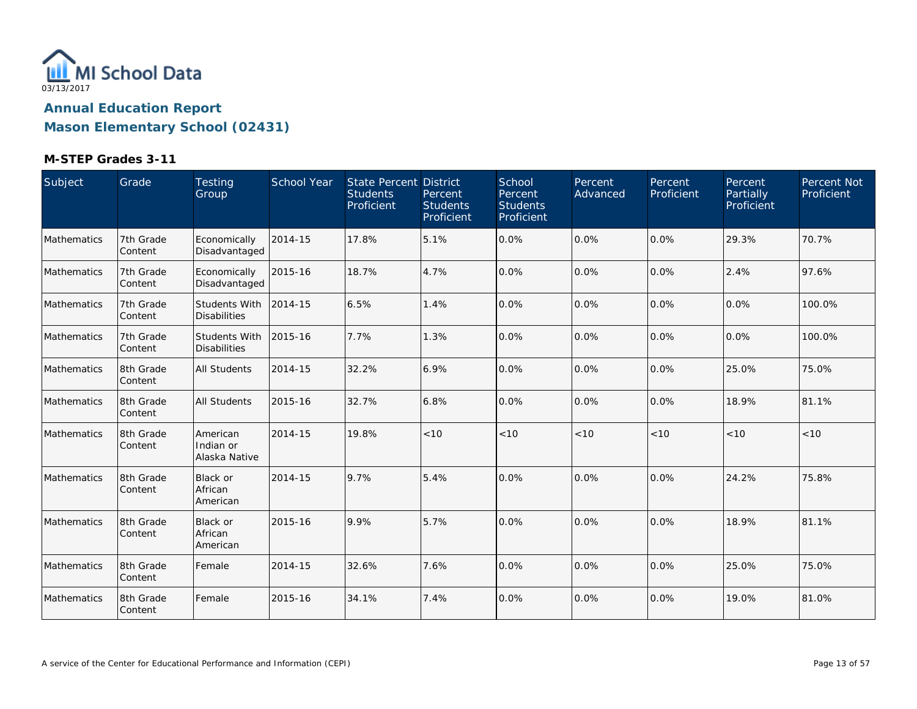

| Subject     | Grade                | Testing<br>Group                            | School Year | State Percent District<br><b>Students</b><br>Proficient | Percent<br><b>Students</b><br>Proficient | School<br>Percent<br><b>Students</b><br>Proficient | Percent<br>Advanced | Percent<br>Proficient | Percent<br><b>Partially</b><br>Proficient | Percent Not<br>Proficient |
|-------------|----------------------|---------------------------------------------|-------------|---------------------------------------------------------|------------------------------------------|----------------------------------------------------|---------------------|-----------------------|-------------------------------------------|---------------------------|
| Mathematics | 7th Grade<br>Content | Economically<br>Disadvantaged               | 2014-15     | 17.8%                                                   | 5.1%                                     | 0.0%                                               | 0.0%                | 0.0%                  | 29.3%                                     | 70.7%                     |
| Mathematics | 7th Grade<br>Content | Economically<br>Disadvantaged               | 2015-16     | 18.7%                                                   | 4.7%                                     | 0.0%                                               | 0.0%                | $0.0\%$               | 2.4%                                      | 97.6%                     |
| Mathematics | 7th Grade<br>Content | <b>Students With</b><br><b>Disabilities</b> | 2014-15     | 6.5%                                                    | 1.4%                                     | 0.0%                                               | 0.0%                | 0.0%                  | 0.0%                                      | 100.0%                    |
| Mathematics | 7th Grade<br>Content | <b>Students With</b><br><b>Disabilities</b> | 2015-16     | 7.7%                                                    | 1.3%                                     | 0.0%                                               | 0.0%                | $0.0\%$               | 0.0%                                      | 100.0%                    |
| Mathematics | 8th Grade<br>Content | <b>All Students</b>                         | 2014-15     | 32.2%                                                   | 6.9%                                     | 0.0%                                               | 0.0%                | $0.0\%$               | 25.0%                                     | 75.0%                     |
| Mathematics | 8th Grade<br>Content | <b>All Students</b>                         | 2015-16     | 32.7%                                                   | 6.8%                                     | 0.0%                                               | 0.0%                | 0.0%                  | 18.9%                                     | 81.1%                     |
| Mathematics | 8th Grade<br>Content | American<br>Indian or<br>Alaska Native      | 2014-15     | 19.8%                                                   | < 10                                     | < 10                                               | < 10                | < 10                  | < 10                                      | < 10                      |
| Mathematics | 8th Grade<br>Content | <b>Black or</b><br>African<br>American      | 2014-15     | 9.7%                                                    | 5.4%                                     | 0.0%                                               | 0.0%                | 0.0%                  | 24.2%                                     | 75.8%                     |
| Mathematics | 8th Grade<br>Content | Black or<br>African<br>American             | 2015-16     | 9.9%                                                    | 5.7%                                     | 0.0%                                               | 0.0%                | $0.0\%$               | 18.9%                                     | 81.1%                     |
| Mathematics | 8th Grade<br>Content | Female                                      | 2014-15     | 32.6%                                                   | 7.6%                                     | 0.0%                                               | 0.0%                | 0.0%                  | 25.0%                                     | 75.0%                     |
| Mathematics | 8th Grade<br>Content | Female                                      | 2015-16     | 34.1%                                                   | 7.4%                                     | 0.0%                                               | 0.0%                | $0.0\%$               | 19.0%                                     | 81.0%                     |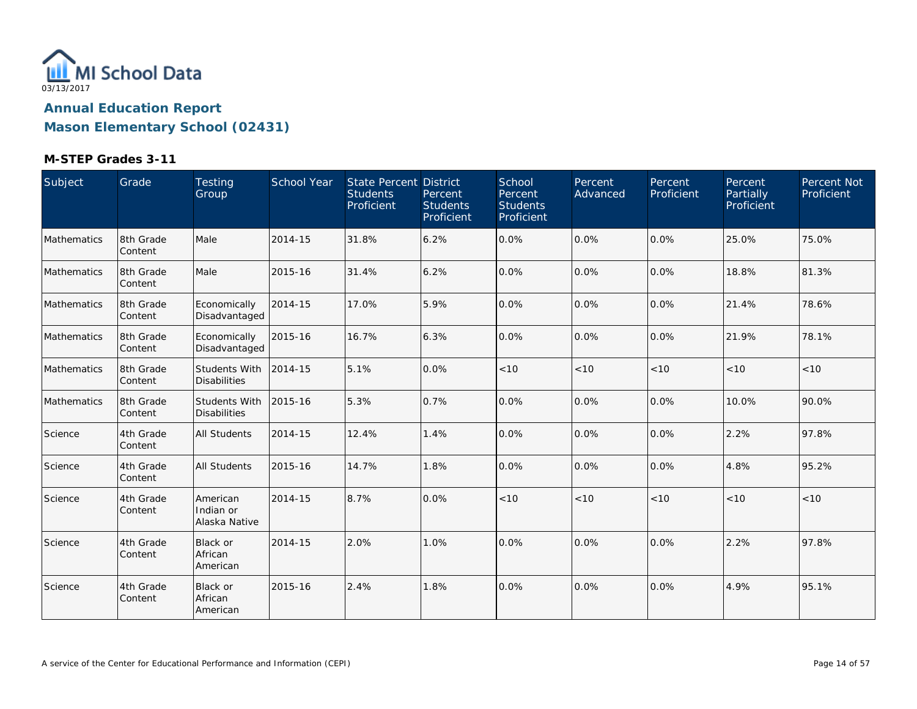

| Subject            | Grade                 | <b>Testing</b><br>Group                     | School Year | <b>State Percent District</b><br><b>Students</b><br>Proficient | Percent<br><b>Students</b><br>Proficient | School<br>Percent<br><b>Students</b><br>Proficient | Percent<br>Advanced | Percent<br>Proficient | Percent<br><b>Partially</b><br>Proficient | Percent Not<br>Proficient |
|--------------------|-----------------------|---------------------------------------------|-------------|----------------------------------------------------------------|------------------------------------------|----------------------------------------------------|---------------------|-----------------------|-------------------------------------------|---------------------------|
| <b>Mathematics</b> | 8th Grade<br>Content  | Male                                        | 2014-15     | 31.8%                                                          | 6.2%                                     | 0.0%                                               | 0.0%                | $0.0\%$               | 25.0%                                     | 75.0%                     |
| Mathematics        | 18th Grade<br>Content | Male                                        | 2015-16     | 31.4%                                                          | 6.2%                                     | 0.0%                                               | 0.0%                | 0.0%                  | 18.8%                                     | 81.3%                     |
| Mathematics        | 18th Grade<br>Content | Economically<br>Disadvantaged               | 2014-15     | 17.0%                                                          | 5.9%                                     | 0.0%                                               | 0.0%                | 0.0%                  | 21.4%                                     | 78.6%                     |
| Mathematics        | 8th Grade<br>Content  | Economically<br>Disadvantaged               | 2015-16     | 16.7%                                                          | 6.3%                                     | 0.0%                                               | 0.0%                | 0.0%                  | 21.9%                                     | 78.1%                     |
| Mathematics        | 8th Grade<br>Content  | <b>Students With</b><br><b>Disabilities</b> | 2014-15     | 5.1%                                                           | 0.0%                                     | < 10                                               | < 10                | < 10                  | < 10                                      | < 10                      |
| Mathematics        | 8th Grade<br> Content | <b>Students With</b><br><b>Disabilities</b> | 2015-16     | 5.3%                                                           | 0.7%                                     | 0.0%                                               | 0.0%                | $0.0\%$               | 10.0%                                     | 90.0%                     |
| Science            | 4th Grade<br>Content  | <b>All Students</b>                         | 2014-15     | 12.4%                                                          | 1.4%                                     | 0.0%                                               | 0.0%                | 0.0%                  | 2.2%                                      | 97.8%                     |
| Science            | 4th Grade<br>Content  | All Students                                | 2015-16     | 14.7%                                                          | 1.8%                                     | 0.0%                                               | 0.0%                | 0.0%                  | 4.8%                                      | 95.2%                     |
| Science            | 4th Grade<br>Content  | American<br>Indian or<br>Alaska Native      | 2014-15     | 8.7%                                                           | 0.0%                                     | < 10                                               | < 10                | < 10                  | < 10                                      | < 10                      |
| Science            | 4th Grade<br>Content  | Black or<br>African<br>American             | 2014-15     | 2.0%                                                           | 1.0%                                     | 0.0%                                               | 0.0%                | 0.0%                  | 2.2%                                      | 97.8%                     |
| Science            | 4th Grade<br>Content  | <b>Black or</b><br>African<br>American      | 2015-16     | 2.4%                                                           | 1.8%                                     | 0.0%                                               | 0.0%                | 0.0%                  | 4.9%                                      | 95.1%                     |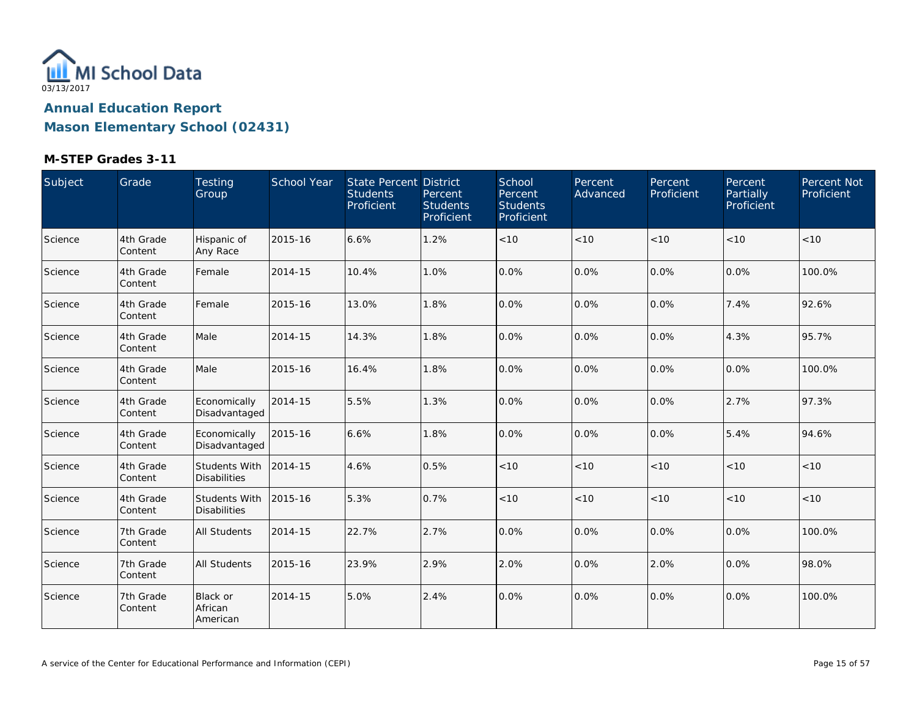

| Subject | Grade                | Testing<br>Group                            | School Year | State Percent District<br><b>Students</b><br>Proficient | Percent<br><b>Students</b><br>Proficient | School<br>Percent<br><b>Students</b><br>Proficient | Percent<br>Advanced | Percent<br>Proficient | Percent<br>Partially<br>Proficient | Percent Not<br>Proficient |
|---------|----------------------|---------------------------------------------|-------------|---------------------------------------------------------|------------------------------------------|----------------------------------------------------|---------------------|-----------------------|------------------------------------|---------------------------|
| Science | 4th Grade<br>Content | Hispanic of<br>Any Race                     | 2015-16     | 6.6%                                                    | 1.2%                                     | $<10$                                              | < 10                | < 10                  | < 10                               | < 10                      |
| Science | 4th Grade<br>Content | Female                                      | 2014-15     | 10.4%                                                   | 1.0%                                     | 0.0%                                               | 0.0%                | 0.0%                  | 0.0%                               | 100.0%                    |
| Science | 4th Grade<br>Content | Female                                      | 2015-16     | 13.0%                                                   | 1.8%                                     | 0.0%                                               | 0.0%                | 0.0%                  | 7.4%                               | 92.6%                     |
| Science | 4th Grade<br>Content | Male                                        | 2014-15     | 14.3%                                                   | 1.8%                                     | 0.0%                                               | 0.0%                | 0.0%                  | 4.3%                               | 95.7%                     |
| Science | 4th Grade<br>Content | Male                                        | 2015-16     | 16.4%                                                   | 1.8%                                     | 0.0%                                               | 0.0%                | 0.0%                  | 0.0%                               | 100.0%                    |
| Science | 4th Grade<br>Content | Economically<br>Disadvantaged               | 2014-15     | 5.5%                                                    | 1.3%                                     | 0.0%                                               | 0.0%                | 0.0%                  | 2.7%                               | 97.3%                     |
| Science | 4th Grade<br>Content | Economically<br>Disadvantaged               | 2015-16     | 6.6%                                                    | 1.8%                                     | 0.0%                                               | 0.0%                | 0.0%                  | 5.4%                               | 94.6%                     |
| Science | 4th Grade<br>Content | <b>Students With</b><br><b>Disabilities</b> | 2014-15     | 4.6%                                                    | 0.5%                                     | < 10                                               | < 10                | < 10                  | < 10                               | < 10                      |
| Science | 4th Grade<br>Content | Students With<br><b>Disabilities</b>        | 2015-16     | 5.3%                                                    | 0.7%                                     | $<10$                                              | < 10                | $<10$                 | < 10                               | < 10                      |
| Science | 7th Grade<br>Content | All Students                                | 2014-15     | 22.7%                                                   | 2.7%                                     | 0.0%                                               | 0.0%                | 0.0%                  | 0.0%                               | 100.0%                    |
| Science | 7th Grade<br>Content | <b>All Students</b>                         | 2015-16     | 23.9%                                                   | 2.9%                                     | 2.0%                                               | 0.0%                | 2.0%                  | 0.0%                               | 98.0%                     |
| Science | 7th Grade<br>Content | Black or<br>African<br>American             | 2014-15     | 5.0%                                                    | 2.4%                                     | 0.0%                                               | 0.0%                | 0.0%                  | 0.0%                               | 100.0%                    |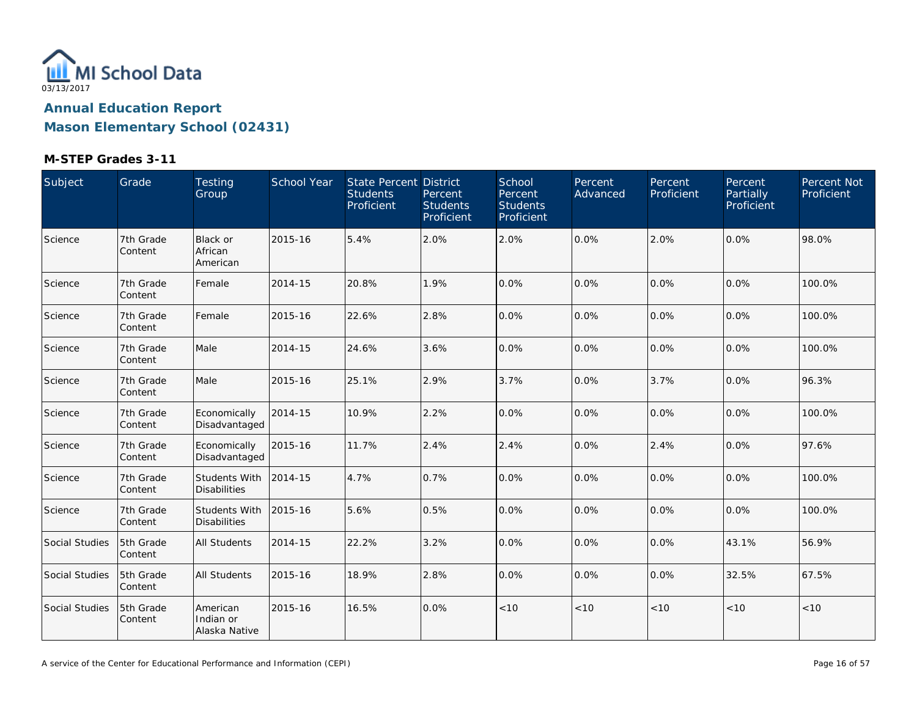

| Subject        | Grade                | <b>Testing</b><br>Group                     | School Year | State Percent District<br><b>Students</b><br>Proficient | Percent<br><b>Students</b><br>Proficient | School<br>Percent<br><b>Students</b><br>Proficient | Percent<br>Advanced | Percent<br>Proficient | Percent<br>Partially<br>Proficient | Percent Not<br>Proficient |
|----------------|----------------------|---------------------------------------------|-------------|---------------------------------------------------------|------------------------------------------|----------------------------------------------------|---------------------|-----------------------|------------------------------------|---------------------------|
| Science        | 7th Grade<br>Content | Black or<br>African<br>American             | 2015-16     | 5.4%                                                    | 2.0%                                     | 2.0%                                               | 0.0%                | 2.0%                  | 0.0%                               | 98.0%                     |
| Science        | 7th Grade<br>Content | Female                                      | 2014-15     | 20.8%                                                   | 1.9%                                     | 0.0%                                               | 0.0%                | 0.0%                  | 0.0%                               | 100.0%                    |
| Science        | 7th Grade<br>Content | Female                                      | 2015-16     | 22.6%                                                   | 2.8%                                     | 0.0%                                               | 0.0%                | 0.0%                  | 0.0%                               | 100.0%                    |
| Science        | 7th Grade<br>Content | Male                                        | 2014-15     | 24.6%                                                   | 3.6%                                     | 0.0%                                               | 0.0%                | $0.0\%$               | 0.0%                               | 100.0%                    |
| Science        | 7th Grade<br>Content | Male                                        | 2015-16     | 25.1%                                                   | 2.9%                                     | 3.7%                                               | 0.0%                | 3.7%                  | 0.0%                               | 96.3%                     |
| Science        | 7th Grade<br>Content | Economically<br>Disadvantaged               | 2014-15     | 10.9%                                                   | 2.2%                                     | 0.0%                                               | 0.0%                | 0.0%                  | 0.0%                               | 100.0%                    |
| Science        | 7th Grade<br>Content | Economically<br>Disadvantaged               | 2015-16     | 11.7%                                                   | 2.4%                                     | 2.4%                                               | 0.0%                | 2.4%                  | 0.0%                               | 97.6%                     |
| Science        | 7th Grade<br>Content | <b>Students With</b><br><b>Disabilities</b> | 2014-15     | 4.7%                                                    | 0.7%                                     | 0.0%                                               | 0.0%                | $0.0\%$               | 0.0%                               | 100.0%                    |
| Science        | 7th Grade<br>Content | <b>Students With</b><br><b>Disabilities</b> | 2015-16     | 5.6%                                                    | 0.5%                                     | 0.0%                                               | 0.0%                | 0.0%                  | 0.0%                               | 100.0%                    |
| Social Studies | 5th Grade<br>Content | All Students                                | 2014-15     | 22.2%                                                   | 3.2%                                     | 0.0%                                               | 0.0%                | 0.0%                  | 43.1%                              | 56.9%                     |
| Social Studies | 5th Grade<br>Content | All Students                                | 2015-16     | 18.9%                                                   | 2.8%                                     | 0.0%                                               | 0.0%                | 0.0%                  | 32.5%                              | 67.5%                     |
| Social Studies | 5th Grade<br>Content | American<br>Indian or<br>Alaska Native      | 2015-16     | 16.5%                                                   | 0.0%                                     | $<10$                                              | < 10                | < 10                  | < 10                               | $<10$                     |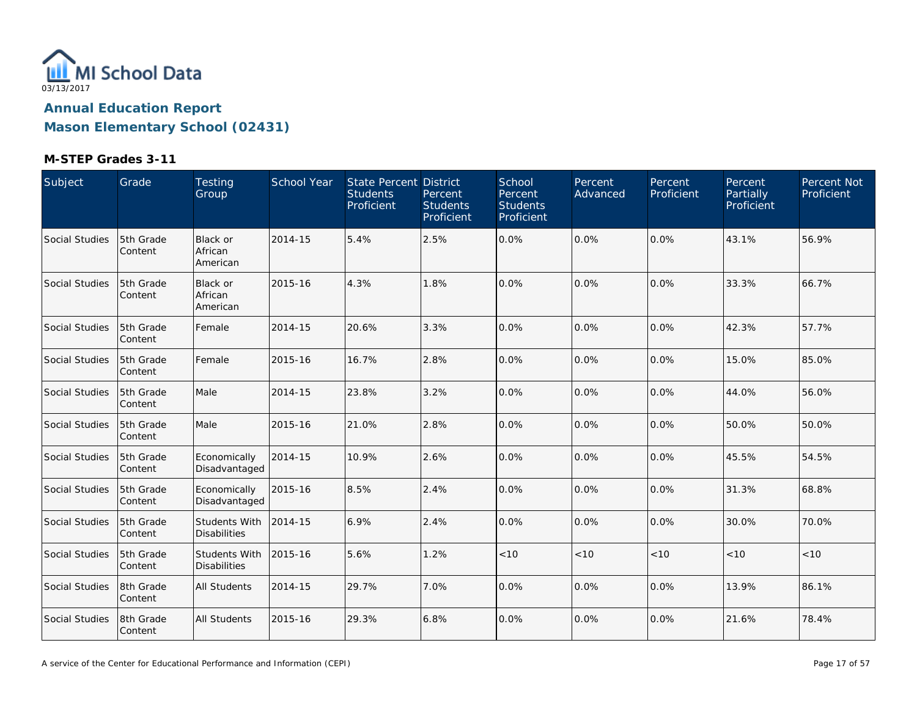

| Subject        | Grade                | Testing<br>Group                            | School Year | State Percent District<br><b>Students</b><br>Proficient | Percent<br><b>Students</b><br>Proficient | School<br>Percent<br><b>Students</b><br>Proficient | Percent<br>Advanced | Percent<br>Proficient | Percent<br>Partially<br>Proficient | Percent Not<br>Proficient |
|----------------|----------------------|---------------------------------------------|-------------|---------------------------------------------------------|------------------------------------------|----------------------------------------------------|---------------------|-----------------------|------------------------------------|---------------------------|
| Social Studies | 5th Grade<br>Content | <b>Black or</b><br>African<br>American      | 2014-15     | 5.4%                                                    | 2.5%                                     | 0.0%                                               | 0.0%                | 0.0%                  | 43.1%                              | 56.9%                     |
| Social Studies | 5th Grade<br>Content | Black or<br>African<br>American             | 2015-16     | 4.3%                                                    | 1.8%                                     | 0.0%                                               | 0.0%                | 0.0%                  | 33.3%                              | 66.7%                     |
| Social Studies | 5th Grade<br>Content | Female                                      | 2014-15     | 20.6%                                                   | 3.3%                                     | 0.0%                                               | 0.0%                | $0.0\%$               | 42.3%                              | 57.7%                     |
| Social Studies | 5th Grade<br>Content | Female                                      | 2015-16     | 16.7%                                                   | 2.8%                                     | 0.0%                                               | 0.0%                | 0.0%                  | 15.0%                              | 85.0%                     |
| Social Studies | 5th Grade<br>Content | Male                                        | 2014-15     | 23.8%                                                   | 3.2%                                     | 0.0%                                               | 0.0%                | 0.0%                  | 44.0%                              | 56.0%                     |
| Social Studies | 5th Grade<br>Content | Male                                        | 2015-16     | 21.0%                                                   | 2.8%                                     | 0.0%                                               | 0.0%                | 0.0%                  | 50.0%                              | 50.0%                     |
| Social Studies | 5th Grade<br>Content | Economically<br>Disadvantaged               | 2014-15     | 10.9%                                                   | 2.6%                                     | 0.0%                                               | 0.0%                | 0.0%                  | 45.5%                              | 54.5%                     |
| Social Studies | 5th Grade<br>Content | Economically<br>Disadvantaged               | 2015-16     | 8.5%                                                    | 2.4%                                     | 0.0%                                               | 0.0%                | 0.0%                  | 31.3%                              | 68.8%                     |
| Social Studies | 5th Grade<br>Content | Students With<br><b>Disabilities</b>        | 2014-15     | 6.9%                                                    | 2.4%                                     | 0.0%                                               | 0.0%                | 0.0%                  | 30.0%                              | 70.0%                     |
| Social Studies | 5th Grade<br>Content | <b>Students With</b><br><b>Disabilities</b> | 2015-16     | 5.6%                                                    | 1.2%                                     | < 10                                               | < 10                | < 10                  | < 10                               | $<10$                     |
| Social Studies | 8th Grade<br>Content | <b>All Students</b>                         | 2014-15     | 29.7%                                                   | 7.0%                                     | 0.0%                                               | 0.0%                | 0.0%                  | 13.9%                              | 86.1%                     |
| Social Studies | 8th Grade<br>Content | <b>All Students</b>                         | 2015-16     | 29.3%                                                   | 6.8%                                     | 0.0%                                               | 0.0%                | $0.0\%$               | 21.6%                              | 78.4%                     |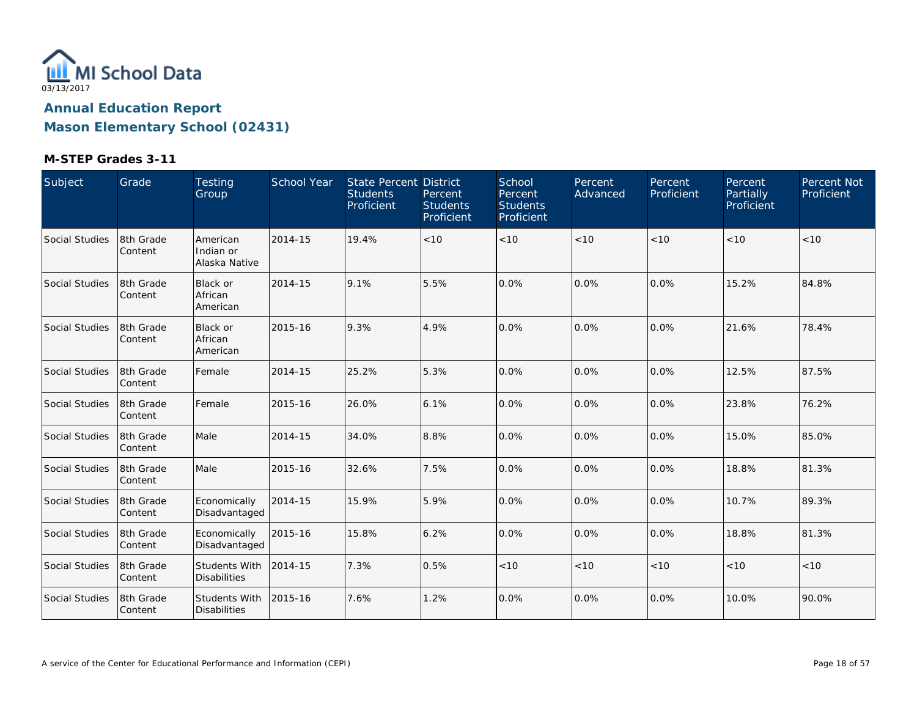

| Subject        | Grade                | Testing<br>Group                            | School Year | State Percent District<br><b>Students</b><br>Proficient | Percent<br><b>Students</b><br>Proficient | School<br>Percent<br><b>Students</b><br>Proficient | Percent<br>Advanced | Percent<br>Proficient | Percent<br><b>Partially</b><br>Proficient | Percent Not<br>Proficient |
|----------------|----------------------|---------------------------------------------|-------------|---------------------------------------------------------|------------------------------------------|----------------------------------------------------|---------------------|-----------------------|-------------------------------------------|---------------------------|
| Social Studies | 8th Grade<br>Content | American<br>Indian or<br>Alaska Native      | 2014-15     | 19.4%                                                   | < 10                                     | < 10                                               | < 10                | < 10                  | < 10                                      | < 10                      |
| Social Studies | 8th Grade<br>Content | <b>Black or</b><br>African<br>American      | 2014-15     | 9.1%                                                    | 5.5%                                     | 0.0%                                               | 0.0%                | 0.0%                  | 15.2%                                     | 84.8%                     |
| Social Studies | 8th Grade<br>Content | <b>Black or</b><br>African<br>American      | 2015-16     | 9.3%                                                    | 4.9%                                     | 0.0%                                               | 0.0%                | 0.0%                  | 21.6%                                     | 78.4%                     |
| Social Studies | 8th Grade<br>Content | Female                                      | 2014-15     | 25.2%                                                   | 5.3%                                     | 0.0%                                               | 0.0%                | 0.0%                  | 12.5%                                     | 87.5%                     |
| Social Studies | 8th Grade<br>Content | Female                                      | 2015-16     | 26.0%                                                   | 6.1%                                     | 0.0%                                               | 0.0%                | 0.0%                  | 23.8%                                     | 76.2%                     |
| Social Studies | 8th Grade<br>Content | Male                                        | 2014-15     | 34.0%                                                   | 8.8%                                     | 0.0%                                               | 0.0%                | 0.0%                  | 15.0%                                     | 85.0%                     |
| Social Studies | 8th Grade<br>Content | Male                                        | 2015-16     | 32.6%                                                   | 7.5%                                     | 0.0%                                               | 0.0%                | 0.0%                  | 18.8%                                     | 81.3%                     |
| Social Studies | 8th Grade<br>Content | Economically<br>Disadvantaged               | 2014-15     | 15.9%                                                   | 5.9%                                     | 0.0%                                               | 0.0%                | 0.0%                  | 10.7%                                     | 89.3%                     |
| Social Studies | 8th Grade<br>Content | Economically<br>Disadvantaged               | 2015-16     | 15.8%                                                   | 6.2%                                     | 0.0%                                               | 0.0%                | 0.0%                  | 18.8%                                     | 81.3%                     |
| Social Studies | 8th Grade<br>Content | <b>Students With</b><br><b>Disabilities</b> | 2014-15     | 7.3%                                                    | 0.5%                                     | < 10                                               | < 10                | < 10                  | < 10                                      | < 10                      |
| Social Studies | 8th Grade<br>Content | Students With<br><b>Disabilities</b>        | 2015-16     | 7.6%                                                    | 1.2%                                     | 0.0%                                               | 0.0%                | 0.0%                  | 10.0%                                     | 90.0%                     |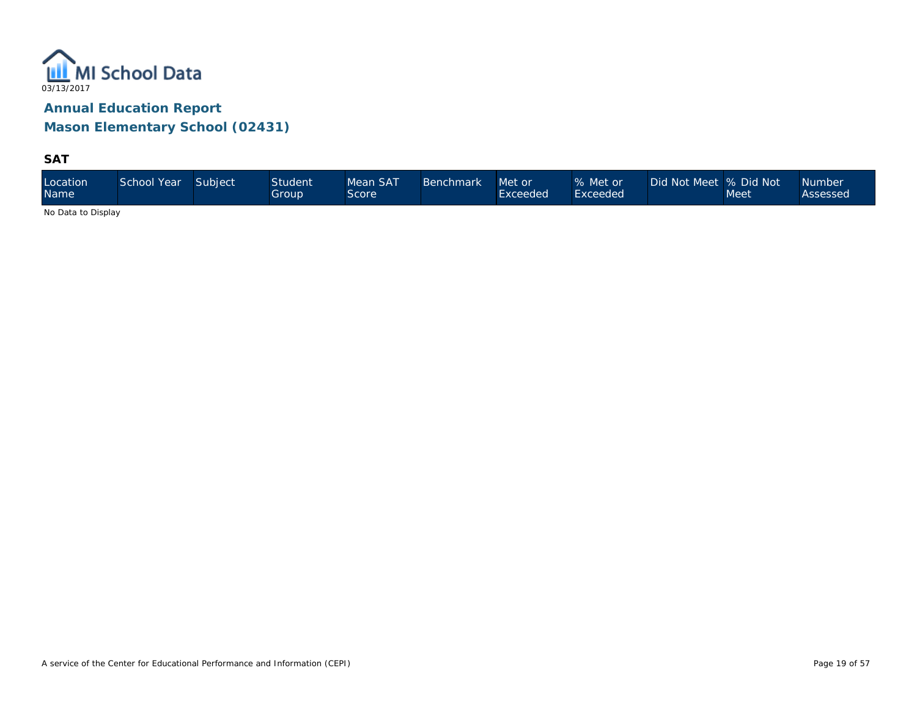

**SAT**

| Location<br><b>Name</b> | School Year | Subject | <b>Student</b><br>Group | Mean SAT<br>Score | <b>Benchmark</b> | Met or<br>Exceeded | % Met or<br>Exceeded <sup>1</sup> | Did Not Meet 9% Did Not \ | Meet | <b>Number</b><br>Assessed |
|-------------------------|-------------|---------|-------------------------|-------------------|------------------|--------------------|-----------------------------------|---------------------------|------|---------------------------|
|-------------------------|-------------|---------|-------------------------|-------------------|------------------|--------------------|-----------------------------------|---------------------------|------|---------------------------|

No Data to Display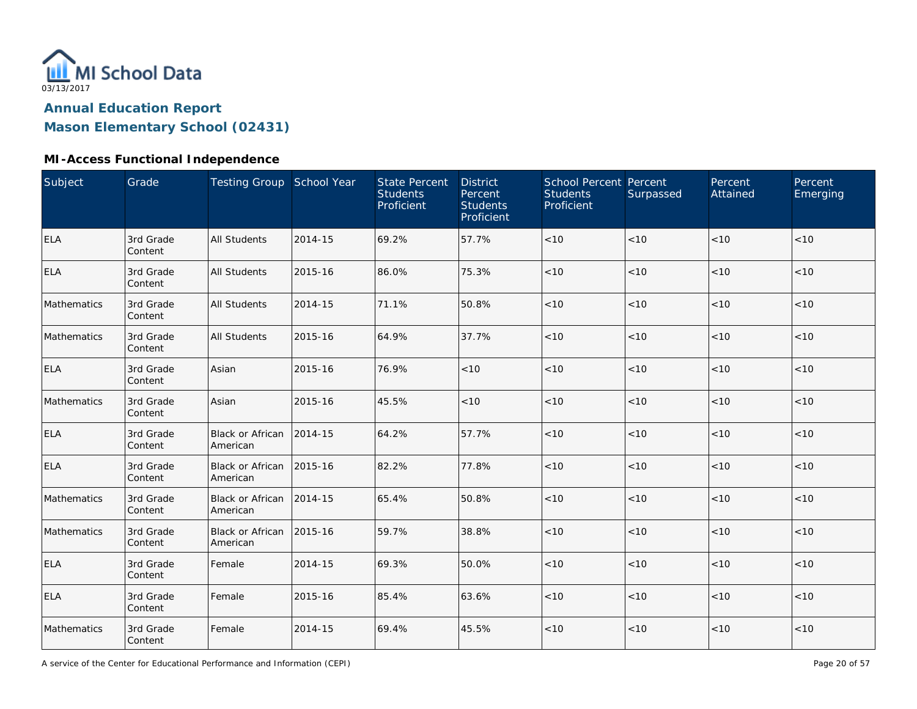

**Mason Elementary School (02431)**

| Subject     | Grade                | Testing Group School Year    |         | <b>State Percent</b><br><b>Students</b><br>Proficient | <b>District</b><br>Percent<br><b>Students</b><br>Proficient | <b>School Percent Percent</b><br><b>Students</b><br>Proficient | Surpassed | Percent<br>Attained | Percent<br>Emerging |
|-------------|----------------------|------------------------------|---------|-------------------------------------------------------|-------------------------------------------------------------|----------------------------------------------------------------|-----------|---------------------|---------------------|
| ELA         | 3rd Grade<br>Content | <b>All Students</b>          | 2014-15 | 69.2%                                                 | 57.7%                                                       | $<10$                                                          | < 10      | $<10$               | < 10                |
| ELA         | 3rd Grade<br>Content | <b>All Students</b>          | 2015-16 | 86.0%                                                 | 75.3%                                                       | < 10                                                           | < 10      | <10                 | < 10                |
| Mathematics | 3rd Grade<br>Content | All Students                 | 2014-15 | 71.1%                                                 | 50.8%                                                       | $<10$                                                          | < 10      | <10                 | $<10$               |
| Mathematics | 3rd Grade<br>Content | <b>All Students</b>          | 2015-16 | 64.9%                                                 | 37.7%                                                       | $<10$                                                          | < 10      | < 10                | < 10                |
| ELA         | 3rd Grade<br>Content | Asian                        | 2015-16 | 76.9%                                                 | $<10$                                                       | < 10                                                           | $<10$     | < 10                | < 10                |
| Mathematics | 3rd Grade<br>Content | Asian                        | 2015-16 | 45.5%                                                 | < 10                                                        | < 10                                                           | < 10      | < 10                | < 10                |
| <b>ELA</b>  | 3rd Grade<br>Content | Black or African<br>American | 2014-15 | 64.2%                                                 | 57.7%                                                       | < 10                                                           | < 10      | < 10                | < 10                |
| <b>ELA</b>  | 3rd Grade<br>Content | Black or African<br>American | 2015-16 | 82.2%                                                 | 77.8%                                                       | < 10                                                           | < 10      | < 10                | < 10                |
| Mathematics | 3rd Grade<br>Content | Black or African<br>American | 2014-15 | 65.4%                                                 | 50.8%                                                       | $<10$                                                          | < 10      | <10                 | < 10                |
| Mathematics | 3rd Grade<br>Content | Black or African<br>American | 2015-16 | 59.7%                                                 | 38.8%                                                       | < 10                                                           | < 10      | < 10                | < 10                |
| <b>ELA</b>  | 3rd Grade<br>Content | Female                       | 2014-15 | 69.3%                                                 | 50.0%                                                       | < 10                                                           | < 10      | < 10                | < 10                |
| <b>ELA</b>  | 3rd Grade<br>Content | Female                       | 2015-16 | 85.4%                                                 | 63.6%                                                       | $<10$                                                          | $<10$     | < 10                | < 10                |
| Mathematics | 3rd Grade<br>Content | Female                       | 2014-15 | 69.4%                                                 | 45.5%                                                       | < 10                                                           | < 10      | < 10                | < 10                |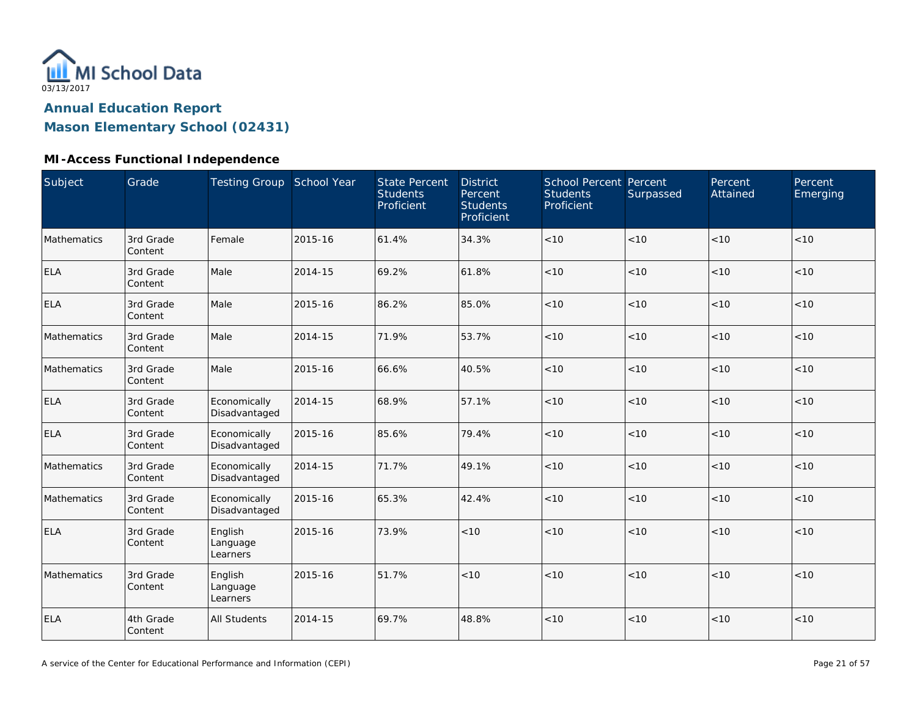

**Mason Elementary School (02431)**

| Subject     | Grade                | Testing Group School Year       |         | <b>State Percent</b><br><b>Students</b><br>Proficient | <b>District</b><br>Percent<br><b>Students</b><br>Proficient | <b>School Percent Percent</b><br><b>Students</b><br>Proficient | Surpassed | Percent<br>Attained | Percent<br>Emerging |
|-------------|----------------------|---------------------------------|---------|-------------------------------------------------------|-------------------------------------------------------------|----------------------------------------------------------------|-----------|---------------------|---------------------|
| Mathematics | 3rd Grade<br>Content | Female                          | 2015-16 | 61.4%                                                 | 34.3%                                                       | < 10                                                           | < 10      | < 10                | < 10                |
| <b>ELA</b>  | 3rd Grade<br>Content | Male                            | 2014-15 | 69.2%                                                 | 61.8%                                                       | < 10                                                           | < 10      | < 10                | < 10                |
| <b>ELA</b>  | 3rd Grade<br>Content | Male                            | 2015-16 | 86.2%                                                 | 85.0%                                                       | $<10$                                                          | $<10$     | < 10                | < 10                |
| Mathematics | 3rd Grade<br>Content | Male                            | 2014-15 | 71.9%                                                 | 53.7%                                                       | $<10$                                                          | < 10      | < 10                | < 10                |
| Mathematics | 3rd Grade<br>Content | Male                            | 2015-16 | 66.6%                                                 | 40.5%                                                       | $<10$                                                          | < 10      | $<10$               | $<10$               |
| <b>ELA</b>  | 3rd Grade<br>Content | Economically<br>Disadvantaged   | 2014-15 | 68.9%                                                 | 57.1%                                                       | < 10                                                           | < 10      | < 10                | < 10                |
| <b>ELA</b>  | 3rd Grade<br>Content | Economically<br>Disadvantaged   | 2015-16 | 85.6%                                                 | 79.4%                                                       | < 10                                                           | < 10      | < 10                | < 10                |
| Mathematics | 3rd Grade<br>Content | Economically<br>Disadvantaged   | 2014-15 | 71.7%                                                 | 49.1%                                                       | < 10                                                           | < 10      | < 10                | < 10                |
| Mathematics | 3rd Grade<br>Content | Economically<br>Disadvantaged   | 2015-16 | 65.3%                                                 | 42.4%                                                       | < 10                                                           | < 10      | < 10                | < 10                |
| <b>ELA</b>  | 3rd Grade<br>Content | English<br>Language<br>Learners | 2015-16 | 73.9%                                                 | < 10                                                        | < 10                                                           | < 10      | < 10                | $<10$               |
| Mathematics | 3rd Grade<br>Content | English<br>Language<br>Learners | 2015-16 | 51.7%                                                 | < 10                                                        | < 10                                                           | < 10      | < 10                | < 10                |
| <b>ELA</b>  | 4th Grade<br>Content | <b>All Students</b>             | 2014-15 | 69.7%                                                 | 48.8%                                                       | $<10$                                                          | < 10      | < 10                | < 10                |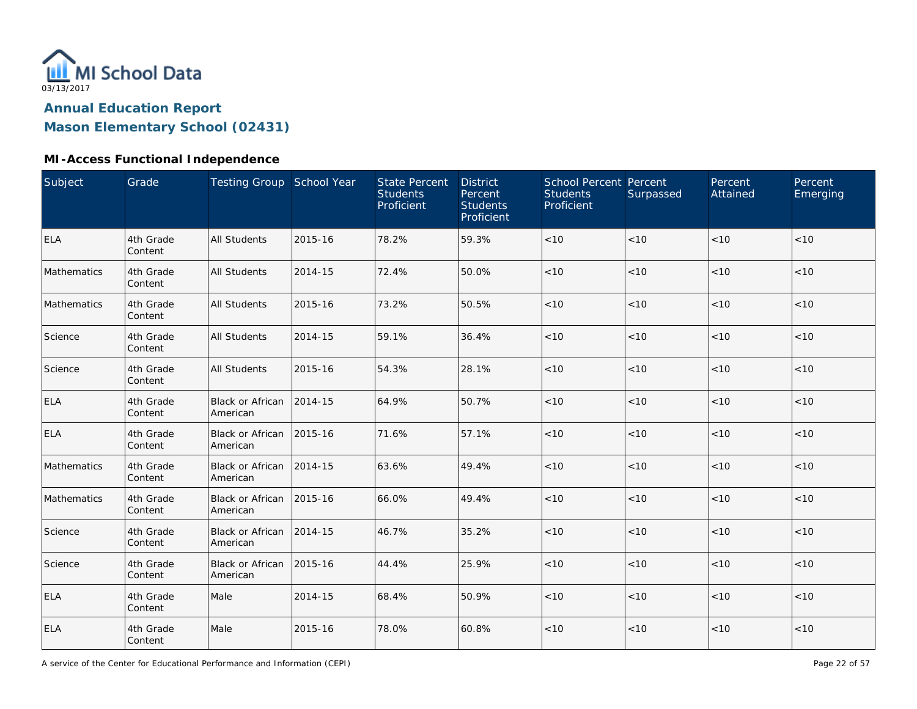

**Mason Elementary School (02431)**

| Subject     | Grade                | Testing Group School Year            |         | <b>State Percent</b><br><b>Students</b><br>Proficient | <b>District</b><br>Percent<br><b>Students</b><br>Proficient | School Percent Percent<br><b>Students</b><br>Proficient | Surpassed | Percent<br>Attained | Percent<br>Emerging |
|-------------|----------------------|--------------------------------------|---------|-------------------------------------------------------|-------------------------------------------------------------|---------------------------------------------------------|-----------|---------------------|---------------------|
| <b>ELA</b>  | 4th Grade<br>Content | <b>All Students</b>                  | 2015-16 | 78.2%                                                 | 59.3%                                                       | $<10$                                                   | < 10      | <10                 | < 10                |
| Mathematics | 4th Grade<br>Content | <b>All Students</b>                  | 2014-15 | 72.4%                                                 | 50.0%                                                       | < 10                                                    | < 10      | < 10                | < 10                |
| Mathematics | 4th Grade<br>Content | <b>All Students</b>                  | 2015-16 | 73.2%                                                 | 50.5%                                                       | $<10$                                                   | < 10      | < 10                | < 10                |
| Science     | 4th Grade<br>Content | All Students                         | 2014-15 | 59.1%                                                 | 36.4%                                                       | < 10                                                    | < 10      | < 10                | < 10                |
| Science     | 4th Grade<br>Content | <b>All Students</b>                  | 2015-16 | 54.3%                                                 | 28.1%                                                       | $<10$                                                   | < 10      | < 10                | < 10                |
| <b>ELA</b>  | 4th Grade<br>Content | <b>Black or African</b><br>American  | 2014-15 | 64.9%                                                 | 50.7%                                                       | < 10                                                    | < 10      | < 10                | < 10                |
| <b>ELA</b>  | 4th Grade<br>Content | Black or African<br>American         | 2015-16 | 71.6%                                                 | 57.1%                                                       | $<10$                                                   | < 10      | < 10                | < 10                |
| Mathematics | 4th Grade<br>Content | <b>Black or African</b><br>American  | 2014-15 | 63.6%                                                 | 49.4%                                                       | $<10$                                                   | < 10      | < 10                | < 10                |
| Mathematics | 4th Grade<br>Content | <b>Black or African</b><br>American  | 2015-16 | 66.0%                                                 | 49.4%                                                       | $<10$                                                   | < 10      | < 10                | < 10                |
| Science     | 4th Grade<br>Content | Black or African 2014-15<br>American |         | 46.7%                                                 | 35.2%                                                       | < 10                                                    | < 10      | < 10                | < 10                |
| Science     | 4th Grade<br>Content | Black or African<br>American         | 2015-16 | 44.4%                                                 | 25.9%                                                       | < 10                                                    | < 10      | < 10                | < 10                |
| <b>ELA</b>  | 4th Grade<br>Content | Male                                 | 2014-15 | 68.4%                                                 | 50.9%                                                       | $<10$                                                   | < 10      | < 10                | < 10                |
| ELA         | 4th Grade<br>Content | Male                                 | 2015-16 | 78.0%                                                 | 60.8%                                                       | < 10                                                    | $<10$     | < 10                | < 10                |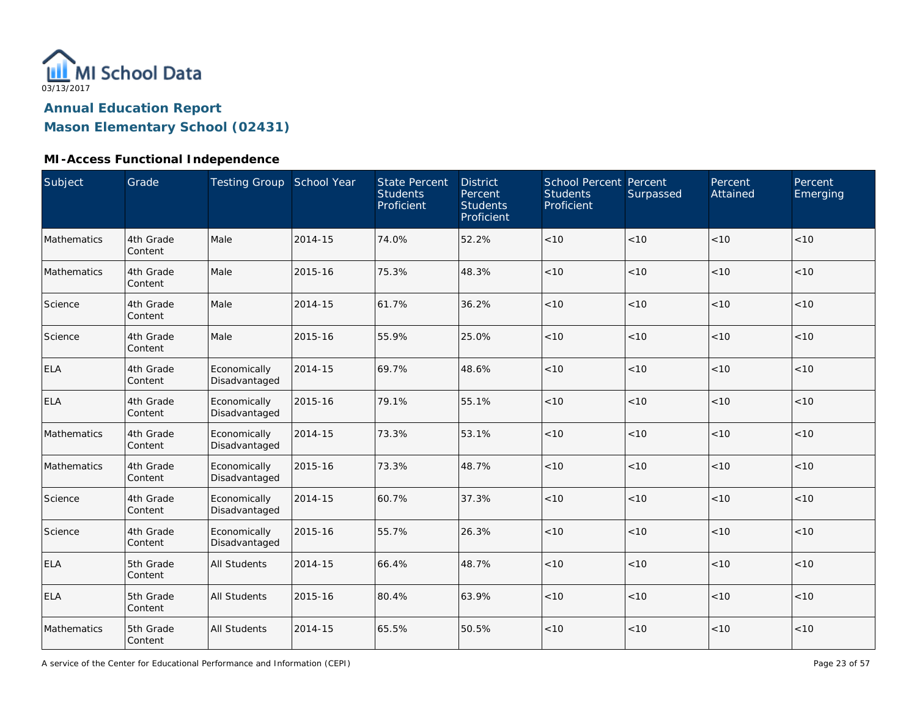

**Mason Elementary School (02431)**

#### **MI-Access Functional Independence**

| Subject     | Grade                | Testing Group School Year     |         | <b>State Percent</b><br><b>Students</b><br>Proficient | <b>District</b><br>Percent<br><b>Students</b><br>Proficient | School Percent Percent<br><b>Students</b><br>Proficient | Surpassed | Percent<br>Attained | Percent<br>Emerging |
|-------------|----------------------|-------------------------------|---------|-------------------------------------------------------|-------------------------------------------------------------|---------------------------------------------------------|-----------|---------------------|---------------------|
| Mathematics | 4th Grade<br>Content | Male                          | 2014-15 | 74.0%                                                 | 52.2%                                                       | $<10$                                                   | < 10      | <10                 | < 10                |
| Mathematics | 4th Grade<br>Content | Male                          | 2015-16 | 75.3%                                                 | 48.3%                                                       | < 10                                                    | < 10      | < 10                | < 10                |
| Science     | 4th Grade<br>Content | Male                          | 2014-15 | 61.7%                                                 | 36.2%                                                       | $<10$                                                   | < 10      | < 10                | $<10$               |
| Science     | 4th Grade<br>Content | Male                          | 2015-16 | 55.9%                                                 | 25.0%                                                       | < 10                                                    | < 10      | < 10                | < 10                |
| <b>ELA</b>  | 4th Grade<br>Content | Economically<br>Disadvantaged | 2014-15 | 69.7%                                                 | 48.6%                                                       | $<10$                                                   | < 10      | < 10                | < 10                |
| <b>ELA</b>  | 4th Grade<br>Content | Economically<br>Disadvantaged | 2015-16 | 79.1%                                                 | 55.1%                                                       | < 10                                                    | < 10      | < 10                | < 10                |
| Mathematics | 4th Grade<br>Content | Economically<br>Disadvantaged | 2014-15 | 73.3%                                                 | 53.1%                                                       | < 10                                                    | < 10      | < 10                | < 10                |
| Mathematics | 4th Grade<br>Content | Economically<br>Disadvantaged | 2015-16 | 73.3%                                                 | 48.7%                                                       | $<10$                                                   | < 10      | < 10                | < 10                |
| Science     | 4th Grade<br>Content | Economically<br>Disadvantaged | 2014-15 | 60.7%                                                 | 37.3%                                                       | $<10$                                                   | < 10      | < 10                | < 10                |
| Science     | 4th Grade<br>Content | Economically<br>Disadvantaged | 2015-16 | 55.7%                                                 | 26.3%                                                       | < 10                                                    | < 10      | < 10                | < 10                |
| <b>ELA</b>  | 5th Grade<br>Content | <b>All Students</b>           | 2014-15 | 66.4%                                                 | 48.7%                                                       | $<10$                                                   | < 10      | < 10                | < 10                |
| <b>ELA</b>  | 5th Grade<br>Content | All Students                  | 2015-16 | 80.4%                                                 | 63.9%                                                       | $<10$                                                   | < 10      | <10                 | < 10                |
| Mathematics | 5th Grade<br>Content | All Students                  | 2014-15 | 65.5%                                                 | 50.5%                                                       | < 10                                                    | < 10      | < 10                | < 10                |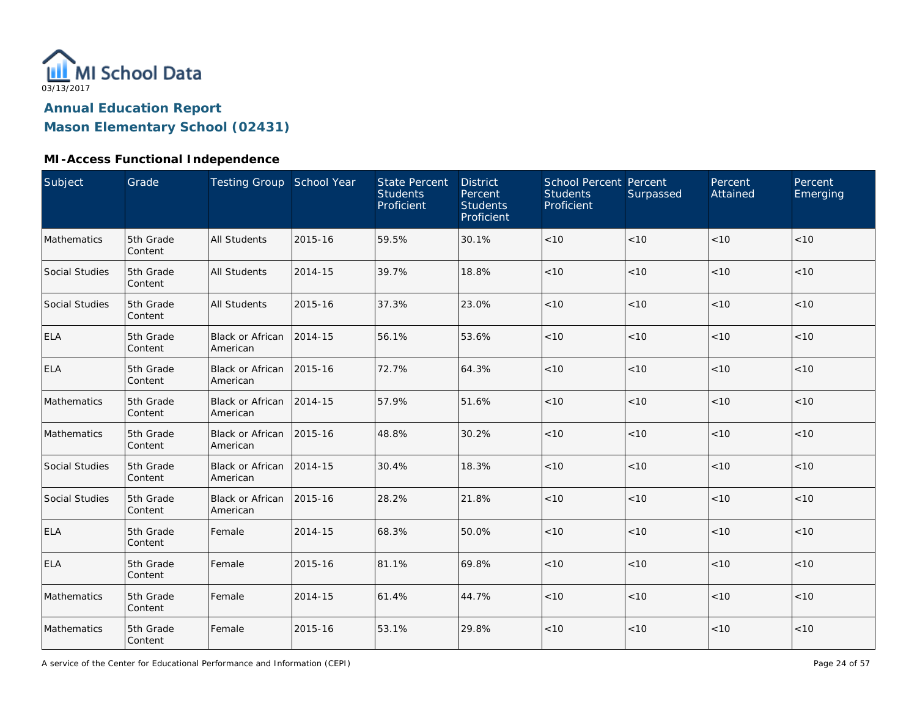

**Mason Elementary School (02431)**

| <b>Subject</b>        | Grade                | Testing Group School Year           |         | <b>State Percent</b><br><b>Students</b><br>Proficient | <b>District</b><br>Percent<br><b>Students</b><br>Proficient | School Percent Percent<br><b>Students</b><br>Proficient | Surpassed | Percent<br>Attained | Percent<br>Emerging |
|-----------------------|----------------------|-------------------------------------|---------|-------------------------------------------------------|-------------------------------------------------------------|---------------------------------------------------------|-----------|---------------------|---------------------|
| Mathematics           | 5th Grade<br>Content | <b>All Students</b>                 | 2015-16 | 59.5%                                                 | 30.1%                                                       | $<10$                                                   | < 10      | < 10                | < 10                |
| <b>Social Studies</b> | 5th Grade<br>Content | <b>All Students</b>                 | 2014-15 | 39.7%                                                 | 18.8%                                                       | < 10                                                    | < 10      | < 10                | < 10                |
| Social Studies        | 5th Grade<br>Content | <b>All Students</b>                 | 2015-16 | 37.3%                                                 | 23.0%                                                       | $<10$                                                   | < 10      | < 10                | < 10                |
| <b>ELA</b>            | 5th Grade<br>Content | <b>Black or African</b><br>American | 2014-15 | 56.1%                                                 | 53.6%                                                       | $<10$                                                   | < 10      | < 10                | < 10                |
| <b>ELA</b>            | 5th Grade<br>Content | <b>Black or African</b><br>American | 2015-16 | 72.7%                                                 | 64.3%                                                       | < 10                                                    | < 10      | < 10                | < 10                |
| Mathematics           | 5th Grade<br>Content | <b>Black or African</b><br>American | 2014-15 | 57.9%                                                 | 51.6%                                                       | < 10                                                    | < 10      | < 10                | < 10                |
| Mathematics           | 5th Grade<br>Content | <b>Black or African</b><br>American | 2015-16 | 48.8%                                                 | 30.2%                                                       | < 10                                                    | < 10      | < 10                | < 10                |
| <b>Social Studies</b> | 5th Grade<br>Content | <b>Black or African</b><br>American | 2014-15 | 30.4%                                                 | 18.3%                                                       | < 10                                                    | < 10      | < 10                | < 10                |
| <b>Social Studies</b> | 5th Grade<br>Content | <b>Black or African</b><br>American | 2015-16 | 28.2%                                                 | 21.8%                                                       | $<10$                                                   | < 10      | < 10                | < 10                |
| <b>ELA</b>            | 5th Grade<br>Content | Female                              | 2014-15 | 68.3%                                                 | 50.0%                                                       | < 10                                                    | < 10      | < 10                | < 10                |
| <b>ELA</b>            | 5th Grade<br>Content | Female                              | 2015-16 | 81.1%                                                 | 69.8%                                                       | < 10                                                    | < 10      | < 10                | < 10                |
| Mathematics           | 5th Grade<br>Content | Female                              | 2014-15 | 61.4%                                                 | 44.7%                                                       | $<10$                                                   | $<10$     | < 10                | < 10                |
| Mathematics           | 5th Grade<br>Content | Female                              | 2015-16 | 53.1%                                                 | 29.8%                                                       | < 10                                                    | < 10      | < 10                | < 10                |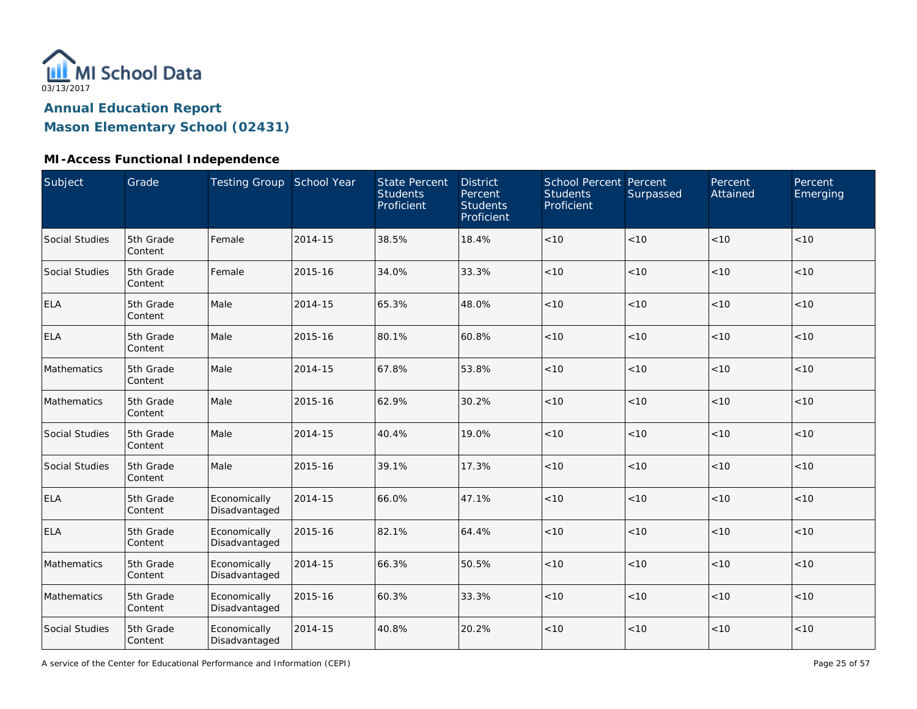

**Mason Elementary School (02431)**

#### **MI-Access Functional Independence**

| Subject        | Grade                | Testing Group School Year     |         | <b>State Percent</b><br><b>Students</b><br>Proficient | <b>District</b><br>Percent<br><b>Students</b><br>Proficient | School Percent Percent<br><b>Students</b><br>Proficient | Surpassed | Percent<br>Attained | Percent<br>Emerging |
|----------------|----------------------|-------------------------------|---------|-------------------------------------------------------|-------------------------------------------------------------|---------------------------------------------------------|-----------|---------------------|---------------------|
| Social Studies | 5th Grade<br>Content | Female                        | 2014-15 | 38.5%                                                 | 18.4%                                                       | $<10$                                                   | < 10      | < 10                | < 10                |
| Social Studies | 5th Grade<br>Content | Female                        | 2015-16 | 34.0%                                                 | 33.3%                                                       | $<10$                                                   | < 10      | < 10                | < 10                |
| <b>ELA</b>     | 5th Grade<br>Content | Male                          | 2014-15 | 65.3%                                                 | 48.0%                                                       | $<10$                                                   | < 10      | < 10                | < 10                |
| <b>ELA</b>     | 5th Grade<br>Content | Male                          | 2015-16 | 80.1%                                                 | 60.8%                                                       | < 10                                                    | < 10      | <10                 | < 10                |
| Mathematics    | 5th Grade<br>Content | Male                          | 2014-15 | 67.8%                                                 | 53.8%                                                       | < 10                                                    | < 10      | < 10                | < 10                |
| Mathematics    | 5th Grade<br>Content | Male                          | 2015-16 | 62.9%                                                 | 30.2%                                                       | < 10                                                    | < 10      | < 10                | < 10                |
| Social Studies | 5th Grade<br>Content | Male                          | 2014-15 | 40.4%                                                 | 19.0%                                                       | < 10                                                    | < 10      | < 10                | < 10                |
| Social Studies | 5th Grade<br>Content | Male                          | 2015-16 | 39.1%                                                 | 17.3%                                                       | < 10                                                    | < 10      | < 10                | < 10                |
| <b>ELA</b>     | 5th Grade<br>Content | Economically<br>Disadvantaged | 2014-15 | 66.0%                                                 | 47.1%                                                       | < 10                                                    | < 10      | < 10                | < 10                |
| <b>ELA</b>     | 5th Grade<br>Content | Economically<br>Disadvantaged | 2015-16 | 82.1%                                                 | 64.4%                                                       | < 10                                                    | < 10      | < 10                | < 10                |
| Mathematics    | 5th Grade<br>Content | Economically<br>Disadvantaged | 2014-15 | 66.3%                                                 | 50.5%                                                       | < 10                                                    | < 10      | < 10                | < 10                |
| Mathematics    | 5th Grade<br>Content | Economically<br>Disadvantaged | 2015-16 | 60.3%                                                 | 33.3%                                                       | $<10$                                                   | < 10      | < 10                | < 10                |
| Social Studies | 5th Grade<br>Content | Economically<br>Disadvantaged | 2014-15 | 40.8%                                                 | 20.2%                                                       | < 10                                                    | $<10$     | < 10                | < 10                |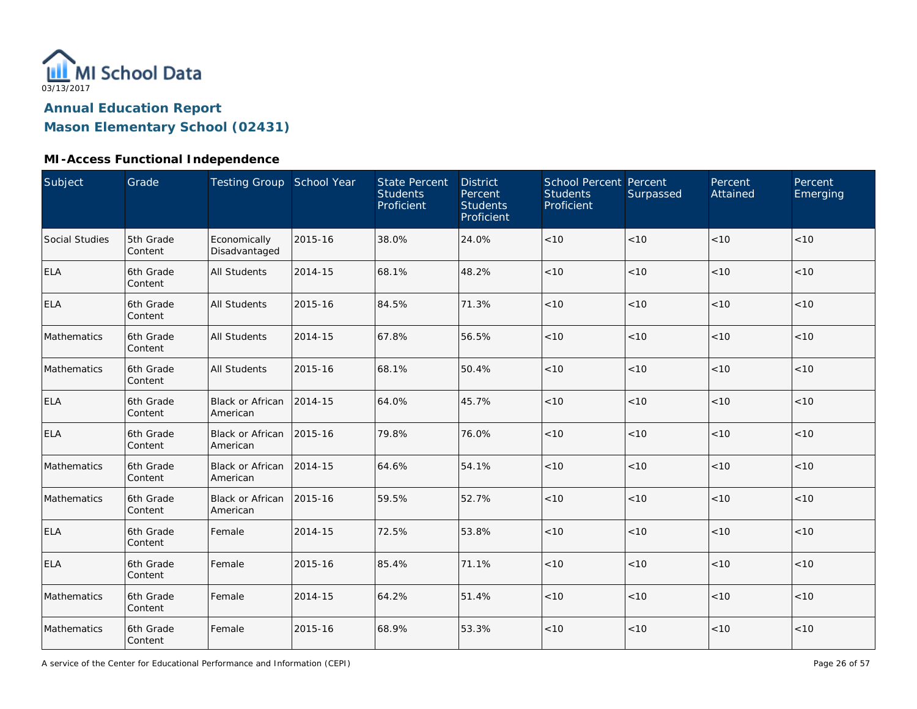

**Mason Elementary School (02431)**

| Subject               | Grade                | Testing Group School Year           |         | <b>State Percent</b><br><b>Students</b><br>Proficient | <b>District</b><br>Percent<br><b>Students</b><br>Proficient | School Percent Percent<br><b>Students</b><br>Proficient | Surpassed | Percent<br>Attained | Percent<br>Emerging |
|-----------------------|----------------------|-------------------------------------|---------|-------------------------------------------------------|-------------------------------------------------------------|---------------------------------------------------------|-----------|---------------------|---------------------|
| <b>Social Studies</b> | 5th Grade<br>Content | Economically<br>Disadvantaged       | 2015-16 | 38.0%                                                 | 24.0%                                                       | < 10                                                    | < 10      | < 10                | < 10                |
| <b>ELA</b>            | 6th Grade<br>Content | <b>All Students</b>                 | 2014-15 | 68.1%                                                 | 48.2%                                                       | < 10                                                    | < 10      | < 10                | < 10                |
| <b>ELA</b>            | 6th Grade<br>Content | <b>All Students</b>                 | 2015-16 | 84.5%                                                 | 71.3%                                                       | < 10                                                    | < 10      | < 10                | < 10                |
| Mathematics           | 6th Grade<br>Content | All Students                        | 2014-15 | 67.8%                                                 | 56.5%                                                       | $<10$                                                   | < 10      | < 10                | < 10                |
| Mathematics           | 6th Grade<br>Content | <b>All Students</b>                 | 2015-16 | 68.1%                                                 | 50.4%                                                       | < 10                                                    | < 10      | < 10                | < 10                |
| <b>ELA</b>            | 6th Grade<br>Content | <b>Black or African</b><br>American | 2014-15 | 64.0%                                                 | 45.7%                                                       | $<10$                                                   | < 10      | < 10                | < 10                |
| <b>ELA</b>            | 6th Grade<br>Content | <b>Black or African</b><br>American | 2015-16 | 79.8%                                                 | 76.0%                                                       | $<10$                                                   | < 10      | < 10                | < 10                |
| Mathematics           | 6th Grade<br>Content | <b>Black or African</b><br>American | 2014-15 | 64.6%                                                 | 54.1%                                                       | < 10                                                    | < 10      | < 10                | < 10                |
| Mathematics           | 6th Grade<br>Content | <b>Black or African</b><br>American | 2015-16 | 59.5%                                                 | 52.7%                                                       | $<10$                                                   | < 10      | < 10                | < 10                |
| <b>ELA</b>            | 6th Grade<br>Content | Female                              | 2014-15 | 72.5%                                                 | 53.8%                                                       | < 10                                                    | $<10$     | < 10                | < 10                |
| <b>ELA</b>            | 6th Grade<br>Content | Female                              | 2015-16 | 85.4%                                                 | 71.1%                                                       | $<10$                                                   | < 10      | < 10                | < 10                |
| Mathematics           | 6th Grade<br>Content | Female                              | 2014-15 | 64.2%                                                 | 51.4%                                                       | $<10$                                                   | < 10      | < 10                | < 10                |
| Mathematics           | 6th Grade<br>Content | Female                              | 2015-16 | 68.9%                                                 | 53.3%                                                       | $<10$                                                   | < 10      | < 10                | < 10                |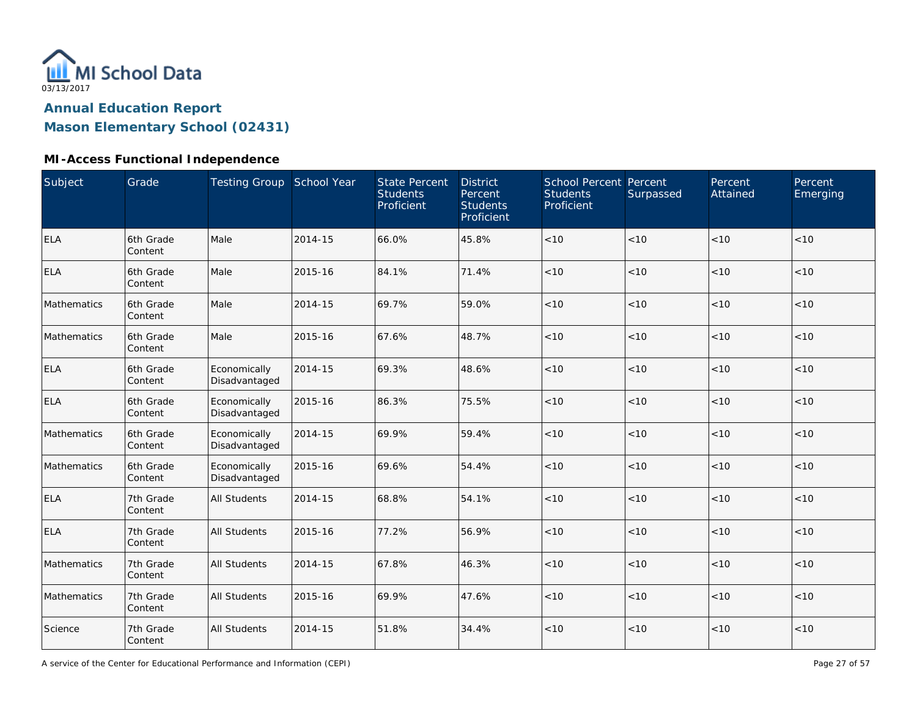

**Mason Elementary School (02431)**

#### **MI-Access Functional Independence**

| Subject     | Grade                | Testing Group School Year     |         | <b>State Percent</b><br><b>Students</b><br>Proficient | <b>District</b><br>Percent<br><b>Students</b><br>Proficient | School Percent Percent<br><b>Students</b><br>Proficient | Surpassed | Percent<br>Attained | Percent<br>Emerging |
|-------------|----------------------|-------------------------------|---------|-------------------------------------------------------|-------------------------------------------------------------|---------------------------------------------------------|-----------|---------------------|---------------------|
| <b>ELA</b>  | 6th Grade<br>Content | Male                          | 2014-15 | 66.0%                                                 | 45.8%                                                       | < 10                                                    | < 10      | < 10                | < 10                |
| <b>ELA</b>  | 6th Grade<br>Content | Male                          | 2015-16 | 84.1%                                                 | 71.4%                                                       | < 10                                                    | < 10      | < 10                | < 10                |
| Mathematics | 6th Grade<br>Content | Male                          | 2014-15 | 69.7%                                                 | 59.0%                                                       | < 10                                                    | < 10      | < 10                | < 10                |
| Mathematics | 6th Grade<br>Content | Male                          | 2015-16 | 67.6%                                                 | 48.7%                                                       | $<10$                                                   | < 10      | <10                 | < 10                |
| <b>ELA</b>  | 6th Grade<br>Content | Economically<br>Disadvantaged | 2014-15 | 69.3%                                                 | 48.6%                                                       | < 10                                                    | < 10      | < 10                | < 10                |
| <b>ELA</b>  | 6th Grade<br>Content | Economically<br>Disadvantaged | 2015-16 | 86.3%                                                 | 75.5%                                                       | < 10                                                    | < 10      | < 10                | < 10                |
| Mathematics | 6th Grade<br>Content | Economically<br>Disadvantaged | 2014-15 | 69.9%                                                 | 59.4%                                                       | $<10$                                                   | < 10      | < 10                | < 10                |
| Mathematics | 6th Grade<br>Content | Economically<br>Disadvantaged | 2015-16 | 69.6%                                                 | 54.4%                                                       | < 10                                                    | < 10      | < 10                | < 10                |
| <b>ELA</b>  | 7th Grade<br>Content | <b>All Students</b>           | 2014-15 | 68.8%                                                 | 54.1%                                                       | < 10                                                    | < 10      | < 10                | < 10                |
| <b>ELA</b>  | 7th Grade<br>Content | <b>All Students</b>           | 2015-16 | 77.2%                                                 | 56.9%                                                       | $<10$                                                   | $<10$     | < 10                | < 10                |
| Mathematics | 7th Grade<br>Content | <b>All Students</b>           | 2014-15 | 67.8%                                                 | 46.3%                                                       | $<10$                                                   | < 10      | < 10                | < 10                |
| Mathematics | 7th Grade<br>Content | <b>All Students</b>           | 2015-16 | 69.9%                                                 | 47.6%                                                       | $<10$                                                   | < 10      | <10                 | $<10$               |
| Science     | 7th Grade<br>Content | <b>All Students</b>           | 2014-15 | 51.8%                                                 | 34.4%                                                       | < 10                                                    | < 10      | < 10                | < 10                |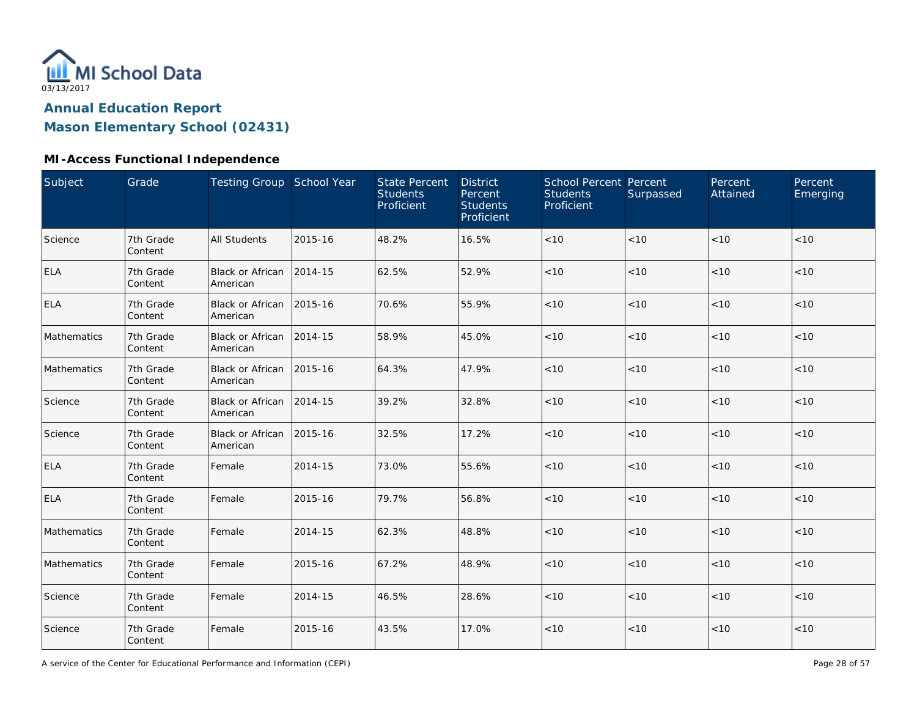

**Mason Elementary School (02431)**

#### **MI-Access Functional Independence**

| Subject     | Grade                | Testing Group School Year            |         | <b>State Percent</b><br><b>Students</b><br>Proficient | <b>District</b><br>Percent<br><b>Students</b><br>Proficient | School Percent Percent<br><b>Students</b><br>Proficient | Surpassed | Percent<br>Attained | Percent<br>Emerging |
|-------------|----------------------|--------------------------------------|---------|-------------------------------------------------------|-------------------------------------------------------------|---------------------------------------------------------|-----------|---------------------|---------------------|
| Science     | 7th Grade<br>Content | <b>All Students</b>                  | 2015-16 | 48.2%                                                 | 16.5%                                                       | $<10$                                                   | < 10      | < 10                | < 10                |
| <b>ELA</b>  | 7th Grade<br>Content | Black or African<br>American         | 2014-15 | 62.5%                                                 | 52.9%                                                       | < 10                                                    | < 10      | < 10                | < 10                |
| <b>ELA</b>  | 7th Grade<br>Content | Black or African 2015-16<br>American |         | 70.6%                                                 | 55.9%                                                       | < 10                                                    | $<10$     | < 10                | < 10                |
| Mathematics | 7th Grade<br>Content | Black or African<br>American         | 2014-15 | 58.9%                                                 | 45.0%                                                       | $<10$                                                   | < 10      | < 10                | $<10$               |
| Mathematics | 7th Grade<br>Content | Black or African<br>American         | 2015-16 | 64.3%                                                 | 47.9%                                                       | < 10                                                    | < 10      | < 10                | < 10                |
| Science     | 7th Grade<br>Content | <b>Black or African</b><br>American  | 2014-15 | 39.2%                                                 | 32.8%                                                       | < 10                                                    | < 10      | < 10                | < 10                |
| Science     | 7th Grade<br>Content | <b>Black or African</b><br>American  | 2015-16 | 32.5%                                                 | 17.2%                                                       | < 10                                                    | < 10      | < 10                | < 10                |
| <b>ELA</b>  | 7th Grade<br>Content | Female                               | 2014-15 | 73.0%                                                 | 55.6%                                                       | < 10                                                    | < 10      | < 10                | < 10                |
| <b>ELA</b>  | 7th Grade<br>Content | Female                               | 2015-16 | 79.7%                                                 | 56.8%                                                       | $<10$                                                   | < 10      | < 10                | < 10                |
| Mathematics | 7th Grade<br>Content | Female                               | 2014-15 | 62.3%                                                 | 48.8%                                                       | $<10$                                                   | < 10      | < 10                | < 10                |
| Mathematics | 7th Grade<br>Content | Female                               | 2015-16 | 67.2%                                                 | 48.9%                                                       | < 10                                                    | < 10      | < 10                | < 10                |
| Science     | 7th Grade<br>Content | Female                               | 2014-15 | 46.5%                                                 | 28.6%                                                       | $<10$                                                   | < 10      | < 10                | < 10                |
| Science     | 7th Grade<br>Content | Female                               | 2015-16 | 43.5%                                                 | 17.0%                                                       | < 10                                                    | $<10$     | < 10                | < 10                |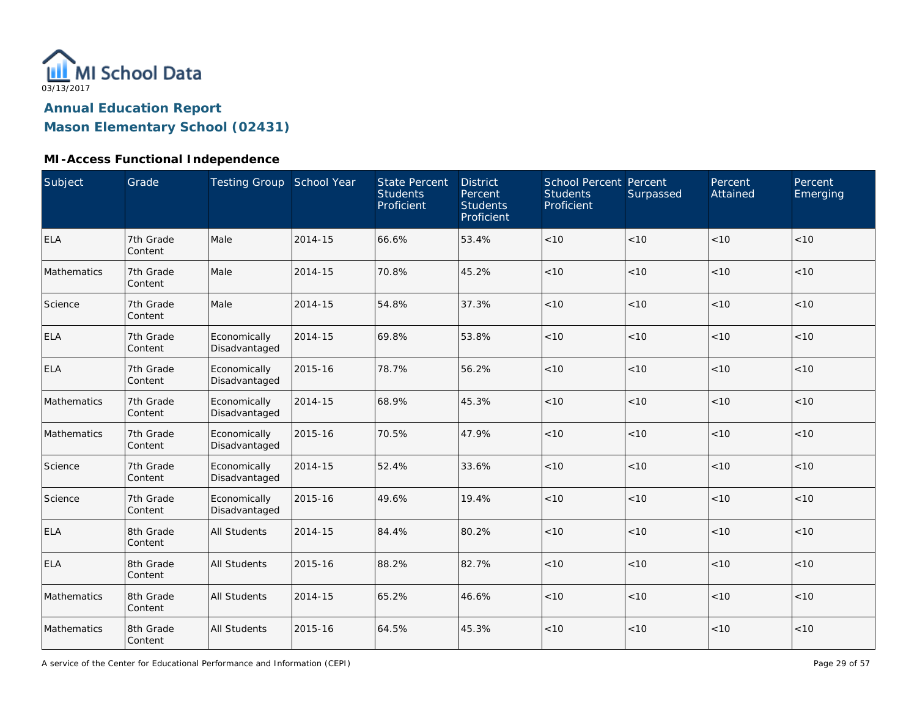

**Mason Elementary School (02431)**

#### **MI-Access Functional Independence**

| Subject     | Grade                | Testing Group School Year     |         | <b>State Percent</b><br><b>Students</b><br>Proficient | <b>District</b><br>Percent<br><b>Students</b><br>Proficient | School Percent Percent<br><b>Students</b><br>Proficient | Surpassed | Percent<br>Attained | Percent<br>Emerging |
|-------------|----------------------|-------------------------------|---------|-------------------------------------------------------|-------------------------------------------------------------|---------------------------------------------------------|-----------|---------------------|---------------------|
| <b>ELA</b>  | 7th Grade<br>Content | Male                          | 2014-15 | 66.6%                                                 | 53.4%                                                       | $<10$                                                   | < 10      | < 10                | < 10                |
| Mathematics | 7th Grade<br>Content | Male                          | 2014-15 | 70.8%                                                 | 45.2%                                                       | $<10$                                                   | < 10      | < 10                | < 10                |
| Science     | 7th Grade<br>Content | Male                          | 2014-15 | 54.8%                                                 | 37.3%                                                       | < 10                                                    | < 10      | < 10                | < 10                |
| <b>ELA</b>  | 7th Grade<br>Content | Economically<br>Disadvantaged | 2014-15 | 69.8%                                                 | 53.8%                                                       | < 10                                                    | < 10      | < 10                | < 10                |
| <b>ELA</b>  | 7th Grade<br>Content | Economically<br>Disadvantaged | 2015-16 | 78.7%                                                 | 56.2%                                                       | < 10                                                    | < 10      | < 10                | < 10                |
| Mathematics | 7th Grade<br>Content | Economically<br>Disadvantaged | 2014-15 | 68.9%                                                 | 45.3%                                                       | < 10                                                    | < 10      | < 10                | < 10                |
| Mathematics | 7th Grade<br>Content | Economically<br>Disadvantaged | 2015-16 | 70.5%                                                 | 47.9%                                                       | < 10                                                    | < 10      | < 10                | < 10                |
| Science     | 7th Grade<br>Content | Economically<br>Disadvantaged | 2014-15 | 52.4%                                                 | 33.6%                                                       | $<10$                                                   | < 10      | < 10                | < 10                |
| Science     | 7th Grade<br>Content | Economically<br>Disadvantaged | 2015-16 | 49.6%                                                 | 19.4%                                                       | < 10                                                    | < 10      | <10                 | < 10                |
| <b>ELA</b>  | 8th Grade<br>Content | <b>All Students</b>           | 2014-15 | 84.4%                                                 | 80.2%                                                       | < 10                                                    | < 10      | < 10                | < 10                |
| <b>ELA</b>  | 8th Grade<br>Content | <b>All Students</b>           | 2015-16 | 88.2%                                                 | 82.7%                                                       | < 10                                                    | < 10      | < 10                | < 10                |
| Mathematics | 8th Grade<br>Content | <b>All Students</b>           | 2014-15 | 65.2%                                                 | 46.6%                                                       | < 10                                                    | < 10      | < 10                | < 10                |
| Mathematics | 8th Grade<br>Content | <b>All Students</b>           | 2015-16 | 64.5%                                                 | 45.3%                                                       | $<10$                                                   | < 10      | < 10                | < 10                |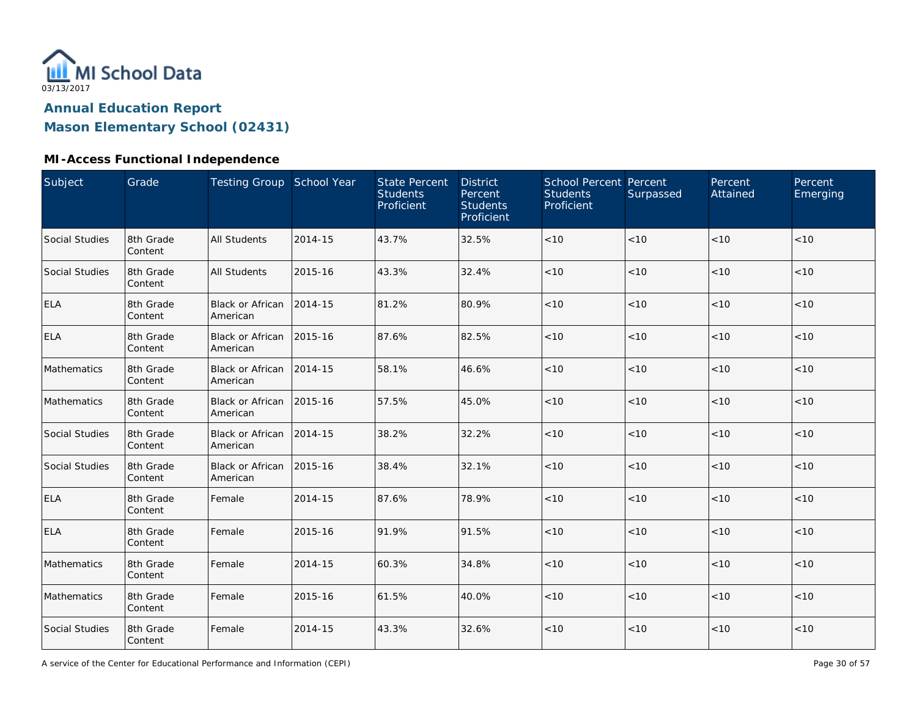

**Mason Elementary School (02431)**

| Subject        | Grade                | Testing Group School Year            |         | <b>State Percent</b><br><b>Students</b><br>Proficient | <b>District</b><br>Percent<br><b>Students</b><br>Proficient | School Percent Percent<br><b>Students</b><br>Proficient | Surpassed | Percent<br>Attained | Percent<br>Emerging |
|----------------|----------------------|--------------------------------------|---------|-------------------------------------------------------|-------------------------------------------------------------|---------------------------------------------------------|-----------|---------------------|---------------------|
| Social Studies | 8th Grade<br>Content | <b>All Students</b>                  | 2014-15 | 43.7%                                                 | 32.5%                                                       | < 10                                                    | < 10      | < 10                | < 10                |
| Social Studies | 8th Grade<br>Content | <b>All Students</b>                  | 2015-16 | 43.3%                                                 | 32.4%                                                       | $<10$                                                   | $<10$     | < 10                | < 10                |
| <b>ELA</b>     | 8th Grade<br>Content | <b>Black or African</b><br>American  | 2014-15 | 81.2%                                                 | 80.9%                                                       | < 10                                                    | < 10      | < 10                | < 10                |
| <b>ELA</b>     | 8th Grade<br>Content | Black or African 2015-16<br>American |         | 87.6%                                                 | 82.5%                                                       | < 10                                                    | < 10      | < 10                | < 10                |
| Mathematics    | 8th Grade<br>Content | <b>Black or African</b><br>American  | 2014-15 | 58.1%                                                 | 46.6%                                                       | < 10                                                    | < 10      | < 10                | < 10                |
| Mathematics    | 8th Grade<br>Content | <b>Black or African</b><br>American  | 2015-16 | 57.5%                                                 | 45.0%                                                       | < 10                                                    | < 10      | < 10                | < 10                |
| Social Studies | 8th Grade<br>Content | <b>Black or African</b><br>American  | 2014-15 | 38.2%                                                 | 32.2%                                                       | < 10                                                    | < 10      | < 10                | < 10                |
| Social Studies | 8th Grade<br>Content | Black or African<br>American         | 2015-16 | 38.4%                                                 | 32.1%                                                       | $<10$                                                   | $<10$     | < 10                | < 10                |
| ELA            | 8th Grade<br>Content | Female                               | 2014-15 | 87.6%                                                 | 78.9%                                                       | $<10$                                                   | $<10$     | < 10                | < 10                |
| <b>ELA</b>     | 8th Grade<br>Content | Female                               | 2015-16 | 91.9%                                                 | 91.5%                                                       | $<10$                                                   | < 10      | < 10                | < 10                |
| Mathematics    | 8th Grade<br>Content | Female                               | 2014-15 | 60.3%                                                 | 34.8%                                                       | < 10                                                    | < 10      | < 10                | < 10                |
| Mathematics    | 8th Grade<br>Content | Female                               | 2015-16 | 61.5%                                                 | 40.0%                                                       | < 10                                                    | < 10      | < 10                | < 10                |
| Social Studies | 8th Grade<br>Content | Female                               | 2014-15 | 43.3%                                                 | 32.6%                                                       | < 10                                                    | $<10$     | < 10                | < 10                |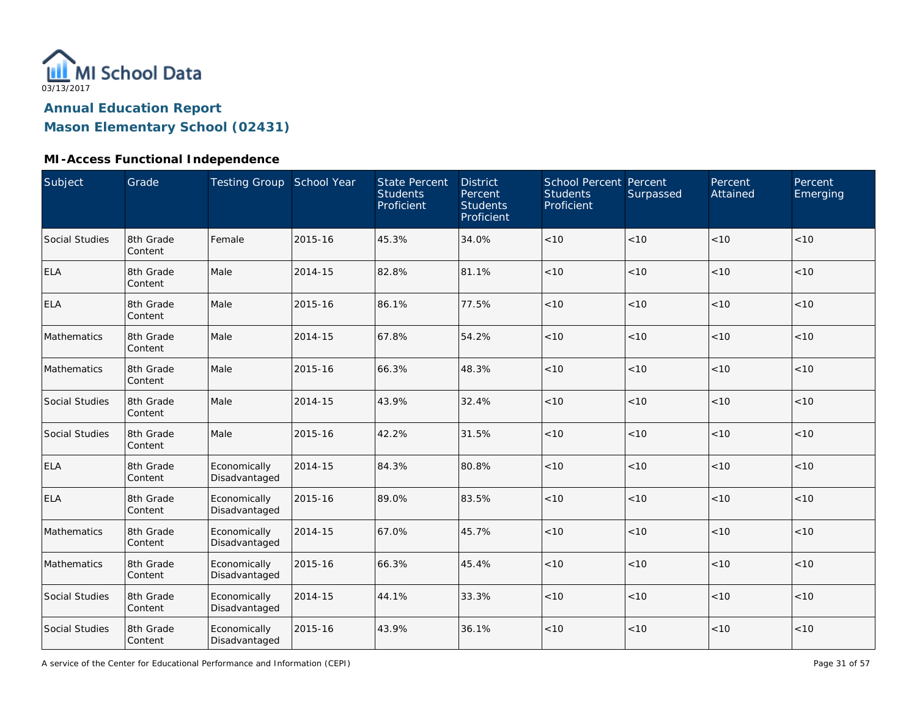

**Mason Elementary School (02431)**

#### **MI-Access Functional Independence**

| Subject        | Grade                | Testing Group School Year     |         | <b>State Percent</b><br><b>Students</b><br>Proficient | <b>District</b><br>Percent<br><b>Students</b><br>Proficient | School Percent Percent<br><b>Students</b><br>Proficient | Surpassed | Percent<br>Attained | Percent<br>Emerging |
|----------------|----------------------|-------------------------------|---------|-------------------------------------------------------|-------------------------------------------------------------|---------------------------------------------------------|-----------|---------------------|---------------------|
| Social Studies | 8th Grade<br>Content | Female                        | 2015-16 | 45.3%                                                 | 34.0%                                                       | $<10$                                                   | < 10      | < 10                | < 10                |
| <b>ELA</b>     | 8th Grade<br>Content | Male                          | 2014-15 | 82.8%                                                 | 81.1%                                                       | < 10                                                    | < 10      | < 10                | < 10                |
| <b>ELA</b>     | 8th Grade<br>Content | Male                          | 2015-16 | 86.1%                                                 | 77.5%                                                       | < 10                                                    | < 10      | < 10                | < 10                |
| Mathematics    | 8th Grade<br>Content | Male                          | 2014-15 | 67.8%                                                 | 54.2%                                                       | < 10                                                    | < 10      | < 10                | < 10                |
| Mathematics    | 8th Grade<br>Content | Male                          | 2015-16 | 66.3%                                                 | 48.3%                                                       | < 10                                                    | < 10      | < 10                | < 10                |
| Social Studies | 8th Grade<br>Content | Male                          | 2014-15 | 43.9%                                                 | 32.4%                                                       | < 10                                                    | < 10      | < 10                | < 10                |
| Social Studies | 8th Grade<br>Content | Male                          | 2015-16 | 42.2%                                                 | 31.5%                                                       | < 10                                                    | < 10      | < 10                | < 10                |
| <b>ELA</b>     | 8th Grade<br>Content | Economically<br>Disadvantaged | 2014-15 | 84.3%                                                 | 80.8%                                                       | $<10$                                                   | $<10$     | < 10                | < 10                |
| <b>ELA</b>     | 8th Grade<br>Content | Economically<br>Disadvantaged | 2015-16 | 89.0%                                                 | 83.5%                                                       | $<10$                                                   | < 10      | <10                 | < 10                |
| Mathematics    | 8th Grade<br>Content | Economically<br>Disadvantaged | 2014-15 | 67.0%                                                 | 45.7%                                                       | $<10$                                                   | < 10      | < 10                | < 10                |
| Mathematics    | 8th Grade<br>Content | Economically<br>Disadvantaged | 2015-16 | 66.3%                                                 | 45.4%                                                       | < 10                                                    | < 10      | < 10                | < 10                |
| Social Studies | 8th Grade<br>Content | Economically<br>Disadvantaged | 2014-15 | 44.1%                                                 | 33.3%                                                       | < 10                                                    | < 10      | < 10                | < 10                |
| Social Studies | 8th Grade<br>Content | Economically<br>Disadvantaged | 2015-16 | 43.9%                                                 | 36.1%                                                       | < 10                                                    | $<10$     | < 10                | < 10                |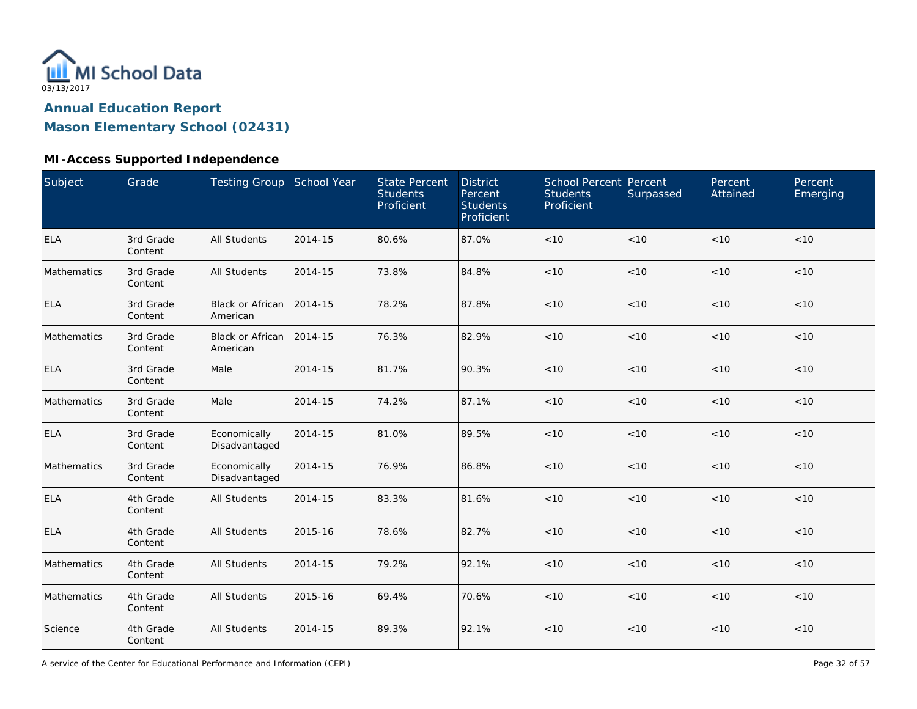

**Mason Elementary School (02431)**

#### **MI-Access Supported Independence**

| <b>Subject</b> | Grade                | <b>Testing Group School Year</b>    |         | <b>State Percent</b><br><b>Students</b><br>Proficient | <b>District</b><br>Percent<br><b>Students</b><br>Proficient | School Percent Percent<br><b>Students</b><br>Proficient | Surpassed | Percent<br>Attained | Percent<br>Emerging |
|----------------|----------------------|-------------------------------------|---------|-------------------------------------------------------|-------------------------------------------------------------|---------------------------------------------------------|-----------|---------------------|---------------------|
| <b>ELA</b>     | 3rd Grade<br>Content | <b>All Students</b>                 | 2014-15 | 80.6%                                                 | 87.0%                                                       | < 10                                                    | < 10      | < 10                | < 10                |
| Mathematics    | 3rd Grade<br>Content | <b>All Students</b>                 | 2014-15 | 73.8%                                                 | 84.8%                                                       | < 10                                                    | <10       | < 10                | < 10                |
| <b>ELA</b>     | 3rd Grade<br>Content | Black or African<br>American        | 2014-15 | 78.2%                                                 | 87.8%                                                       | < 10                                                    | <10       | < 10                | < 10                |
| Mathematics    | 3rd Grade<br>Content | <b>Black or African</b><br>American | 2014-15 | 76.3%                                                 | 82.9%                                                       | < 10                                                    | < 10      | < 10                | < 10                |
| <b>ELA</b>     | 3rd Grade<br>Content | Male                                | 2014-15 | 81.7%                                                 | 90.3%                                                       | < 10                                                    | <10       | < 10                | < 10                |
| Mathematics    | 3rd Grade<br>Content | Male                                | 2014-15 | 74.2%                                                 | 87.1%                                                       | < 10                                                    | <10       | < 10                | $<10$               |
| <b>ELA</b>     | 3rd Grade<br>Content | Economically<br>Disadvantaged       | 2014-15 | 81.0%                                                 | 89.5%                                                       | < 10                                                    | <10       | < 10                | < 10                |
| Mathematics    | 3rd Grade<br>Content | Economically<br>Disadvantaged       | 2014-15 | 76.9%                                                 | 86.8%                                                       | $<10$                                                   | < 10      | < 10                | < 10                |
| <b>ELA</b>     | 4th Grade<br>Content | <b>All Students</b>                 | 2014-15 | 83.3%                                                 | 81.6%                                                       | $<10$                                                   | <10       | $<10$               | $<10$               |
| <b>ELA</b>     | 4th Grade<br>Content | <b>All Students</b>                 | 2015-16 | 78.6%                                                 | 82.7%                                                       | $<10$                                                   | <10       | < 10                | < 10                |
| Mathematics    | 4th Grade<br>Content | <b>All Students</b>                 | 2014-15 | 79.2%                                                 | 92.1%                                                       | $<10$                                                   | <10       | < 10                | $<10$               |
| Mathematics    | 4th Grade<br>Content | <b>All Students</b>                 | 2015-16 | 69.4%                                                 | 70.6%                                                       | $<10$                                                   | <10       | < 10                | < 10                |
| Science        | 4th Grade<br>Content | <b>All Students</b>                 | 2014-15 | 89.3%                                                 | 92.1%                                                       | $<10$                                                   | <10       | < 10                | $<10$               |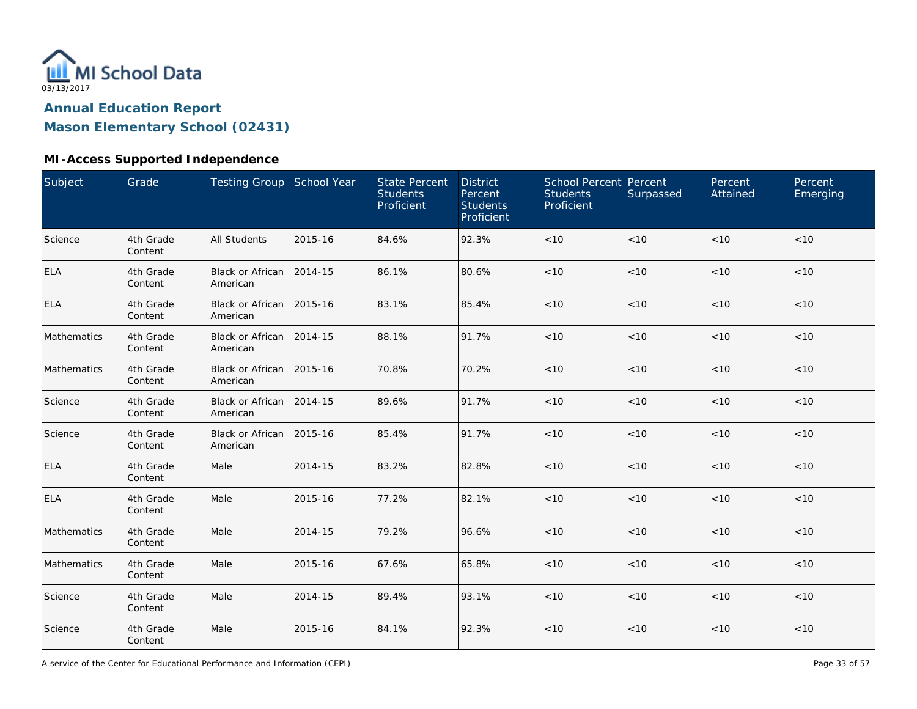

**Mason Elementary School (02431)**

#### **MI-Access Supported Independence**

| Subject     | Grade                | Testing Group School Year           |         | <b>State Percent</b><br><b>Students</b><br>Proficient | <b>District</b><br>Percent<br><b>Students</b><br>Proficient | School Percent Percent<br><b>Students</b><br>Proficient | Surpassed | Percent<br>Attained | Percent<br>Emerging |
|-------------|----------------------|-------------------------------------|---------|-------------------------------------------------------|-------------------------------------------------------------|---------------------------------------------------------|-----------|---------------------|---------------------|
| Science     | 4th Grade<br>Content | <b>All Students</b>                 | 2015-16 | 84.6%                                                 | 92.3%                                                       | < 10                                                    | < 10      | < 10                | < 10                |
| <b>ELA</b>  | 4th Grade<br>Content | <b>Black or African</b><br>American | 2014-15 | 86.1%                                                 | 80.6%                                                       | < 10                                                    | < 10      | < 10                | < 10                |
| <b>ELA</b>  | 4th Grade<br>Content | Black or African<br>American        | 2015-16 | 83.1%                                                 | 85.4%                                                       | < 10                                                    | < 10      | < 10                | < 10                |
| Mathematics | 4th Grade<br>Content | <b>Black or African</b><br>American | 2014-15 | 88.1%                                                 | 91.7%                                                       | $<10$                                                   | < 10      | < 10                | $<10$               |
| Mathematics | 4th Grade<br>Content | <b>Black or African</b><br>American | 2015-16 | 70.8%                                                 | 70.2%                                                       | < 10                                                    | <10       | < 10                | < 10                |
| Science     | 4th Grade<br>Content | <b>Black or African</b><br>American | 2014-15 | 89.6%                                                 | 91.7%                                                       | $<10$                                                   | <10       | < 10                | $<10$               |
| Science     | 4th Grade<br>Content | Black or African<br>American        | 2015-16 | 85.4%                                                 | 91.7%                                                       | < 10                                                    | < 10      | < 10                | < 10                |
| <b>ELA</b>  | 4th Grade<br>Content | Male                                | 2014-15 | 83.2%                                                 | 82.8%                                                       | < 10                                                    | < 10      | < 10                | < 10                |
| <b>ELA</b>  | 4th Grade<br>Content | Male                                | 2015-16 | 77.2%                                                 | 82.1%                                                       | $<10$                                                   | < 10      | < 10                | < 10                |
| Mathematics | 4th Grade<br>Content | Male                                | 2014-15 | 79.2%                                                 | 96.6%                                                       | < 10                                                    | < 10      | < 10                | < 10                |
| Mathematics | 4th Grade<br>Content | Male                                | 2015-16 | 67.6%                                                 | 65.8%                                                       | $<10$                                                   | < 10      | < 10                | < 10                |
| Science     | 4th Grade<br>Content | Male                                | 2014-15 | 89.4%                                                 | 93.1%                                                       | < 10                                                    | < 10      | < 10                | < 10                |
| Science     | 4th Grade<br>Content | Male                                | 2015-16 | 84.1%                                                 | 92.3%                                                       | < 10                                                    | < 10      | < 10                | $<10$               |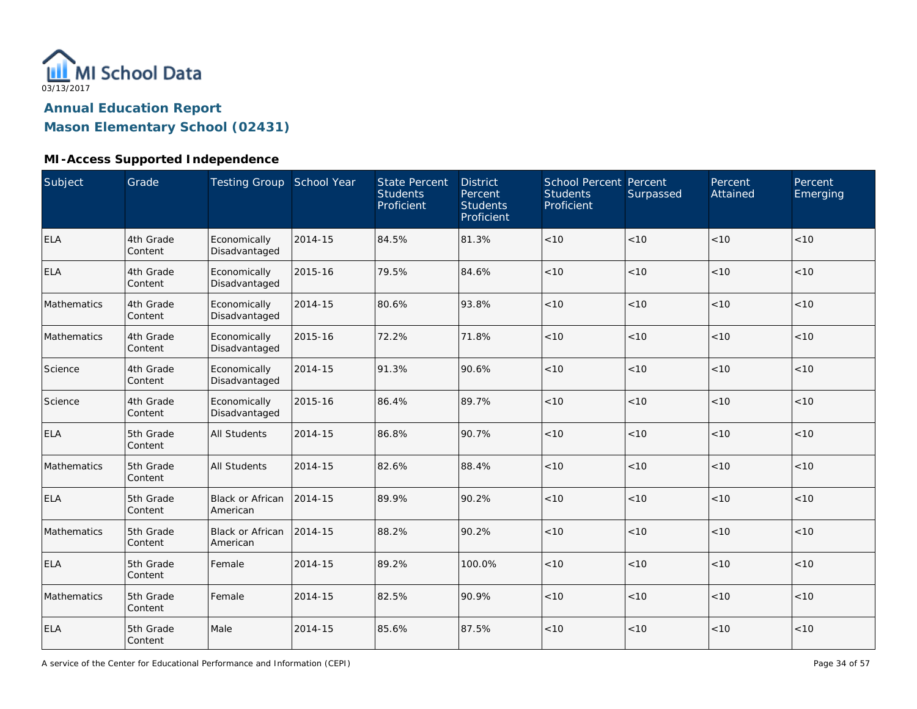

**Mason Elementary School (02431)**

#### **MI-Access Supported Independence**

| Subject     | Grade                | Testing Group School Year           |         | <b>State Percent</b><br><b>Students</b><br>Proficient | <b>District</b><br>Percent<br><b>Students</b><br>Proficient | School Percent Percent<br><b>Students</b><br>Proficient | Surpassed | Percent<br>Attained | Percent<br>Emerging |
|-------------|----------------------|-------------------------------------|---------|-------------------------------------------------------|-------------------------------------------------------------|---------------------------------------------------------|-----------|---------------------|---------------------|
| <b>ELA</b>  | 4th Grade<br>Content | Economically<br>Disadvantaged       | 2014-15 | 84.5%                                                 | 81.3%                                                       | $<10$                                                   | < 10      | < 10                | < 10                |
| <b>ELA</b>  | 4th Grade<br>Content | Economically<br>Disadvantaged       | 2015-16 | 79.5%                                                 | 84.6%                                                       | < 10                                                    | < 10      | < 10                | < 10                |
| Mathematics | 4th Grade<br>Content | Economically<br>Disadvantaged       | 2014-15 | 80.6%                                                 | 93.8%                                                       | < 10                                                    | <10       | < 10                | < 10                |
| Mathematics | 4th Grade<br>Content | Economically<br>Disadvantaged       | 2015-16 | 72.2%                                                 | 71.8%                                                       | < 10                                                    | < 10      | < 10                | < 10                |
| Science     | 4th Grade<br>Content | Economically<br>Disadvantaged       | 2014-15 | 91.3%                                                 | 90.6%                                                       | < 10                                                    | < 10      | < 10                | < 10                |
| Science     | 4th Grade<br>Content | Economically<br>Disadvantaged       | 2015-16 | 86.4%                                                 | 89.7%                                                       | < 10                                                    | < 10      | < 10                | < 10                |
| <b>ELA</b>  | 5th Grade<br>Content | <b>All Students</b>                 | 2014-15 | 86.8%                                                 | 90.7%                                                       | < 10                                                    | < 10      | < 10                | < 10                |
| Mathematics | 5th Grade<br>Content | <b>All Students</b>                 | 2014-15 | 82.6%                                                 | 88.4%                                                       | $<10$                                                   | < 10      | < 10                | $<10$               |
| ELA         | 5th Grade<br>Content | <b>Black or African</b><br>American | 2014-15 | 89.9%                                                 | 90.2%                                                       | < 10                                                    | < 10      | < 10                | < 10                |
| Mathematics | 5th Grade<br>Content | <b>Black or African</b><br>American | 2014-15 | 88.2%                                                 | 90.2%                                                       | < 10                                                    | < 10      | < 10                | < 10                |
| <b>ELA</b>  | 5th Grade<br>Content | Female                              | 2014-15 | 89.2%                                                 | 100.0%                                                      | < 10                                                    | < 10      | < 10                | < 10                |
| Mathematics | 5th Grade<br>Content | Female                              | 2014-15 | 82.5%                                                 | 90.9%                                                       | < 10                                                    | < 10      | < 10                | < 10                |
| <b>ELA</b>  | 5th Grade<br>Content | Male                                | 2014-15 | 85.6%                                                 | 87.5%                                                       | < 10                                                    | < 10      | < 10                | < 10                |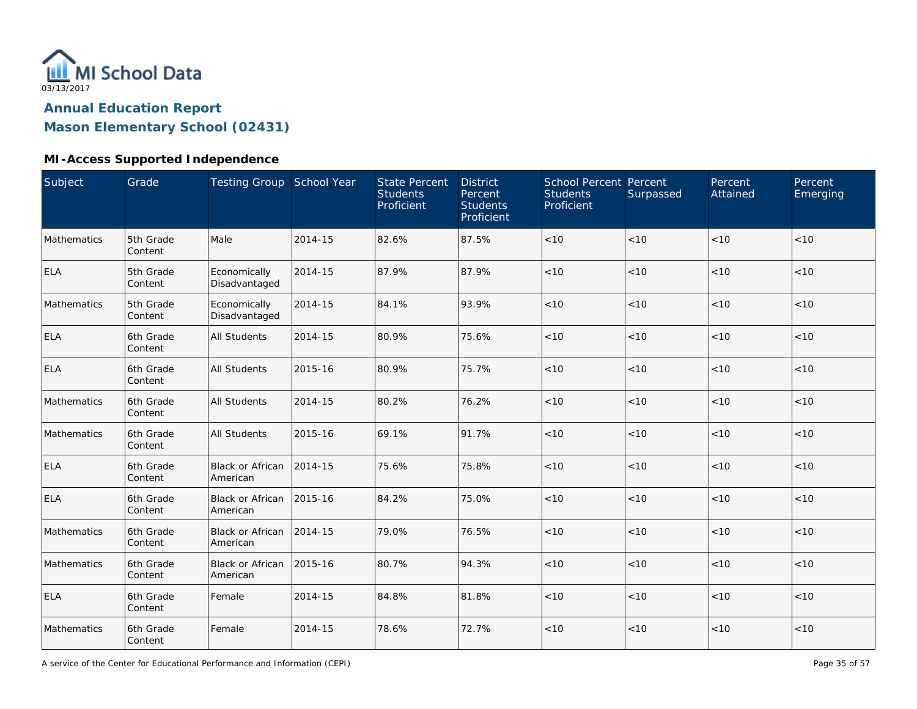

**Mason Elementary School (02431)**

#### **MI-Access Supported Independence**

| Subject     | Grade                | <b>Testing Group School Year</b>    |         | <b>State Percent</b><br><b>Students</b><br>Proficient | <b>District</b><br>Percent<br><b>Students</b><br>Proficient | School Percent Percent<br><b>Students</b><br>Proficient | Surpassed | Percent<br>Attained | Percent<br>Emerging |
|-------------|----------------------|-------------------------------------|---------|-------------------------------------------------------|-------------------------------------------------------------|---------------------------------------------------------|-----------|---------------------|---------------------|
| Mathematics | 5th Grade<br>Content | Male                                | 2014-15 | 82.6%                                                 | 87.5%                                                       | < 10                                                    | < 10      | < 10                | < 10                |
| <b>ELA</b>  | 5th Grade<br>Content | Economically<br>Disadvantaged       | 2014-15 | 87.9%                                                 | 87.9%                                                       | < 10                                                    | <10       | < 10                | < 10                |
| Mathematics | 5th Grade<br>Content | Economically<br>Disadvantaged       | 2014-15 | 84.1%                                                 | 93.9%                                                       | < 10                                                    | <10       | < 10                | < 10                |
| <b>ELA</b>  | 6th Grade<br>Content | <b>All Students</b>                 | 2014-15 | 80.9%                                                 | 75.6%                                                       | < 10                                                    | < 10      | < 10                | < 10                |
| <b>ELA</b>  | 6th Grade<br>Content | <b>All Students</b>                 | 2015-16 | 80.9%                                                 | 75.7%                                                       | < 10                                                    | <10       | < 10                | < 10                |
| Mathematics | 6th Grade<br>Content | <b>All Students</b>                 | 2014-15 | 80.2%                                                 | 76.2%                                                       | < 10                                                    | <10       | < 10                | < 10                |
| Mathematics | 6th Grade<br>Content | <b>All Students</b>                 | 2015-16 | 69.1%                                                 | 91.7%                                                       | < 10                                                    | <10       | < 10                | < 10                |
| <b>ELA</b>  | 6th Grade<br>Content | <b>Black or African</b><br>American | 2014-15 | 75.6%                                                 | 75.8%                                                       | < 10                                                    | < 10      | < 10                | < 10                |
| <b>ELA</b>  | 6th Grade<br>Content | <b>Black or African</b><br>American | 2015-16 | 84.2%                                                 | 75.0%                                                       | $<10$                                                   | <10       | < 10                | < 10                |
| Mathematics | 6th Grade<br>Content | Black or African<br>American        | 2014-15 | 79.0%                                                 | 76.5%                                                       | $<10$                                                   | <10       | < 10                | < 10                |
| Mathematics | 6th Grade<br>Content | Black or African<br>American        | 2015-16 | 80.7%                                                 | 94.3%                                                       | $<10$                                                   | <10       | < 10                | $<10$               |
| <b>ELA</b>  | 6th Grade<br>Content | Female                              | 2014-15 | 84.8%                                                 | 81.8%                                                       | $<10$                                                   | <10       | < 10                | < 10                |
| Mathematics | 6th Grade<br>Content | Female                              | 2014-15 | 78.6%                                                 | 72.7%                                                       | $<10$                                                   | <10       | < 10                | $<10$               |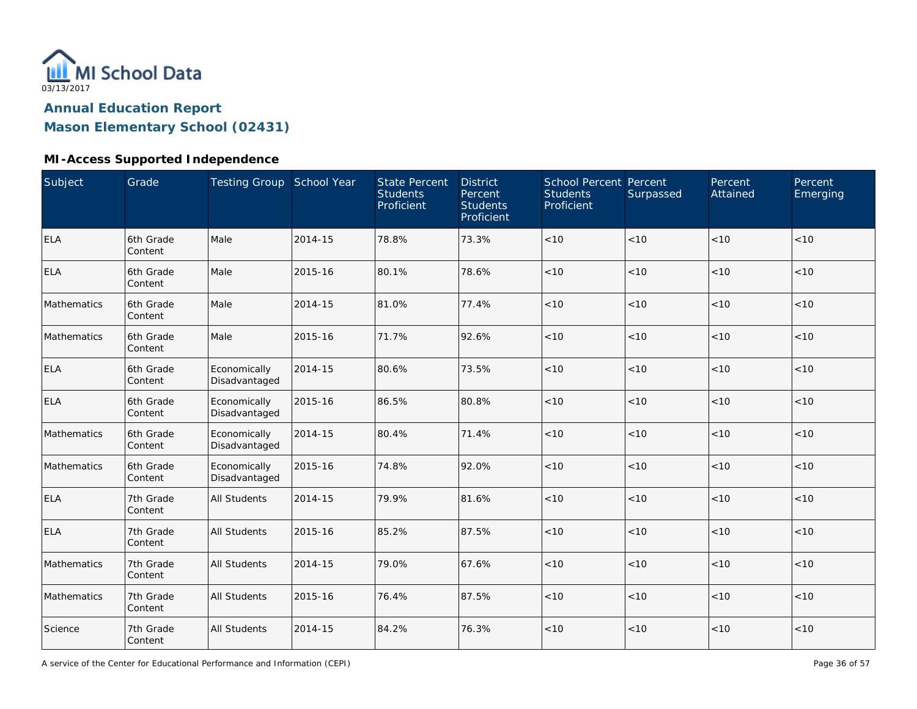

**Mason Elementary School (02431)**

#### **MI-Access Supported Independence**

| Subject     | Grade                | Testing Group School Year     |         | <b>State Percent</b><br><b>Students</b><br>Proficient | <b>District</b><br>Percent<br><b>Students</b><br>Proficient | School Percent Percent<br><b>Students</b><br>Proficient | Surpassed | Percent<br>Attained | Percent<br>Emerging |
|-------------|----------------------|-------------------------------|---------|-------------------------------------------------------|-------------------------------------------------------------|---------------------------------------------------------|-----------|---------------------|---------------------|
| ELA         | 6th Grade<br>Content | Male                          | 2014-15 | 78.8%                                                 | 73.3%                                                       | $<10$                                                   | < 10      | <10                 | < 10                |
| <b>ELA</b>  | 6th Grade<br>Content | Male                          | 2015-16 | 80.1%                                                 | 78.6%                                                       | < 10                                                    | < 10      | < 10                | < 10                |
| Mathematics | 6th Grade<br>Content | Male                          | 2014-15 | 81.0%                                                 | 77.4%                                                       | $<10$                                                   | < 10      | < 10                | $<10$               |
| Mathematics | 6th Grade<br>Content | Male                          | 2015-16 | 71.7%                                                 | 92.6%                                                       | < 10                                                    | < 10      | < 10                | < 10                |
| <b>ELA</b>  | 6th Grade<br>Content | Economically<br>Disadvantaged | 2014-15 | 80.6%                                                 | 73.5%                                                       | $<10$                                                   | <10       | < 10                | < 10                |
| <b>ELA</b>  | 6th Grade<br>Content | Economically<br>Disadvantaged | 2015-16 | 86.5%                                                 | 80.8%                                                       | < 10                                                    | < 10      | < 10                | < 10                |
| Mathematics | 6th Grade<br>Content | Economically<br>Disadvantaged | 2014-15 | 80.4%                                                 | 71.4%                                                       | $<10$                                                   | < 10      | < 10                | < 10                |
| Mathematics | 6th Grade<br>Content | Economically<br>Disadvantaged | 2015-16 | 74.8%                                                 | 92.0%                                                       | $<10$                                                   | < 10      | < 10                | < 10                |
| <b>ELA</b>  | 7th Grade<br>Content | <b>All Students</b>           | 2014-15 | 79.9%                                                 | 81.6%                                                       | $<10$                                                   | < 10      | < 10                | < 10                |
| <b>ELA</b>  | 7th Grade<br>Content | <b>All Students</b>           | 2015-16 | 85.2%                                                 | 87.5%                                                       | < 10                                                    | < 10      | < 10                | < 10                |
| Mathematics | 7th Grade<br>Content | <b>All Students</b>           | 2014-15 | 79.0%                                                 | 67.6%                                                       | $<10$                                                   | < 10      | < 10                | < 10                |
| Mathematics | 7th Grade<br>Content | All Students                  | 2015-16 | 76.4%                                                 | 87.5%                                                       | $<10$                                                   | < 10      | <10                 | < 10                |
| Science     | 7th Grade<br>Content | <b>All Students</b>           | 2014-15 | 84.2%                                                 | 76.3%                                                       | < 10                                                    | < 10      | < 10                | < 10                |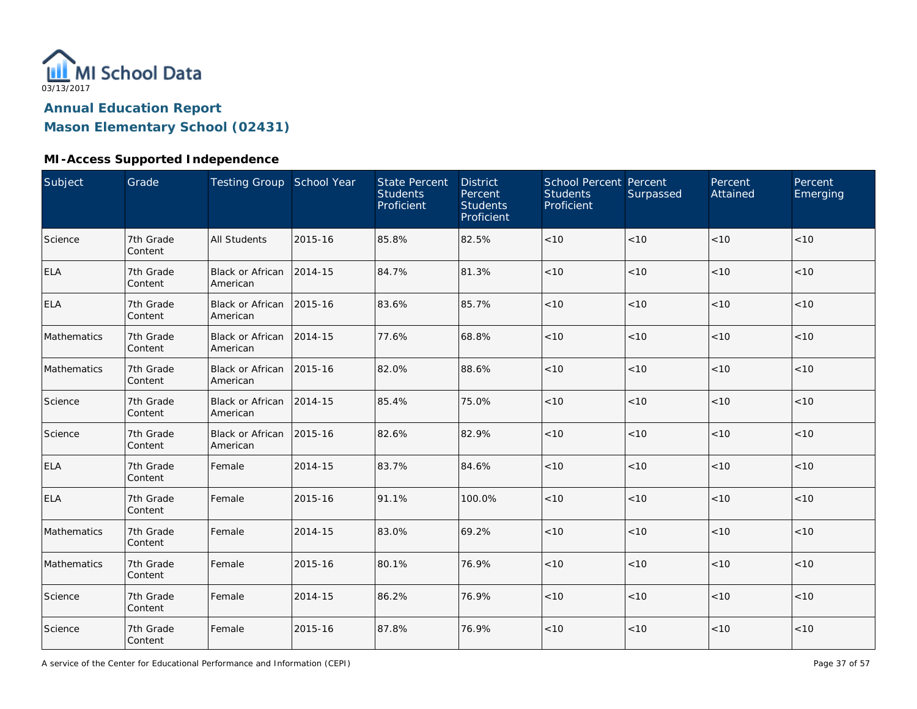

**Mason Elementary School (02431)**

#### **MI-Access Supported Independence**

| Subject     | Grade                | Testing Group School Year           |         | <b>State Percent</b><br><b>Students</b><br>Proficient | <b>District</b><br>Percent<br><b>Students</b><br>Proficient | School Percent Percent<br><b>Students</b><br>Proficient | Surpassed | Percent<br>Attained | Percent<br>Emerging |
|-------------|----------------------|-------------------------------------|---------|-------------------------------------------------------|-------------------------------------------------------------|---------------------------------------------------------|-----------|---------------------|---------------------|
| Science     | 7th Grade<br>Content | <b>All Students</b>                 | 2015-16 | 85.8%                                                 | 82.5%                                                       | < 10                                                    | < 10      | < 10                | < 10                |
| <b>ELA</b>  | 7th Grade<br>Content | Black or African<br>American        | 2014-15 | 84.7%                                                 | 81.3%                                                       | $<10$                                                   | < 10      | < 10                | < 10                |
| <b>ELA</b>  | 7th Grade<br>Content | Black or African<br>American        | 2015-16 | 83.6%                                                 | 85.7%                                                       | < 10                                                    | < 10      | < 10                | < 10                |
| Mathematics | 7th Grade<br>Content | Black or African<br>American        | 2014-15 | 77.6%                                                 | 68.8%                                                       | $<10$                                                   | < 10      | < 10                | $<10$               |
| Mathematics | 7th Grade<br>Content | <b>Black or African</b><br>American | 2015-16 | 82.0%                                                 | 88.6%                                                       | < 10                                                    | <10       | < 10                | < 10                |
| Science     | 7th Grade<br>Content | <b>Black or African</b><br>American | 2014-15 | 85.4%                                                 | 75.0%                                                       | $<10$                                                   | <10       | < 10                | $<10$               |
| Science     | 7th Grade<br>Content | <b>Black or African</b><br>American | 2015-16 | 82.6%                                                 | 82.9%                                                       | < 10                                                    | < 10      | < 10                | < 10                |
| <b>ELA</b>  | 7th Grade<br>Content | Female                              | 2014-15 | 83.7%                                                 | 84.6%                                                       | < 10                                                    | < 10      | < 10                | < 10                |
| <b>ELA</b>  | 7th Grade<br>Content | Female                              | 2015-16 | 91.1%                                                 | 100.0%                                                      | $<10$                                                   | < 10      | < 10                | $<10$               |
| Mathematics | 7th Grade<br>Content | Female                              | 2014-15 | 83.0%                                                 | 69.2%                                                       | < 10                                                    | < 10      | < 10                | < 10                |
| Mathematics | 7th Grade<br>Content | Female                              | 2015-16 | 80.1%                                                 | 76.9%                                                       | $<10$                                                   | < 10      | < 10                | $<10$               |
| Science     | 7th Grade<br>Content | Female                              | 2014-15 | 86.2%                                                 | 76.9%                                                       | $<10$                                                   | < 10      | < 10                | < 10                |
| Science     | 7th Grade<br>Content | Female                              | 2015-16 | 87.8%                                                 | 76.9%                                                       | < 10                                                    | < 10      | < 10                | $<10$               |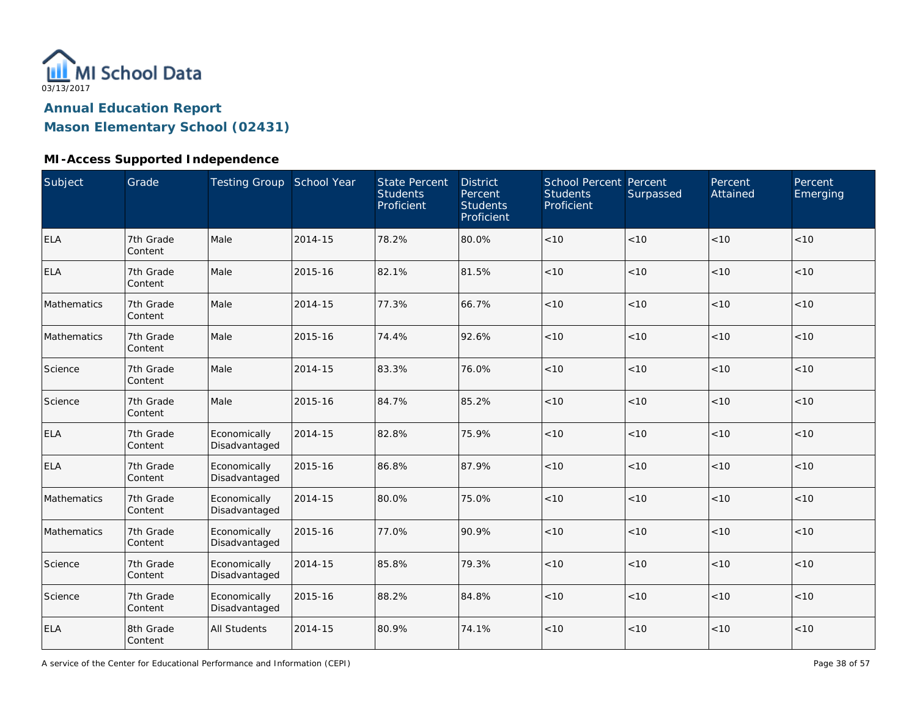

**Mason Elementary School (02431)**

#### **MI-Access Supported Independence**

| Subject     | Grade                | Testing Group School Year     |         | <b>State Percent</b><br><b>Students</b><br>Proficient | <b>District</b><br>Percent<br><b>Students</b><br>Proficient | School Percent Percent<br><b>Students</b><br>Proficient | Surpassed | Percent<br>Attained | Percent<br>Emerging |
|-------------|----------------------|-------------------------------|---------|-------------------------------------------------------|-------------------------------------------------------------|---------------------------------------------------------|-----------|---------------------|---------------------|
| <b>ELA</b>  | 7th Grade<br>Content | Male                          | 2014-15 | 78.2%                                                 | 80.0%                                                       | $<10$                                                   | < 10      | < 10                | < 10                |
| <b>ELA</b>  | 7th Grade<br>Content | Male                          | 2015-16 | 82.1%                                                 | 81.5%                                                       | < 10                                                    | < 10      | < 10                | < 10                |
| Mathematics | 7th Grade<br>Content | Male                          | 2014-15 | 77.3%                                                 | 66.7%                                                       | < 10                                                    | < 10      | < 10                | < 10                |
| Mathematics | 7th Grade<br>Content | Male                          | 2015-16 | 74.4%                                                 | 92.6%                                                       | $<10$                                                   | < 10      | < 10                | < 10                |
| Science     | 7th Grade<br>Content | Male                          | 2014-15 | 83.3%                                                 | 76.0%                                                       | < 10                                                    | < 10      | < 10                | < 10                |
| Science     | 7th Grade<br>Content | Male                          | 2015-16 | 84.7%                                                 | 85.2%                                                       | $<10$                                                   | < 10      | < 10                | < 10                |
| <b>ELA</b>  | 7th Grade<br>Content | Economically<br>Disadvantaged | 2014-15 | 82.8%                                                 | 75.9%                                                       | < 10                                                    | < 10      | < 10                | < 10                |
| <b>ELA</b>  | 7th Grade<br>Content | Economically<br>Disadvantaged | 2015-16 | 86.8%                                                 | 87.9%                                                       | < 10                                                    | < 10      | < 10                | < 10                |
| Mathematics | 7th Grade<br>Content | Economically<br>Disadvantaged | 2014-15 | 80.0%                                                 | 75.0%                                                       | $<10$                                                   | < 10      | < 10                | < 10                |
| Mathematics | 7th Grade<br>Content | Economically<br>Disadvantaged | 2015-16 | 77.0%                                                 | 90.9%                                                       | $<10$                                                   | < 10      | < 10                | < 10                |
| Science     | 7th Grade<br>Content | Economically<br>Disadvantaged | 2014-15 | 85.8%                                                 | 79.3%                                                       | < 10                                                    | < 10      | < 10                | < 10                |
| Science     | 7th Grade<br>Content | Economically<br>Disadvantaged | 2015-16 | 88.2%                                                 | 84.8%                                                       | < 10                                                    | < 10      | < 10                | < 10                |
| <b>ELA</b>  | 8th Grade<br>Content | <b>All Students</b>           | 2014-15 | 80.9%                                                 | 74.1%                                                       | $<10$                                                   | < 10      | < 10                | < 10                |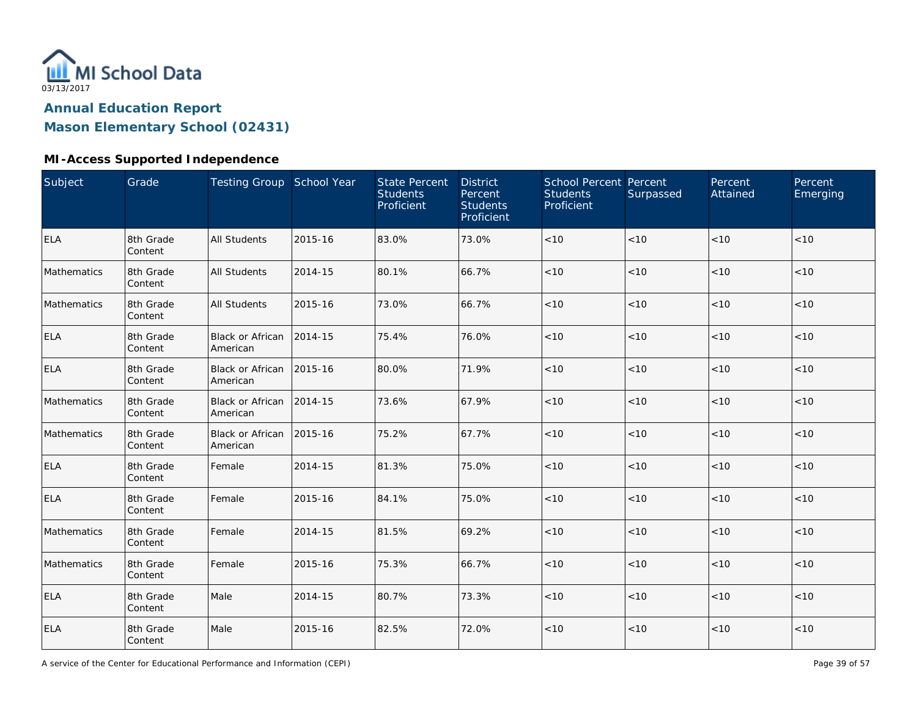

**Mason Elementary School (02431)**

#### **MI-Access Supported Independence**

| Subject     | Grade                | <b>Testing Group School Year</b>    |         | <b>State Percent</b><br><b>Students</b><br>Proficient | <b>District</b><br>Percent<br><b>Students</b><br>Proficient | School Percent Percent<br><b>Students</b><br>Proficient | Surpassed | Percent<br>Attained | Percent<br>Emerging |
|-------------|----------------------|-------------------------------------|---------|-------------------------------------------------------|-------------------------------------------------------------|---------------------------------------------------------|-----------|---------------------|---------------------|
| <b>ELA</b>  | 8th Grade<br>Content | <b>All Students</b>                 | 2015-16 | 83.0%                                                 | 73.0%                                                       | $<10$                                                   | < 10      | < 10                | < 10                |
| Mathematics | 8th Grade<br>Content | <b>All Students</b>                 | 2014-15 | 80.1%                                                 | 66.7%                                                       | $<10$                                                   | < 10      | < 10                | $<10$               |
| Mathematics | 8th Grade<br>Content | <b>All Students</b>                 | 2015-16 | 73.0%                                                 | 66.7%                                                       | < 10                                                    | < 10      | < 10                | < 10                |
| <b>ELA</b>  | 8th Grade<br>Content | Black or African<br>American        | 2014-15 | 75.4%                                                 | 76.0%                                                       | $<10$                                                   | < 10      | < 10                | $<10$               |
| <b>ELA</b>  | 8th Grade<br>Content | <b>Black or African</b><br>American | 2015-16 | 80.0%                                                 | 71.9%                                                       | < 10                                                    | <10       | < 10                | < 10                |
| Mathematics | 8th Grade<br>Content | <b>Black or African</b><br>American | 2014-15 | 73.6%                                                 | 67.9%                                                       | $<10$                                                   | <10       | < 10                | $<10$               |
| Mathematics | 8th Grade<br>Content | <b>Black or African</b><br>American | 2015-16 | 75.2%                                                 | 67.7%                                                       | < 10                                                    | < 10      | < 10                | < 10                |
| <b>ELA</b>  | 8th Grade<br>Content | Female                              | 2014-15 | 81.3%                                                 | 75.0%                                                       | < 10                                                    | < 10      | < 10                | < 10                |
| <b>ELA</b>  | 8th Grade<br>Content | Female                              | 2015-16 | 84.1%                                                 | 75.0%                                                       | $<10$                                                   | < 10      | < 10                | $<10$               |
| Mathematics | 8th Grade<br>Content | Female                              | 2014-15 | 81.5%                                                 | 69.2%                                                       | < 10                                                    | < 10      | < 10                | < 10                |
| Mathematics | 8th Grade<br>Content | Female                              | 2015-16 | 75.3%                                                 | 66.7%                                                       | $<10$                                                   | <10       | < 10                | $<10$               |
| <b>ELA</b>  | 8th Grade<br>Content | Male                                | 2014-15 | 80.7%                                                 | 73.3%                                                       | $<10$                                                   | <10       | < 10                | < 10                |
| <b>ELA</b>  | 8th Grade<br>Content | Male                                | 2015-16 | 82.5%                                                 | 72.0%                                                       | < 10                                                    | <10       | < 10                | $<10$               |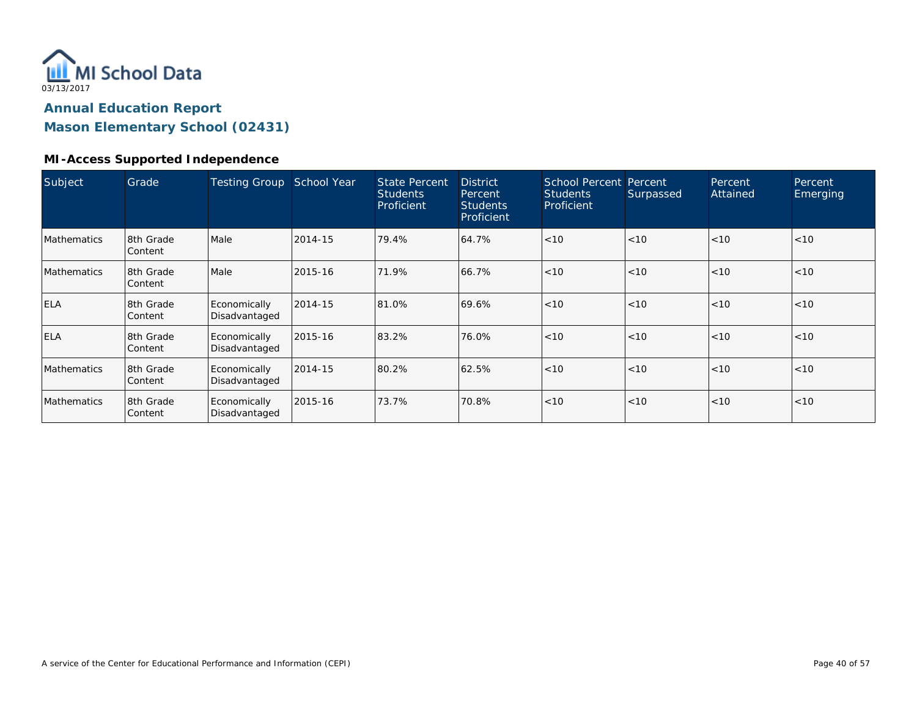

**Mason Elementary School (02431)**

#### **MI-Access Supported Independence**

| Subject            | Grade                 | <b>Testing Group</b>          | School Year | <b>State Percent</b><br><b>Students</b><br>Proficient | <b>District</b><br>Percent<br><b>Students</b><br>Proficient | School Percent<br><b>Students</b><br>Proficient | Percent<br>Surpassed | Percent<br>Attained | Percent<br>Emerging |
|--------------------|-----------------------|-------------------------------|-------------|-------------------------------------------------------|-------------------------------------------------------------|-------------------------------------------------|----------------------|---------------------|---------------------|
| <b>Mathematics</b> | 8th Grade<br>Content  | Male                          | 2014-15     | 79.4%                                                 | 64.7%                                                       | < 10                                            | < 10                 | < 10                | < 10                |
| <b>Mathematics</b> | 18th Grade<br>Content | Male                          | 2015-16     | 71.9%                                                 | 66.7%                                                       | < 10                                            | < 10                 | < 10                | < 10                |
| <b>ELA</b>         | 8th Grade<br>Content  | Economically<br>Disadvantaged | 2014-15     | 81.0%                                                 | 69.6%                                                       | $ $ < 10                                        | < 10                 | < 10                | < 10                |
| <b>ELA</b>         | 8th Grade<br>Content  | Economically<br>Disadvantaged | 2015-16     | 83.2%                                                 | 76.0%                                                       | < 10                                            | < 10                 | < 10                | < 10                |
| <b>Mathematics</b> | 8th Grade<br>Content  | Economically<br>Disadvantaged | 2014-15     | 80.2%                                                 | 62.5%                                                       | < 10                                            | < 10                 | < 10                | < 10                |
| <b>Mathematics</b> | 8th Grade<br>Content  | Economically<br>Disadvantaged | 2015-16     | 73.7%                                                 | 70.8%                                                       | < 10                                            | < 10                 | < 10                | < 10                |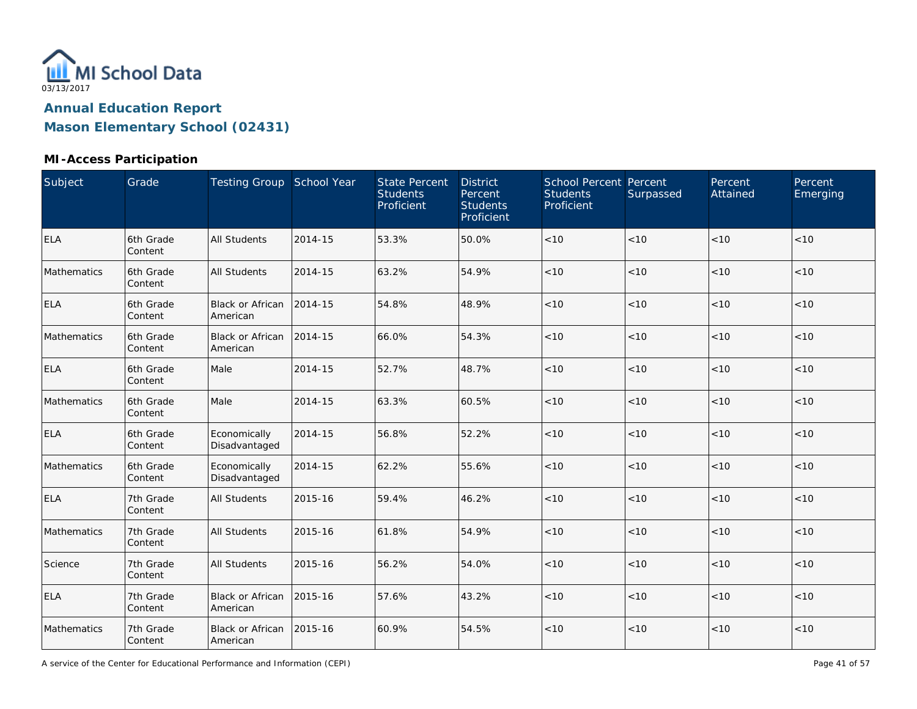

#### **MI-Access Participation**

| Subject            | Grade                | Testing Group School Year            |         | <b>State Percent</b><br><b>Students</b><br>Proficient | <b>District</b><br>Percent<br><b>Students</b><br>Proficient | <b>School Percent Percent</b><br><b>Students</b><br>Proficient | Surpassed | Percent<br>Attained | Percent<br>Emerging |
|--------------------|----------------------|--------------------------------------|---------|-------------------------------------------------------|-------------------------------------------------------------|----------------------------------------------------------------|-----------|---------------------|---------------------|
| <b>ELA</b>         | 6th Grade<br>Content | <b>All Students</b>                  | 2014-15 | 53.3%                                                 | 50.0%                                                       | $<10$                                                          | < 10      | < 10                | < 10                |
| Mathematics        | 6th Grade<br>Content | <b>All Students</b>                  | 2014-15 | 63.2%                                                 | 54.9%                                                       | < 10                                                           | < 10      | < 10                | < 10                |
| <b>ELA</b>         | 6th Grade<br>Content | <b>Black or African</b><br>American  | 2014-15 | 54.8%                                                 | 48.9%                                                       | $<10$                                                          | < 10      | < 10                | < 10                |
| <b>Mathematics</b> | 6th Grade<br>Content | <b>Black or African</b><br>American  | 2014-15 | 66.0%                                                 | 54.3%                                                       | < 10                                                           | < 10      | < 10                | < 10                |
| <b>ELA</b>         | 6th Grade<br>Content | Male                                 | 2014-15 | 52.7%                                                 | 48.7%                                                       | < 10                                                           | < 10      | < 10                | < 10                |
| Mathematics        | 6th Grade<br>Content | Male                                 | 2014-15 | 63.3%                                                 | 60.5%                                                       | < 10                                                           | < 10      | < 10                | < 10                |
| <b>ELA</b>         | 6th Grade<br>Content | Economically<br>Disadvantaged        | 2014-15 | 56.8%                                                 | 52.2%                                                       | < 10                                                           | < 10      | < 10                | < 10                |
| Mathematics        | 6th Grade<br>Content | Economically<br>Disadvantaged        | 2014-15 | 62.2%                                                 | 55.6%                                                       | < 10                                                           | < 10      | < 10                | < 10                |
| <b>ELA</b>         | 7th Grade<br>Content | All Students                         | 2015-16 | 59.4%                                                 | 46.2%                                                       | $<10$                                                          | $<10$     | $<10$               | < 10                |
| Mathematics        | 7th Grade<br>Content | <b>All Students</b>                  | 2015-16 | 61.8%                                                 | 54.9%                                                       | <10                                                            | $<10$     | < 10                | < 10                |
| Science            | 7th Grade<br>Content | <b>All Students</b>                  | 2015-16 | 56.2%                                                 | 54.0%                                                       | $<10$                                                          | $<10$     | $<10$               | $<10$               |
| <b>ELA</b>         | 7th Grade<br>Content | <b>Black or African</b><br>American  | 2015-16 | 57.6%                                                 | 43.2%                                                       | $<10$                                                          | < 10      | < 10                | < 10                |
| Mathematics        | 7th Grade<br>Content | Black or African 2015-16<br>American |         | 60.9%                                                 | 54.5%                                                       | $<10$                                                          | $<10$     | $<10$               | $<10$               |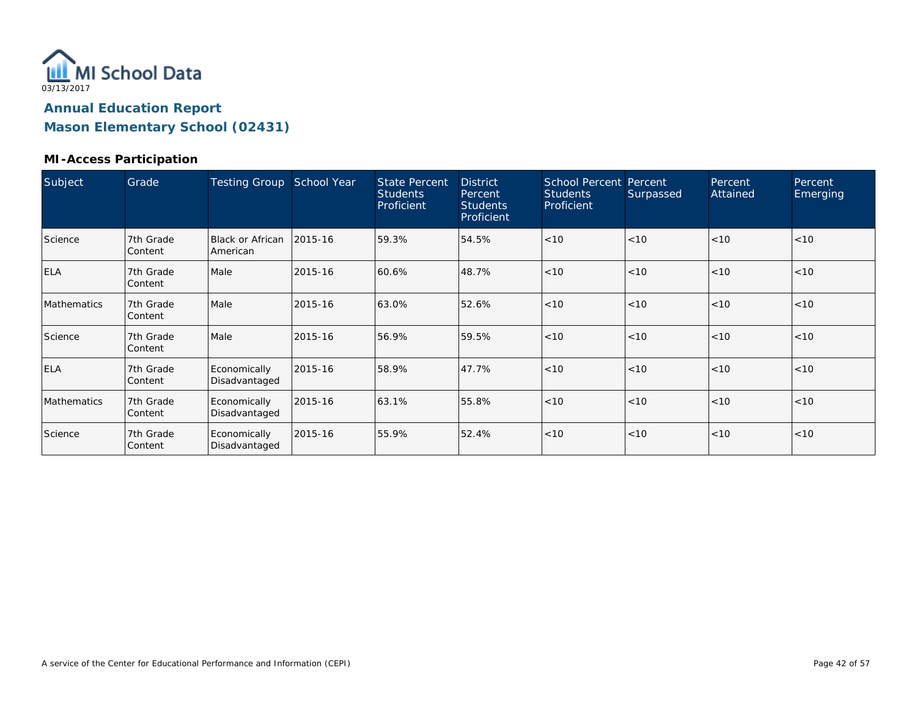

#### **MI-Access Participation**

| Subject     | Grade                | <b>Testing Group</b>          | School Year | <b>State Percent</b><br><b>Students</b><br>Proficient | <b>District</b><br>Percent<br><b>Students</b><br>Proficient | <b>School Percent Percent</b><br><b>Students</b><br>Proficient | Surpassed | Percent<br>Attained | Percent<br>Emerging |
|-------------|----------------------|-------------------------------|-------------|-------------------------------------------------------|-------------------------------------------------------------|----------------------------------------------------------------|-----------|---------------------|---------------------|
| Science     | 7th Grade<br>Content | Black or African<br>American  | 2015-16     | 59.3%                                                 | 54.5%                                                       | < 10                                                           | < 10      | < 10                | < 10                |
| <b>ELA</b>  | 7th Grade<br>Content | Male                          | 2015-16     | 60.6%                                                 | 48.7%                                                       | < 10                                                           | < 10      | < 10                | < 10                |
| Mathematics | 7th Grade<br>Content | Male                          | 2015-16     | 63.0%                                                 | 52.6%                                                       | < 10                                                           | < 10      | < 10                | < 10                |
| Science     | 7th Grade<br>Content | Male                          | 2015-16     | 56.9%                                                 | 59.5%                                                       | < 10                                                           | < 10      | < 10                | < 10                |
| ELA         | 7th Grade<br>Content | Economically<br>Disadvantaged | 2015-16     | 58.9%                                                 | 47.7%                                                       | < 10                                                           | < 10      | < 10                | < 10                |
| Mathematics | 7th Grade<br>Content | Economically<br>Disadvantaged | 2015-16     | 63.1%                                                 | 55.8%                                                       | < 10                                                           | < 10      | < 10                | < 10                |
| Science     | 7th Grade<br>Content | Economically<br>Disadvantaged | 2015-16     | 55.9%                                                 | 52.4%                                                       | < 10                                                           | < 10      | < 10                | < 10                |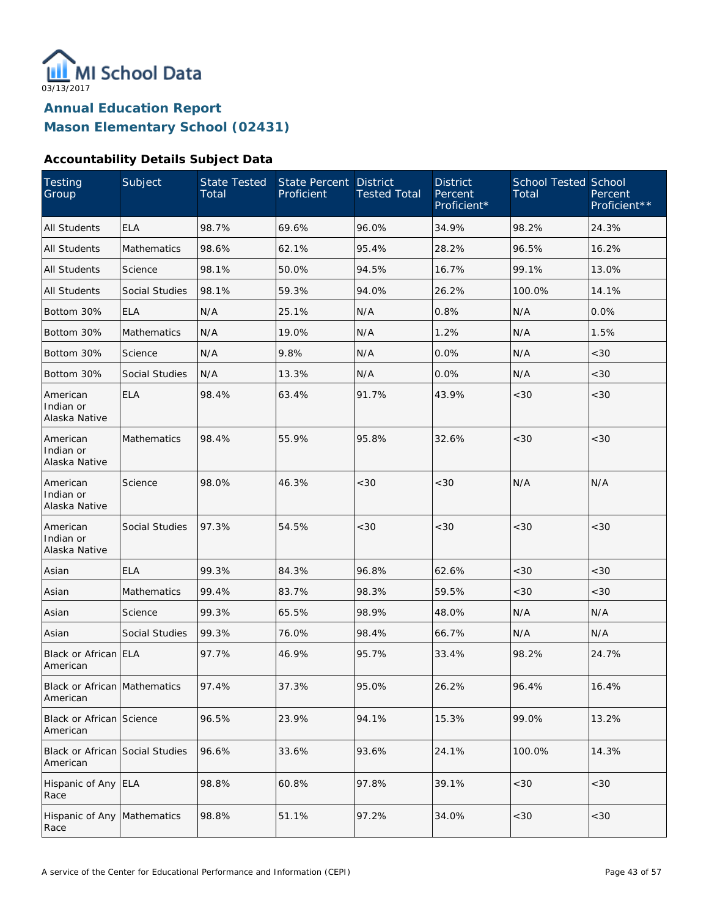

#### **Accountability Details Subject Data**

| Testing<br>Group                            | Subject               | State Tested<br>Total | State Percent<br>Proficient | <b>District</b><br><b>Tested Total</b> | <b>District</b><br>Percent<br>Proficient* | <b>School Tested School</b><br>Total | Percent<br>Proficient** |
|---------------------------------------------|-----------------------|-----------------------|-----------------------------|----------------------------------------|-------------------------------------------|--------------------------------------|-------------------------|
| <b>All Students</b>                         | <b>ELA</b>            | 98.7%                 | 69.6%                       | 96.0%                                  | 34.9%                                     | 98.2%                                | 24.3%                   |
| <b>All Students</b>                         | Mathematics           | 98.6%                 | 62.1%                       | 95.4%                                  | 28.2%                                     | 96.5%                                | 16.2%                   |
| <b>All Students</b>                         | Science               | 98.1%                 | 50.0%                       | 94.5%                                  | 16.7%                                     | 99.1%                                | 13.0%                   |
| All Students                                | Social Studies        | 98.1%                 | 59.3%                       | 94.0%                                  | 26.2%                                     | 100.0%                               | 14.1%                   |
| Bottom 30%                                  | <b>ELA</b>            | N/A                   | 25.1%                       | N/A                                    | 0.8%                                      | N/A                                  | 0.0%                    |
| Bottom 30%                                  | Mathematics           | N/A                   | 19.0%                       | N/A                                    | 1.2%                                      | N/A                                  | 1.5%                    |
| Bottom 30%                                  | Science               | N/A                   | 9.8%                        | N/A                                    | 0.0%                                      | N/A                                  | <30                     |
| Bottom 30%                                  | Social Studies        | N/A                   | 13.3%                       | N/A                                    | 0.0%                                      | N/A                                  | <30                     |
| American<br>Indian or<br>Alaska Native      | <b>ELA</b>            | 98.4%                 | 63.4%                       | 91.7%                                  | 43.9%                                     | <30                                  | <30                     |
| American<br>Indian or<br>Alaska Native      | <b>Mathematics</b>    | 98.4%                 | 55.9%                       | 95.8%                                  | 32.6%                                     | <30                                  | <30                     |
| American<br>Indian or<br>Alaska Native      | Science               | 98.0%                 | 46.3%                       | < 30                                   | <30                                       | N/A                                  | N/A                     |
| American<br>Indian or<br>Alaska Native      | Social Studies        | 97.3%                 | 54.5%                       | <30                                    | <30                                       | < 30                                 | <30                     |
| Asian                                       | <b>ELA</b>            | 99.3%                 | 84.3%                       | 96.8%                                  | 62.6%                                     | <30                                  | <30                     |
| Asian                                       | <b>Mathematics</b>    | 99.4%                 | 83.7%                       | 98.3%                                  | 59.5%                                     | <30                                  | <30                     |
| Asian                                       | Science               | 99.3%                 | 65.5%                       | 98.9%                                  | 48.0%                                     | N/A                                  | N/A                     |
| Asian                                       | <b>Social Studies</b> | 99.3%                 | 76.0%                       | 98.4%                                  | 66.7%                                     | N/A                                  | N/A                     |
| Black or African ELA<br>American            |                       | 97.7%                 | 46.9%                       | 95.7%                                  | 33.4%                                     | 98.2%                                | 24.7%                   |
| Black or African Mathematics<br>American    |                       | 97.4%                 | 37.3%                       | 95.0%                                  | 26.2%                                     | 96.4%                                | 16.4%                   |
| <b>Black or African Science</b><br>American |                       | 96.5%                 | 23.9%                       | 94.1%                                  | 15.3%                                     | 99.0%                                | 13.2%                   |
| Black or African Social Studies<br>American |                       | 96.6%                 | 33.6%                       | 93.6%                                  | 24.1%                                     | 100.0%                               | 14.3%                   |
| Hispanic of Any ELA<br>Race                 |                       | 98.8%                 | 60.8%                       | 97.8%                                  | 39.1%                                     | $<30$                                | <30                     |
| Hispanic of Any Mathematics<br>Race         |                       | 98.8%                 | 51.1%                       | 97.2%                                  | 34.0%                                     | $<30$                                | $<30$                   |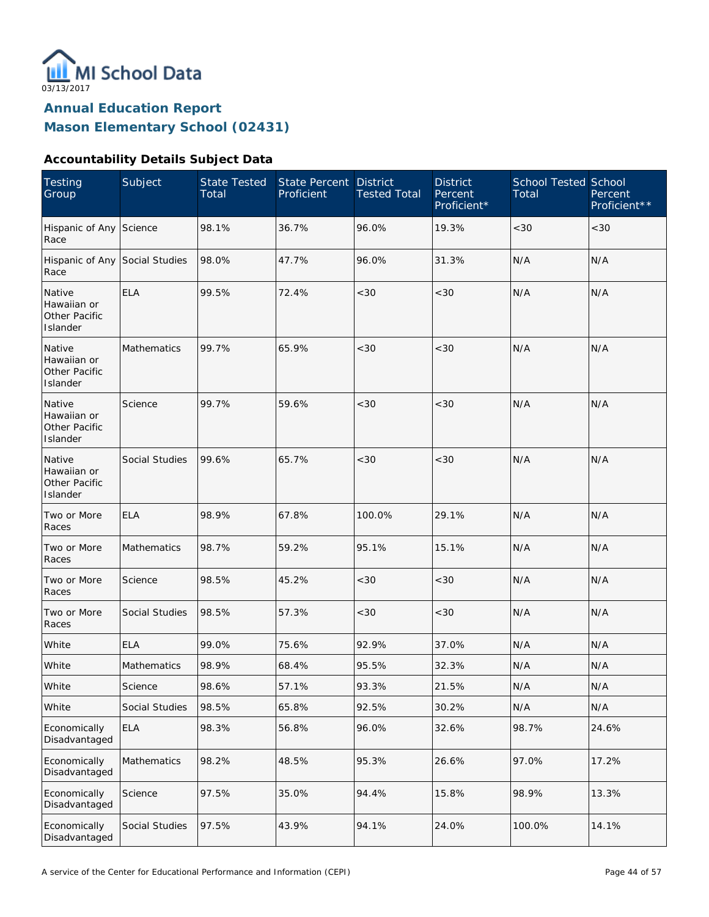

#### **Accountability Details Subject Data**

| <b>Testing</b><br>Group                            | Subject            | <b>State Tested</b><br>Total | <b>State Percent</b><br>Proficient | <b>District</b><br><b>Tested Total</b> | <b>District</b><br>Percent<br>Proficient* | <b>School Tested School</b><br>Total | Percent<br>Proficient** |
|----------------------------------------------------|--------------------|------------------------------|------------------------------------|----------------------------------------|-------------------------------------------|--------------------------------------|-------------------------|
| Hispanic of Any Science<br>Race                    |                    | 98.1%                        | 36.7%                              | 96.0%                                  | 19.3%                                     | <30                                  | <30                     |
| Hispanic of Any Social Studies<br>Race             |                    | 98.0%                        | 47.7%                              | 96.0%                                  | 31.3%                                     | N/A                                  | N/A                     |
| Native<br>Hawaiian or<br>Other Pacific<br>Islander | <b>ELA</b>         | 99.5%                        | 72.4%                              | <30                                    | <30                                       | N/A                                  | N/A                     |
| Native<br>Hawaiian or<br>Other Pacific<br>Islander | Mathematics        | 99.7%                        | 65.9%                              | <30                                    | < 30                                      | N/A                                  | N/A                     |
| Native<br>Hawaiian or<br>Other Pacific<br>Islander | Science            | 99.7%                        | 59.6%                              | <30                                    | < 30                                      | N/A                                  | N/A                     |
| Native<br>Hawaiian or<br>Other Pacific<br>Islander | Social Studies     | 99.6%                        | 65.7%                              | <30                                    | < 30                                      | N/A                                  | N/A                     |
| Two or More<br>Races                               | <b>ELA</b>         | 98.9%                        | 67.8%                              | 100.0%                                 | 29.1%                                     | N/A                                  | N/A                     |
| Two or More<br>Races                               | Mathematics        | 98.7%                        | 59.2%                              | 95.1%                                  | 15.1%                                     | N/A                                  | N/A                     |
| Two or More<br>Races                               | Science            | 98.5%                        | 45.2%                              | <30                                    | < 30                                      | N/A                                  | N/A                     |
| Two or More<br>Races                               | Social Studies     | 98.5%                        | 57.3%                              | <30                                    | < 30                                      | N/A                                  | N/A                     |
| White                                              | <b>ELA</b>         | 99.0%                        | 75.6%                              | 92.9%                                  | 37.0%                                     | N/A                                  | N/A                     |
| White                                              | <b>Mathematics</b> | 98.9%                        | 68.4%                              | 95.5%                                  | 32.3%                                     | N/A                                  | N/A                     |
| White                                              | Science            | 98.6%                        | 57.1%                              | 93.3%                                  | 21.5%                                     | $\mathsf{N}/\mathsf{A}$              | N/A                     |
| White                                              | Social Studies     | 98.5%                        | 65.8%                              | 92.5%                                  | 30.2%                                     | N/A                                  | N/A                     |
| Economically<br>Disadvantaged                      | <b>ELA</b>         | 98.3%                        | 56.8%                              | 96.0%                                  | 32.6%                                     | 98.7%                                | 24.6%                   |
| Economically<br>Disadvantaged                      | Mathematics        | 98.2%                        | 48.5%                              | 95.3%                                  | 26.6%                                     | 97.0%                                | 17.2%                   |
| Economically<br>Disadvantaged                      | Science            | 97.5%                        | 35.0%                              | 94.4%                                  | 15.8%                                     | 98.9%                                | 13.3%                   |
| Economically<br>Disadvantaged                      | Social Studies     | 97.5%                        | 43.9%                              | 94.1%                                  | 24.0%                                     | 100.0%                               | 14.1%                   |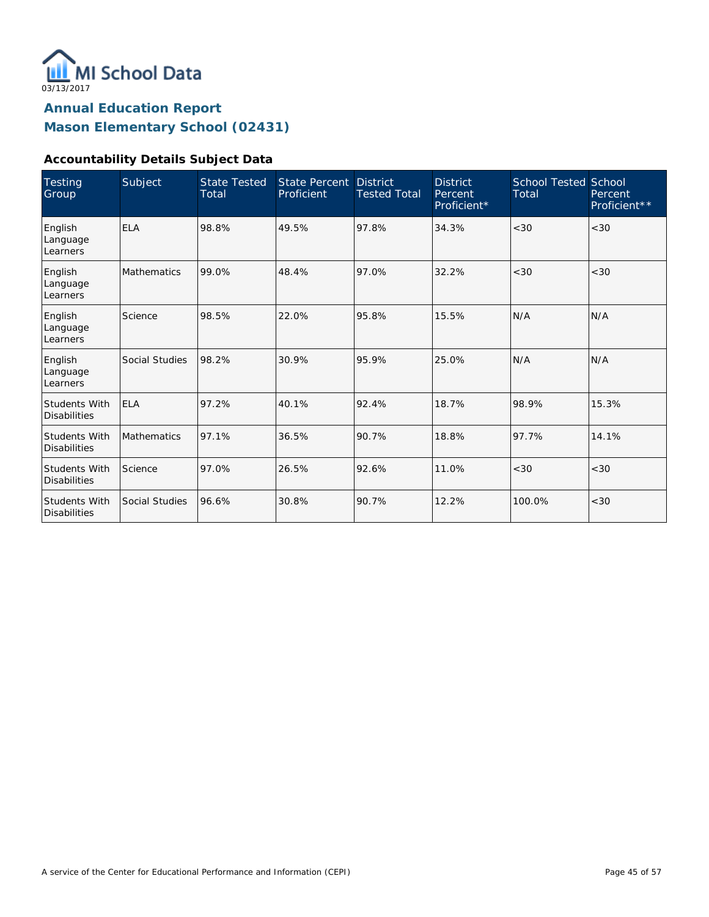

#### **Accountability Details Subject Data**

| <b>Testing</b><br>Group                     | Subject            | <b>State Tested</b><br>Total | State Percent<br>Proficient | <b>District</b><br><b>Tested Total</b> | <b>District</b><br>Percent<br>Proficient* | <b>School Tested School</b><br>Total | Percent<br>Proficient** |
|---------------------------------------------|--------------------|------------------------------|-----------------------------|----------------------------------------|-------------------------------------------|--------------------------------------|-------------------------|
| English<br>Language<br>Learners             | <b>ELA</b>         | 98.8%                        | 49.5%                       | 97.8%                                  | 34.3%                                     | <30                                  | < 30                    |
| English<br>Language<br>Learners             | <b>Mathematics</b> | 99.0%                        | 48.4%                       | 97.0%                                  | 32.2%                                     | < 30                                 | <30                     |
| English<br>Language<br>Learners             | Science            | 98.5%                        | 22.0%                       | 95.8%                                  | 15.5%                                     | N/A                                  | N/A                     |
| English<br>Language<br>Learners             | Social Studies     | 98.2%                        | 30.9%                       | 95.9%                                  | 25.0%                                     | N/A                                  | N/A                     |
| <b>Students With</b><br><b>Disabilities</b> | <b>ELA</b>         | 97.2%                        | 40.1%                       | 92.4%                                  | 18.7%                                     | 98.9%                                | 15.3%                   |
| <b>Students With</b><br><b>Disabilities</b> | <b>Mathematics</b> | 97.1%                        | 36.5%                       | 90.7%                                  | 18.8%                                     | 97.7%                                | 14.1%                   |
| <b>Students With</b><br><b>Disabilities</b> | Science            | 97.0%                        | 26.5%                       | 92.6%                                  | 11.0%                                     | <30                                  | <30                     |
| <b>Students With</b><br><b>Disabilities</b> | Social Studies     | 96.6%                        | 30.8%                       | 90.7%                                  | 12.2%                                     | 100.0%                               | < 30                    |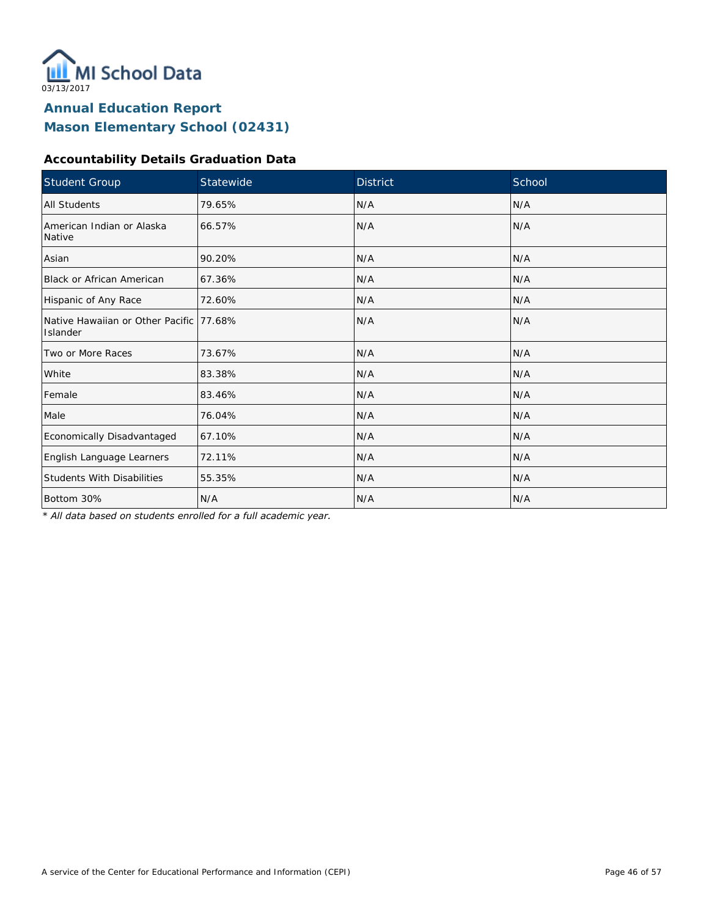

#### **Accountability Details Graduation Data**

| Student Group                                        | Statewide | <b>District</b> | School |
|------------------------------------------------------|-----------|-----------------|--------|
| <b>All Students</b>                                  | 79.65%    | N/A             | N/A    |
| American Indian or Alaska<br>Native                  | 66.57%    | N/A             | N/A    |
| Asian                                                | 90.20%    | N/A             | N/A    |
| Black or African American                            | 67.36%    | N/A             | N/A    |
| Hispanic of Any Race                                 | 72.60%    | N/A             | N/A    |
| Native Hawaiian or Other Pacific 177.68%<br>Islander |           | N/A             | N/A    |
| Two or More Races                                    | 73.67%    | N/A             | N/A    |
| White                                                | 83.38%    | N/A             | N/A    |
| Female                                               | 83.46%    | N/A             | N/A    |
| Male                                                 | 76.04%    | N/A             | N/A    |
| Economically Disadvantaged                           | 67.10%    | N/A             | N/A    |
| English Language Learners                            | 72.11%    | N/A             | N/A    |
| <b>Students With Disabilities</b>                    | 55.35%    | N/A             | N/A    |
| Bottom 30%                                           | N/A       | N/A             | N/A    |

*\* All data based on students enrolled for a full academic year.*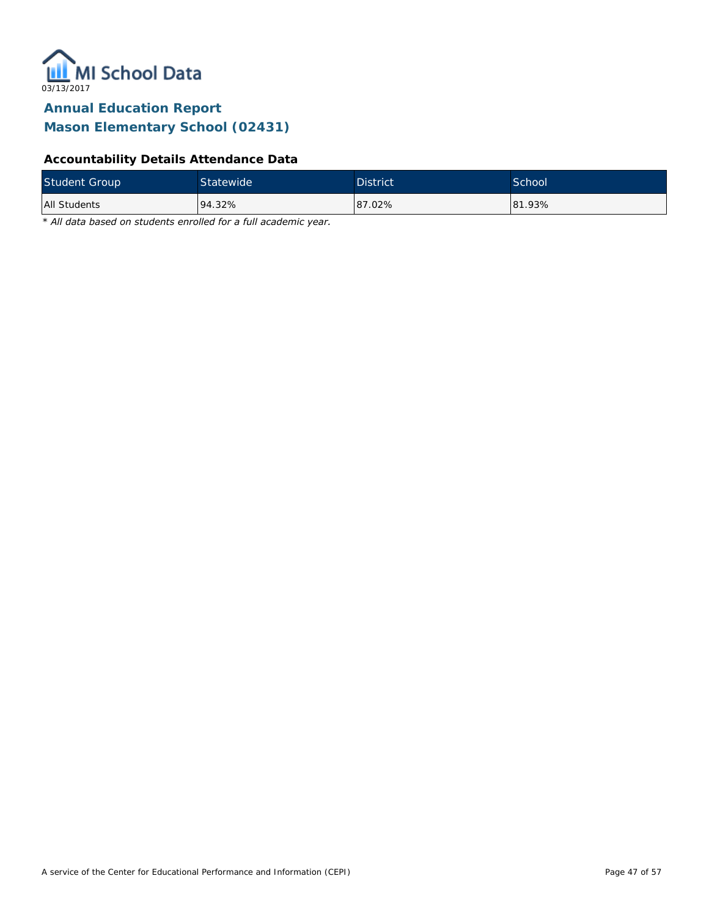

#### **Accountability Details Attendance Data**

| <b>Student Group</b> | <b>Statewide</b> | <b>District</b> | School |
|----------------------|------------------|-----------------|--------|
| All Students         | 94.32%           | 87.02%          | 81.93% |

*\* All data based on students enrolled for a full academic year.*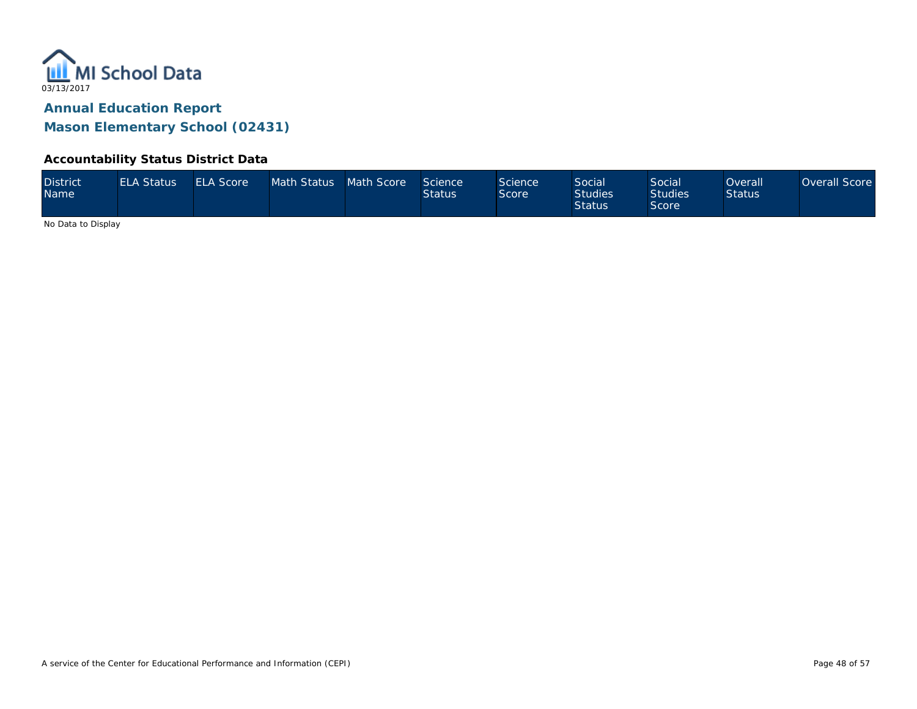

#### **Accountability Status District Data**

| <b>District</b><br><b>Name</b> | <b>ELA Status</b> | <b>ELA Score</b> | Math Status Math Score |  | Science<br><b>Status</b> | Science<br>Score | <b>Social</b><br><b>Studies</b><br><b>Status</b> | Social<br><b>Studies</b><br>Score | Overall'<br><b>Status</b> | Overall Score |
|--------------------------------|-------------------|------------------|------------------------|--|--------------------------|------------------|--------------------------------------------------|-----------------------------------|---------------------------|---------------|
|--------------------------------|-------------------|------------------|------------------------|--|--------------------------|------------------|--------------------------------------------------|-----------------------------------|---------------------------|---------------|

No Data to Display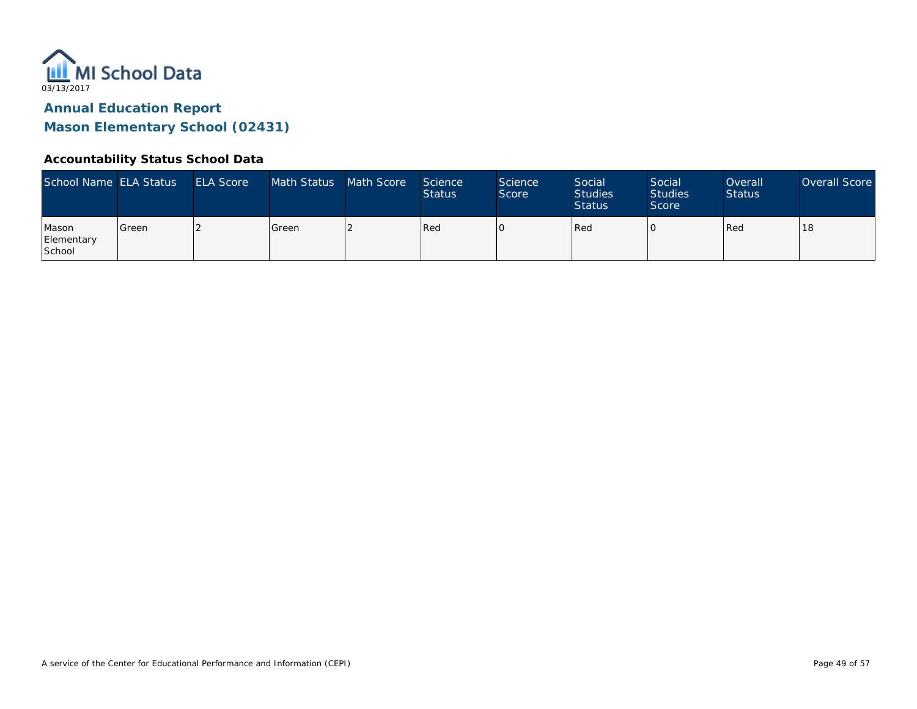

#### **Accountability Status School Data**

| School Name ELA Status        |         | <b>ELA Score</b> | Math Status   | Math Score | Science<br><b>Status</b> | <b>Science</b><br>Score | Social<br><b>Studies</b><br><b>Status</b> | Social<br><b>Studies</b><br>Score | Overall<br><b>Status</b> | Overall Score |
|-------------------------------|---------|------------------|---------------|------------|--------------------------|-------------------------|-------------------------------------------|-----------------------------------|--------------------------|---------------|
| Mason<br>Elementary<br>School | l Green |                  | <b>S</b> reen |            | Red                      |                         | Red                                       |                                   | Red                      | 18            |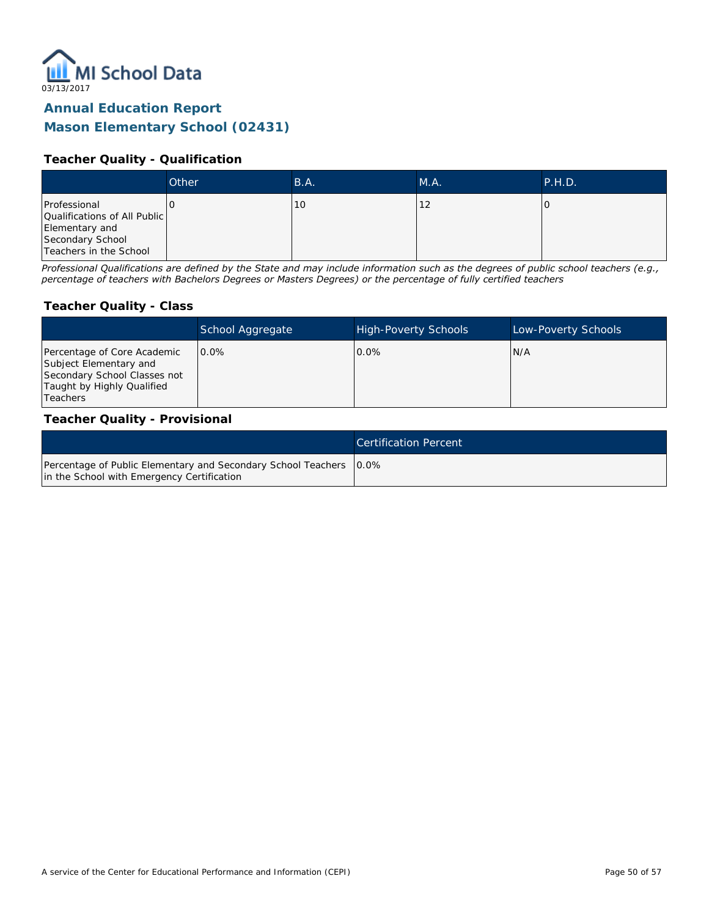

#### **Teacher Quality - Qualification**

|                                                                                                              | Other | B.A. | M.A. | P.H.D. |
|--------------------------------------------------------------------------------------------------------------|-------|------|------|--------|
| Professional<br>Qualifications of All Public<br>Elementary and<br>Secondary School<br>Teachers in the School |       | 10   | 12   |        |

*Professional Qualifications are defined by the State and may include information such as the degrees of public school teachers (e.g., percentage of teachers with Bachelors Degrees or Masters Degrees) or the percentage of fully certified teachers*

#### **Teacher Quality - Class**

|                                                                                                                                        | School Aggregate | <b>High-Poverty Schools</b> | Low-Poverty Schools |
|----------------------------------------------------------------------------------------------------------------------------------------|------------------|-----------------------------|---------------------|
| Percentage of Core Academic<br>Subject Elementary and<br>Secondary School Classes not<br>Taught by Highly Qualified<br><b>Teachers</b> | $0.0\%$          | $0.0\%$                     | N/A                 |

#### **Teacher Quality - Provisional**

|                                                                                                                    | Certification Percent |
|--------------------------------------------------------------------------------------------------------------------|-----------------------|
| Percentage of Public Elementary and Secondary School Teachers   0.0%<br>in the School with Emergency Certification |                       |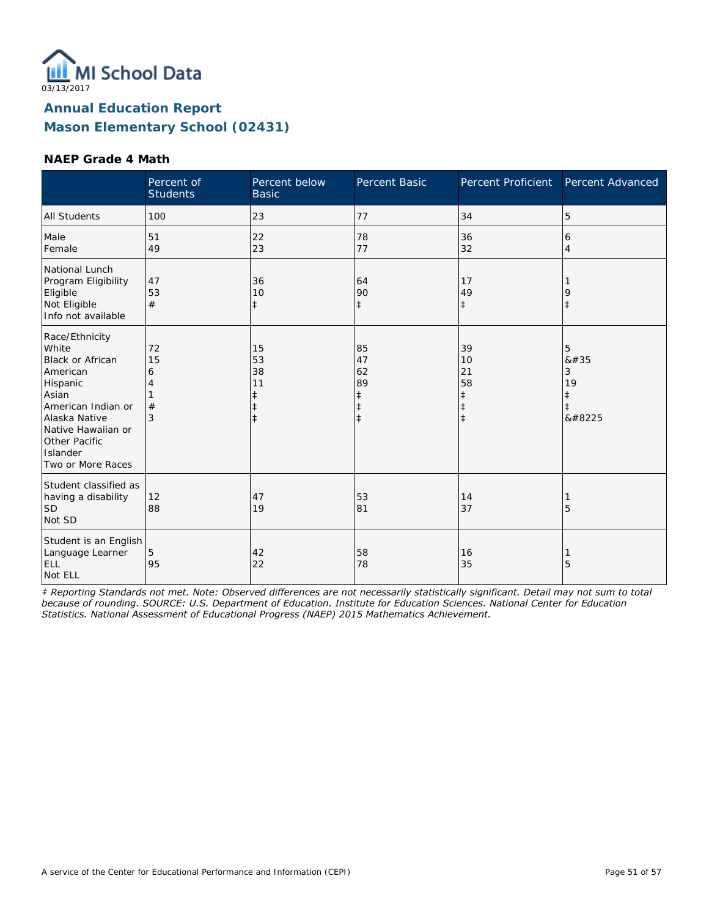

#### **NAEP Grade 4 Math**

|                                                                                                                                                                                                    | Percent of<br><b>Students</b> | Percent below<br><b>Basic</b>                                  | <b>Percent Basic</b>                                  | Percent Proficient                                             | Percent Advanced                                   |
|----------------------------------------------------------------------------------------------------------------------------------------------------------------------------------------------------|-------------------------------|----------------------------------------------------------------|-------------------------------------------------------|----------------------------------------------------------------|----------------------------------------------------|
| <b>All Students</b>                                                                                                                                                                                | 100                           | 23                                                             | 77                                                    | 34                                                             | 5                                                  |
| Male<br>Female                                                                                                                                                                                     | 51<br>49                      | 22<br>23                                                       | 78<br>77                                              | 36<br>32                                                       | 6<br>$\overline{4}$                                |
| National Lunch<br>Program Eligibility<br>Eligible<br>Not Eligible<br>Info not available                                                                                                            | 47<br>53<br>#                 | 36<br>10<br>$\ddagger$                                         | 64<br>90<br>$\ddagger$                                | 17<br>49<br>$\ddagger$                                         | 9<br>$\ddagger$                                    |
| Race/Ethnicity<br>White<br><b>Black or African</b><br>American<br>Hispanic<br>Asian<br>American Indian or<br>Alaska Native<br>Native Hawaiian or<br>Other Pacific<br>Islander<br>Two or More Races | 72<br>15<br>6<br>4<br>#<br>3  | 15<br>53<br>38<br>11<br>$\ddagger$<br>$\ddagger$<br>$\ddagger$ | 85<br>47<br>62<br>89<br>ŧ<br>$\ddagger$<br>$\ddagger$ | 39<br>10<br>21<br>58<br>$\ddagger$<br>$\ddagger$<br>$\ddagger$ | 5<br>#<br>3<br>19<br>$\ddagger$<br>$\ddagger$<br>‡ |
| Student classified as<br>having a disability<br><b>SD</b><br>Not SD                                                                                                                                | 12<br>88                      | 47<br>19                                                       | 53<br>81                                              | 14<br>37                                                       | 5                                                  |
| Student is an English<br>Language Learner<br>ELL<br>Not ELL                                                                                                                                        | 5<br>95                       | 42<br>22                                                       | 58<br>78                                              | 16<br>35                                                       | 5                                                  |

*‡ Reporting Standards not met. Note: Observed differences are not necessarily statistically significant. Detail may not sum to total because of rounding. SOURCE: U.S. Department of Education. Institute for Education Sciences. National Center for Education Statistics. National Assessment of Educational Progress (NAEP) 2015 Mathematics Achievement.*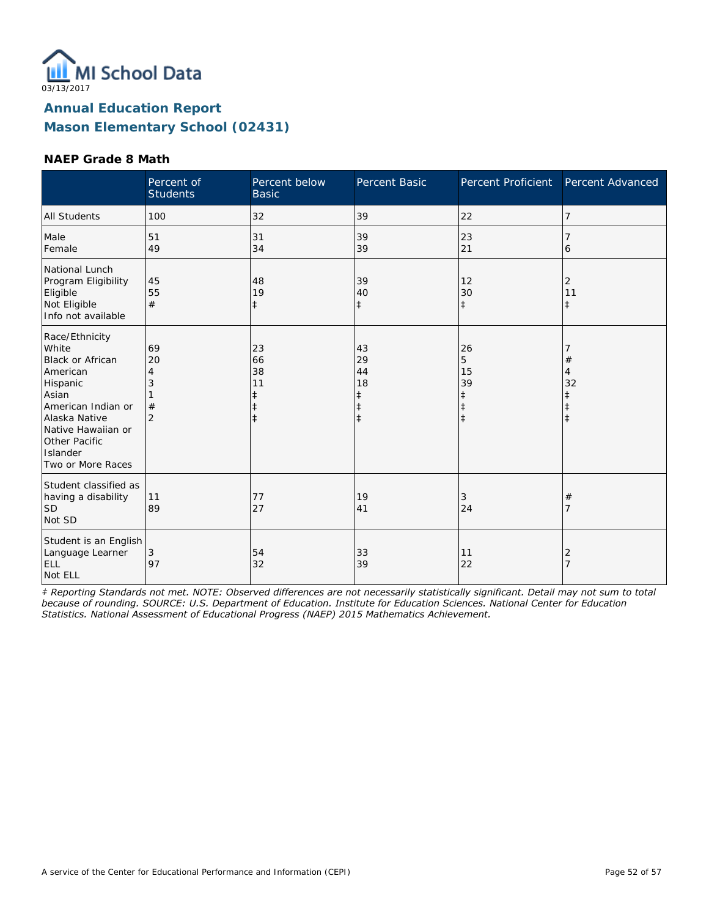

#### **NAEP Grade 8 Math**

|                                                                                                                                                                                                    | Percent of<br><b>Students</b>             | Percent below<br><b>Basic</b>                         | Percent Basic                                         | Percent Proficient                              | Percent Advanced   |
|----------------------------------------------------------------------------------------------------------------------------------------------------------------------------------------------------|-------------------------------------------|-------------------------------------------------------|-------------------------------------------------------|-------------------------------------------------|--------------------|
| <b>All Students</b>                                                                                                                                                                                | 100                                       | 32                                                    | 39                                                    | 22                                              | 7                  |
| Male<br>Female                                                                                                                                                                                     | 51<br>49                                  | 31<br>34                                              | 39<br>39                                              | 23<br>21                                        | 6                  |
| National Lunch<br>Program Eligibility<br>Eligible<br>Not Eligible<br>Info not available                                                                                                            | 45<br>55<br>#                             | 48<br>19<br>ŧ                                         | 39<br>40<br>$\ddagger$                                | 12<br>30<br>$\ddagger$                          | 2<br>11<br>$\pm$   |
| Race/Ethnicity<br>White<br><b>Black or African</b><br>American<br>Hispanic<br>Asian<br>American Indian or<br>Alaska Native<br>Native Hawaiian or<br>Other Pacific<br>Islander<br>Two or More Races | 69<br>20<br>4<br>3<br>#<br>$\overline{2}$ | 23<br>66<br>38<br>11<br>ŧ<br>$\ddagger$<br>$\ddagger$ | 43<br>29<br>44<br>18<br>ŧ<br>$\ddagger$<br>$\ddagger$ | 26<br>5<br>15<br>39<br>$\ddagger$<br>$\ddagger$ | $^{\#}$<br>4<br>32 |
| Student classified as<br>having a disability<br><b>SD</b><br>Not SD                                                                                                                                | 11<br>89                                  | 77<br>27                                              | 19<br>41                                              | 3<br>24                                         | $^{\#}$<br>7       |
| Student is an English<br>Language Learner<br>ELL<br>Not ELL                                                                                                                                        | 3<br>97                                   | 54<br>32                                              | 33<br>39                                              | 11<br>22                                        | 2<br>7             |

*‡ Reporting Standards not met. NOTE: Observed differences are not necessarily statistically significant. Detail may not sum to total because of rounding. SOURCE: U.S. Department of Education. Institute for Education Sciences. National Center for Education Statistics. National Assessment of Educational Progress (NAEP) 2015 Mathematics Achievement.*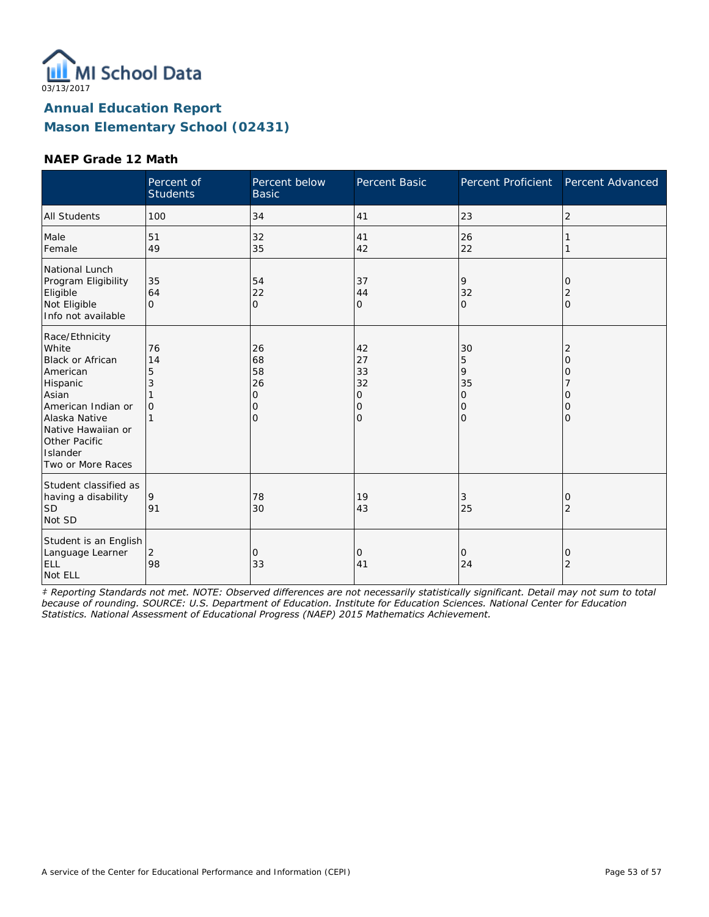

#### **NAEP Grade 12 Math**

|                                                                                                                                                                                                    | Percent of<br><b>Students</b>  | Percent below<br><b>Basic</b>                   | Percent Basic                                            | Percent Proficient                                          | Percent Advanced                                      |
|----------------------------------------------------------------------------------------------------------------------------------------------------------------------------------------------------|--------------------------------|-------------------------------------------------|----------------------------------------------------------|-------------------------------------------------------------|-------------------------------------------------------|
| <b>All Students</b>                                                                                                                                                                                | 100                            | 34                                              | 41                                                       | 23                                                          | $\overline{2}$                                        |
| Male<br>Female                                                                                                                                                                                     | 51<br>49                       | 32<br>35                                        | 41<br>42                                                 | 26<br>22                                                    |                                                       |
| National Lunch<br>Program Eligibility<br>Eligible<br>Not Eligible<br>Info not available                                                                                                            | 35<br>64<br>$\Omega$           | 54<br>22<br>$\overline{O}$                      | 37<br>44<br>$\overline{O}$                               | 9<br>32<br>$\mathbf{O}$                                     | 0<br>2<br>$\mathbf{O}$                                |
| Race/Ethnicity<br>White<br><b>Black or African</b><br>American<br>Hispanic<br>Asian<br>American Indian or<br>Alaska Native<br>Native Hawaiian or<br>Other Pacific<br>Islander<br>Two or More Races | 76<br>14<br>5<br>3<br>$\Omega$ | 26<br>68<br>58<br>26<br>0<br>0<br>$\mathcal{O}$ | 42<br>27<br>33<br>32<br>0<br>$\mathbf 0$<br>$\mathbf{O}$ | 30<br>5<br>9<br>35<br>$\overline{O}$<br>0<br>$\overline{O}$ | $\overline{2}$<br>$\Omega$<br>0<br>Ω<br>0<br>$\Omega$ |
| Student classified as<br>having a disability<br><b>SD</b><br>Not SD                                                                                                                                | 9<br>91                        | 78<br>30                                        | 19<br>43                                                 | 3<br>25                                                     | 0<br>2                                                |
| Student is an English<br>Language Learner<br>ELL<br>Not ELL                                                                                                                                        | $\overline{2}$<br>98           | 0<br>33                                         | 0<br>41                                                  | $\mathbf{O}$<br>24                                          | 0<br>$\overline{2}$                                   |

*‡ Reporting Standards not met. NOTE: Observed differences are not necessarily statistically significant. Detail may not sum to total because of rounding. SOURCE: U.S. Department of Education. Institute for Education Sciences. National Center for Education Statistics. National Assessment of Educational Progress (NAEP) 2015 Mathematics Achievement.*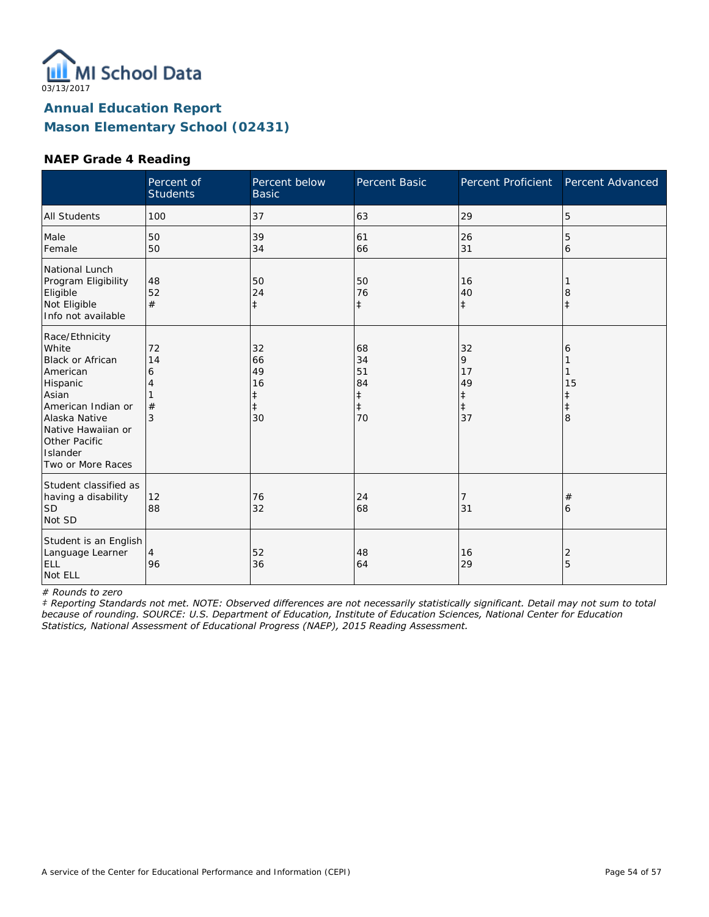

#### **NAEP Grade 4 Reading**

|                                                                                                                                                                                                    | Percent of<br><b>Students</b> | Percent below<br><b>Basic</b>                 | Percent Basic                                          | <b>Percent Proficient</b>                    | Percent Advanced                |
|----------------------------------------------------------------------------------------------------------------------------------------------------------------------------------------------------|-------------------------------|-----------------------------------------------|--------------------------------------------------------|----------------------------------------------|---------------------------------|
| <b>All Students</b>                                                                                                                                                                                | 100                           | 37                                            | 63                                                     | 29                                           | 5                               |
| Male<br>Female                                                                                                                                                                                     | 50<br>50                      | 39<br>34                                      | 61<br>66                                               | 26<br>31                                     | 5<br>6                          |
| National Lunch<br>Program Eligibility<br>Eligible<br>Not Eligible<br>Info not available                                                                                                            | 48<br>52<br>#                 | 50<br>24<br>$\ddagger$                        | 50<br>76<br>$\ddagger$                                 | 16<br>40<br>$\ddagger$                       | 8                               |
| Race/Ethnicity<br>White<br><b>Black or African</b><br>American<br>Hispanic<br>Asian<br>American Indian or<br>Alaska Native<br>Native Hawaiian or<br>Other Pacific<br>Islander<br>Two or More Races | 72<br>14<br>6<br>4<br>#<br>3  | 32<br>66<br>49<br>16<br>ŧ<br>$\ddagger$<br>30 | 68<br>34<br>51<br>84<br>$\ddagger$<br>$\ddagger$<br>70 | 32<br>9<br>17<br>49<br>‡<br>$\ddagger$<br>37 | 6<br>15<br>ŧ<br>$\ddagger$<br>8 |
| Student classified as<br>having a disability<br><b>SD</b><br>Not SD                                                                                                                                | 12<br>88                      | 76<br>32                                      | 24<br>68                                               | 7<br>31                                      | #<br>6                          |
| Student is an English<br>Language Learner<br>ELL<br>Not ELL                                                                                                                                        | 4<br>96                       | 52<br>36                                      | 48<br>64                                               | 16<br>29                                     | 2<br>5                          |

*# Rounds to zero*

*‡ Reporting Standards not met. NOTE: Observed differences are not necessarily statistically significant. Detail may not sum to total because of rounding. SOURCE: U.S. Department of Education, Institute of Education Sciences, National Center for Education Statistics, National Assessment of Educational Progress (NAEP), 2015 Reading Assessment.*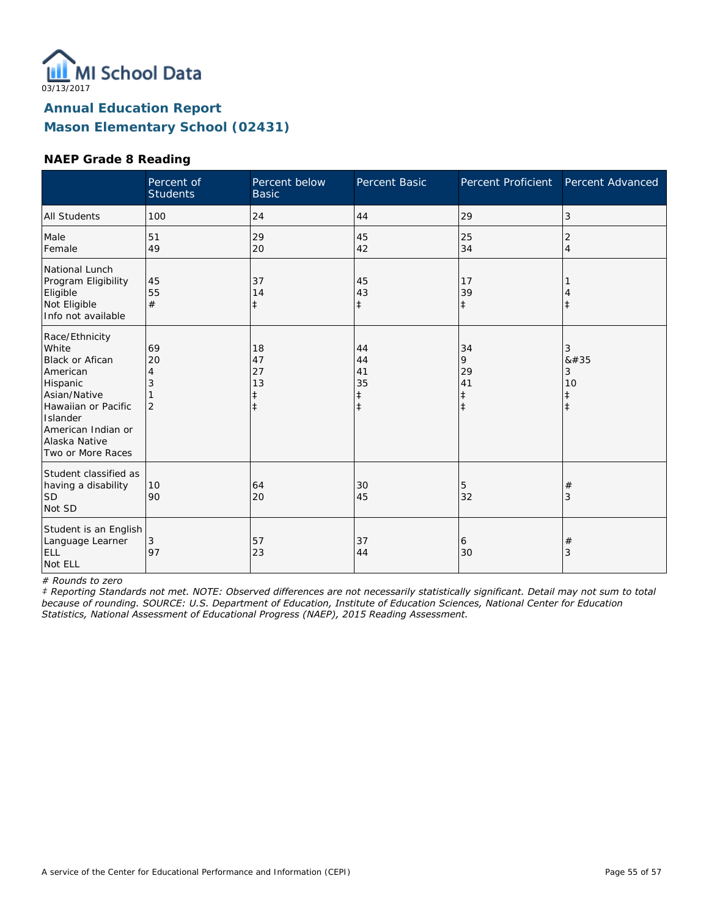

#### **NAEP Grade 8 Reading**

|                                                                                                                                                                                   | Percent of<br><b>Students</b>        | Percent below<br><b>Basic</b>                    | Percent Basic                                    | <b>Percent Proficient</b>                       | Percent Advanced                       |
|-----------------------------------------------------------------------------------------------------------------------------------------------------------------------------------|--------------------------------------|--------------------------------------------------|--------------------------------------------------|-------------------------------------------------|----------------------------------------|
| <b>All Students</b>                                                                                                                                                               | 100                                  | 24                                               | 44                                               | 29                                              | 3                                      |
| Male<br>Female                                                                                                                                                                    | 51<br>49                             | 29<br>20                                         | 45<br>42                                         | 25<br>34                                        | $\overline{2}$<br>$\overline{4}$       |
| National Lunch<br>Program Eligibility<br>Eligible<br>Not Eligible<br>Info not available                                                                                           | 45<br>55<br>#                        | 37<br>14<br>$\ddagger$                           | 45<br>43<br>$\ddagger$                           | 17<br>39<br>$\ddagger$                          | Î                                      |
| Race/Ethnicity<br>White<br>Black or Afican<br>American<br>Hispanic<br>Asian/Native<br>Hawaiian or Pacific<br>Islander<br>American Indian or<br>Alaska Native<br>Two or More Races | 69<br>20<br>4<br>3<br>$\overline{2}$ | 18<br>47<br>27<br>13<br>$\ddagger$<br>$\ddagger$ | 44<br>44<br>41<br>35<br>$\ddagger$<br>$\ddagger$ | 34<br>9<br>29<br>41<br>$\ddagger$<br>$\ddagger$ | 3<br>#<br>3<br>10<br>$^\ddag$<br>$\pm$ |
| Student classified as<br>having a disability<br>lsd<br>Not SD                                                                                                                     | 10<br>90                             | 64<br>20                                         | 30<br>45                                         | 5<br>32                                         | $^{\#}$<br>3                           |
| Student is an English<br>Language Learner<br>ELL<br>Not ELL                                                                                                                       | 3<br>97                              | 57<br>23                                         | 37<br>44                                         | 6<br>30                                         | $^{\#}$<br>3                           |

*# Rounds to zero*

*‡ Reporting Standards not met. NOTE: Observed differences are not necessarily statistically significant. Detail may not sum to total because of rounding. SOURCE: U.S. Department of Education, Institute of Education Sciences, National Center for Education Statistics, National Assessment of Educational Progress (NAEP), 2015 Reading Assessment.*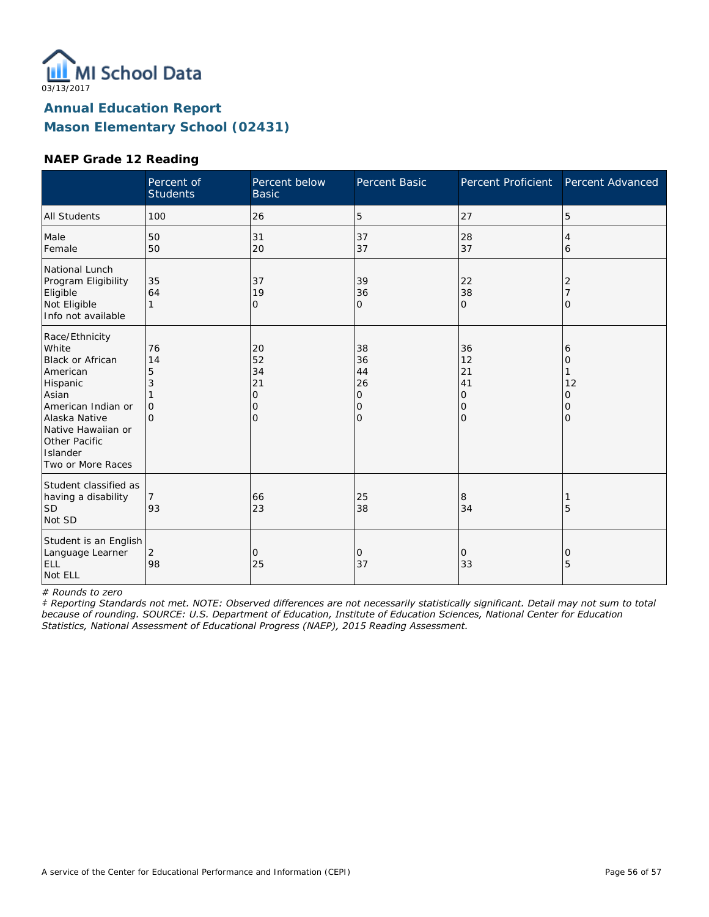

#### **NAEP Grade 12 Reading**

|                                                                                                                                                                                                    | Percent of<br><b>Students</b>                  | Percent below<br><b>Basic</b>                              | Percent Basic                                    | Percent Proficient                          | Percent Advanced                               |
|----------------------------------------------------------------------------------------------------------------------------------------------------------------------------------------------------|------------------------------------------------|------------------------------------------------------------|--------------------------------------------------|---------------------------------------------|------------------------------------------------|
| <b>All Students</b>                                                                                                                                                                                | 100                                            | 26                                                         | 5                                                | 27                                          | 5                                              |
| Male<br>Female                                                                                                                                                                                     | 50<br>50                                       | 31<br>20                                                   | 37<br>37                                         | 28<br>37                                    | 4<br>6                                         |
| National Lunch<br>Program Eligibility<br>Eligible<br>Not Eligible<br>Info not available                                                                                                            | 35<br>64<br>1                                  | 37<br>19<br>0                                              | 39<br>36<br>0                                    | 22<br>38<br>$\mathbf{O}$                    | 2<br>O                                         |
| Race/Ethnicity<br>White<br><b>Black or African</b><br>American<br>Hispanic<br>Asian<br>American Indian or<br>Alaska Native<br>Native Hawaiian or<br>Other Pacific<br>Islander<br>Two or More Races | 76<br>14<br>5<br>3<br>$\mathbf{O}$<br>$\Omega$ | 20<br>52<br>34<br>21<br>$\mathbf{O}$<br>$\circ$<br>$\circ$ | 38<br>36<br>44<br>26<br>0<br>0<br>$\overline{O}$ | 36<br>12<br>21<br>41<br>0<br>$\circ$<br>l O | 6<br>0<br>12<br>Ω<br>$\mathcal{O}$<br>$\Omega$ |
| Student classified as<br>having a disability<br><b>SD</b><br>Not SD                                                                                                                                | 93                                             | 66<br>23                                                   | 25<br>38                                         | 8<br>34                                     | 5                                              |
| Student is an English<br>Language Learner<br>ELL<br>Not ELL                                                                                                                                        | 2<br>98                                        | $\mathbf{O}$<br>25                                         | 0<br>37                                          | $\mathbf{O}$<br>33                          | 0<br>5                                         |

*# Rounds to zero*

*‡ Reporting Standards not met. NOTE: Observed differences are not necessarily statistically significant. Detail may not sum to total because of rounding. SOURCE: U.S. Department of Education, Institute of Education Sciences, National Center for Education Statistics, National Assessment of Educational Progress (NAEP), 2015 Reading Assessment.*